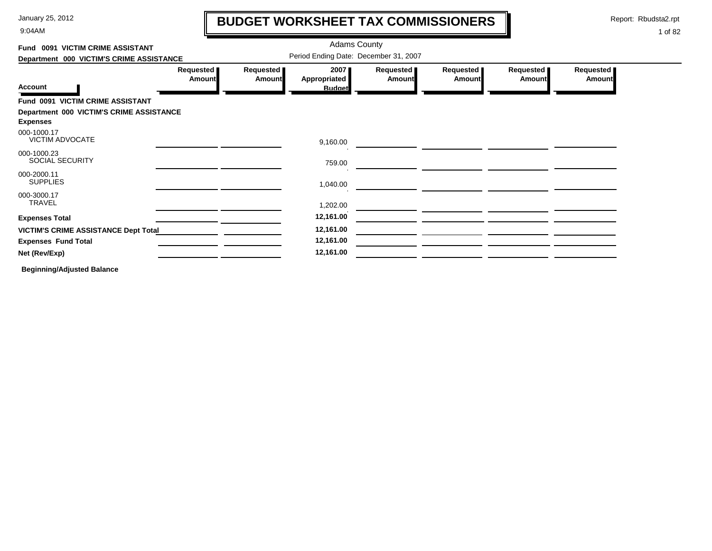9:04AM

# **BUDGET WORKSHEET TAX COMMISSIONERS**

Report: Rbudsta2.rpt

 $\mathbf l$ 

### 1 of 82

| Fund 0091 VICTIM CRIME ASSISTANT                            |                            |                                       | <b>Adams County</b>                   |                            |                     |                            |                            |  |  |
|-------------------------------------------------------------|----------------------------|---------------------------------------|---------------------------------------|----------------------------|---------------------|----------------------------|----------------------------|--|--|
| Department 000 VICTIM'S CRIME ASSISTANCE                    |                            | Period Ending Date: December 31, 2007 |                                       |                            |                     |                            |                            |  |  |
| <b>Account</b>                                              | Requested<br><b>Amount</b> | Requested<br><b>Amount</b>            | 2007<br>Appropriated<br><b>Budget</b> | Requested<br><b>Amount</b> | Requested<br>Amount | Requested<br><b>Amount</b> | Requested<br><b>Amount</b> |  |  |
| Fund 0091 VICTIM CRIME ASSISTANT                            |                            |                                       |                                       |                            |                     |                            |                            |  |  |
| Department 000 VICTIM'S CRIME ASSISTANCE<br><b>Expenses</b> |                            |                                       |                                       |                            |                     |                            |                            |  |  |
| 000-1000.17<br>VICTIM ADVOCATE                              |                            |                                       | 9,160.00                              |                            |                     |                            |                            |  |  |
| 000-1000.23<br><b>SOCIAL SECURITY</b>                       |                            |                                       | 759.00                                |                            |                     |                            |                            |  |  |
| 000-2000.11<br><b>SUPPLIES</b>                              |                            |                                       | 1,040.00                              |                            |                     |                            |                            |  |  |
| 000-3000.17<br><b>TRAVEL</b>                                |                            |                                       | 1,202.00                              |                            |                     |                            |                            |  |  |
| <b>Expenses Total</b>                                       |                            |                                       | 12,161.00                             |                            |                     |                            |                            |  |  |
| <b>VICTIM'S CRIME ASSISTANCE Dept Total</b>                 |                            |                                       | 12,161.00                             |                            |                     |                            |                            |  |  |
| <b>Expenses Fund Total</b>                                  |                            |                                       | 12,161.00                             |                            |                     |                            |                            |  |  |
| Net (Rev/Exp)                                               |                            |                                       | 12,161.00                             |                            |                     |                            |                            |  |  |
|                                                             |                            |                                       |                                       |                            |                     |                            |                            |  |  |

**Beginning/Adjusted Balance**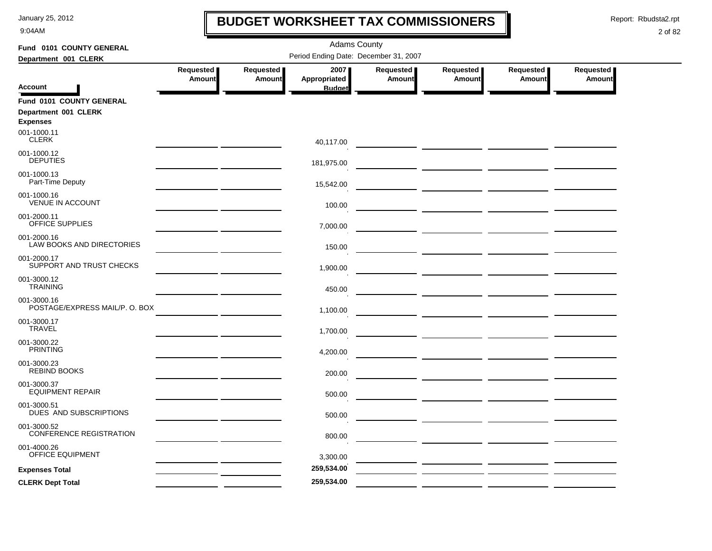9:04AM

## **BUDGET WORKSHEET TAX COMMISSIONERS**

Report: Rbudsta2.rpt

 $\mathbf l$ 

| Fund 0101 COUNTY GENERAL                      | <b>Adams County</b>        |                            |                                       |                     |                                                                                                                                                                                                                                      |                     |                            |  |  |  |
|-----------------------------------------------|----------------------------|----------------------------|---------------------------------------|---------------------|--------------------------------------------------------------------------------------------------------------------------------------------------------------------------------------------------------------------------------------|---------------------|----------------------------|--|--|--|
| Department 001 CLERK                          |                            |                            | Period Ending Date: December 31, 2007 |                     |                                                                                                                                                                                                                                      |                     |                            |  |  |  |
|                                               | Requested<br><b>Amount</b> | Requested<br><b>Amount</b> | 2007<br>Appropriated                  | Requested<br>Amount | Requested<br>Amount                                                                                                                                                                                                                  | Requested<br>Amount | Requested<br><b>Amount</b> |  |  |  |
| Account                                       |                            |                            | <b>Budget</b>                         |                     |                                                                                                                                                                                                                                      |                     |                            |  |  |  |
| Fund 0101 COUNTY GENERAL                      |                            |                            |                                       |                     |                                                                                                                                                                                                                                      |                     |                            |  |  |  |
| Department 001 CLERK<br><b>Expenses</b>       |                            |                            |                                       |                     |                                                                                                                                                                                                                                      |                     |                            |  |  |  |
| 001-1000.11<br><b>CLERK</b>                   |                            |                            | 40,117.00                             |                     |                                                                                                                                                                                                                                      |                     |                            |  |  |  |
| 001-1000.12<br><b>DEPUTIES</b>                |                            |                            | 181,975.00                            |                     |                                                                                                                                                                                                                                      |                     |                            |  |  |  |
| 001-1000.13<br>Part-Time Deputy               |                            |                            | 15,542.00                             |                     |                                                                                                                                                                                                                                      |                     |                            |  |  |  |
| 001-1000.16<br><b>VENUE IN ACCOUNT</b>        |                            |                            | 100.00                                |                     |                                                                                                                                                                                                                                      |                     |                            |  |  |  |
| 001-2000.11<br>OFFICE SUPPLIES                |                            |                            | 7,000.00                              |                     |                                                                                                                                                                                                                                      |                     |                            |  |  |  |
| 001-2000.16<br>LAW BOOKS AND DIRECTORIES      |                            |                            | 150.00                                |                     |                                                                                                                                                                                                                                      |                     |                            |  |  |  |
| 001-2000.17<br>SUPPORT AND TRUST CHECKS       |                            |                            | 1,900.00                              |                     | — <u>———————</u> —————                                                                                                                                                                                                               |                     |                            |  |  |  |
| 001-3000.12<br><b>TRAINING</b>                |                            |                            | 450.00                                |                     |                                                                                                                                                                                                                                      |                     |                            |  |  |  |
| 001-3000.16<br>POSTAGE/EXPRESS MAIL/P. O. BOX |                            |                            | 1,100.00                              |                     |                                                                                                                                                                                                                                      |                     |                            |  |  |  |
| 001-3000.17<br><b>TRAVEL</b>                  |                            |                            | 1,700.00                              |                     | <u> The Common State of the Common State of the Common State of the Common State of the Common State of the Common State of the Common State of the Common State of the Common State of the Common State of the Common State of </u> |                     |                            |  |  |  |
| 001-3000.22<br><b>PRINTING</b>                |                            |                            | 4,200.00                              |                     |                                                                                                                                                                                                                                      |                     |                            |  |  |  |
| 001-3000.23<br><b>REBIND BOOKS</b>            |                            |                            | 200.00                                |                     |                                                                                                                                                                                                                                      |                     |                            |  |  |  |
| 001-3000.37<br><b>EQUIPMENT REPAIR</b>        |                            |                            | 500.00                                |                     |                                                                                                                                                                                                                                      |                     |                            |  |  |  |
| 001-3000.51<br>DUES AND SUBSCRIPTIONS         |                            |                            | 500.00                                |                     | $\overline{\phantom{a}}$ and $\overline{\phantom{a}}$ and $\overline{\phantom{a}}$                                                                                                                                                   |                     |                            |  |  |  |
| 001-3000.52<br><b>CONFERENCE REGISTRATION</b> |                            |                            | 800.00                                |                     |                                                                                                                                                                                                                                      |                     |                            |  |  |  |
| 001-4000.26<br><b>OFFICE EQUIPMENT</b>        |                            |                            | 3,300.00                              |                     |                                                                                                                                                                                                                                      |                     |                            |  |  |  |
| <b>Expenses Total</b>                         |                            |                            | 259,534.00                            |                     | <u> Albanya (Albanya Albanya)</u>                                                                                                                                                                                                    |                     |                            |  |  |  |
| <b>CLERK Dept Total</b>                       |                            |                            | 259,534.00                            |                     |                                                                                                                                                                                                                                      |                     |                            |  |  |  |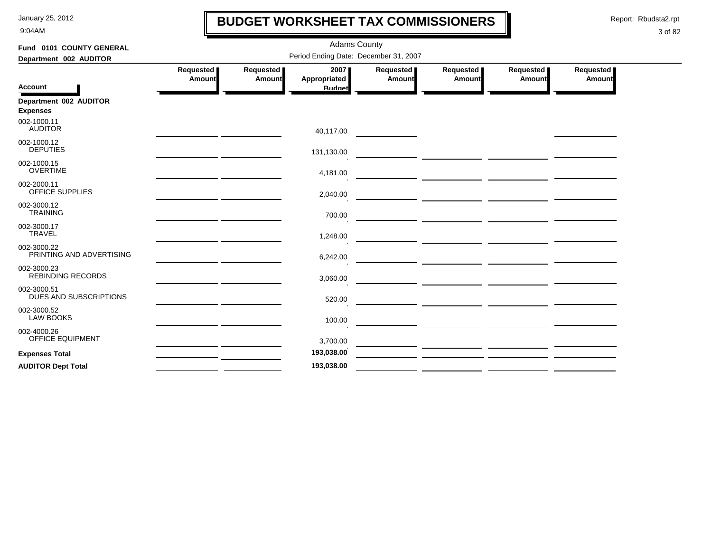9:04AM

## **BUDGET WORKSHEET TAX COMMISSIONERS**

Report: Rbudsta2.rpt

 $\mathbf l$ 

| Fund 0101 COUNTY GENERAL                  |                     | <b>Adams County</b>        |                                       |                     |                                                                                                                      |                                                 |                     |  |  |  |
|-------------------------------------------|---------------------|----------------------------|---------------------------------------|---------------------|----------------------------------------------------------------------------------------------------------------------|-------------------------------------------------|---------------------|--|--|--|
| Department 002 AUDITOR                    |                     |                            | Period Ending Date: December 31, 2007 |                     |                                                                                                                      |                                                 |                     |  |  |  |
| <b>Account</b>                            | Requested<br>Amount | Requested<br><b>Amount</b> | 2007<br>Appropriated<br><b>Budget</b> | Requested<br>Amount | Requested<br><b>Amount</b>                                                                                           | Requested<br><b>Amount</b>                      | Requested<br>Amount |  |  |  |
| Department 002 AUDITOR<br><b>Expenses</b> |                     |                            |                                       |                     |                                                                                                                      |                                                 |                     |  |  |  |
| 002-1000.11<br><b>AUDITOR</b>             |                     |                            | 40,117.00                             |                     |                                                                                                                      |                                                 |                     |  |  |  |
| 002-1000.12<br><b>DEPUTIES</b>            |                     |                            | 131,130.00                            |                     |                                                                                                                      |                                                 |                     |  |  |  |
| 002-1000.15<br><b>OVERTIME</b>            |                     |                            | 4,181.00                              |                     |                                                                                                                      |                                                 |                     |  |  |  |
| 002-2000.11<br>OFFICE SUPPLIES            |                     |                            | 2,040.00                              |                     |                                                                                                                      |                                                 |                     |  |  |  |
| 002-3000.12<br><b>TRAINING</b>            |                     |                            | 700.00                                |                     |                                                                                                                      |                                                 |                     |  |  |  |
| 002-3000.17<br><b>TRAVEL</b>              |                     |                            | 1,248.00                              |                     |                                                                                                                      |                                                 |                     |  |  |  |
| 002-3000.22<br>PRINTING AND ADVERTISING   |                     |                            | 6,242.00                              |                     |                                                                                                                      |                                                 |                     |  |  |  |
| 002-3000.23<br><b>REBINDING RECORDS</b>   |                     |                            | 3,060.00                              |                     |                                                                                                                      | <u> 1989 - Johann John Stein, mars et al. (</u> |                     |  |  |  |
| 002-3000.51<br>DUES AND SUBSCRIPTIONS     |                     |                            | 520.00                                |                     | <u> 1980 - Johann Barbara, markazi ya kutoka mwaka wa 1980 - Amanda alikuwa mwaka wa 1980 - Amanda alikuwa mwaka</u> |                                                 |                     |  |  |  |
| 002-3000.52<br><b>LAW BOOKS</b>           |                     |                            | 100.00                                |                     |                                                                                                                      |                                                 |                     |  |  |  |
| 002-4000.26<br>OFFICE EQUIPMENT           |                     |                            | 3,700.00                              |                     |                                                                                                                      |                                                 |                     |  |  |  |
| <b>Expenses Total</b>                     |                     |                            | 193,038.00                            |                     |                                                                                                                      |                                                 |                     |  |  |  |
| <b>AUDITOR Dept Total</b>                 |                     |                            | 193,038.00                            |                     |                                                                                                                      |                                                 |                     |  |  |  |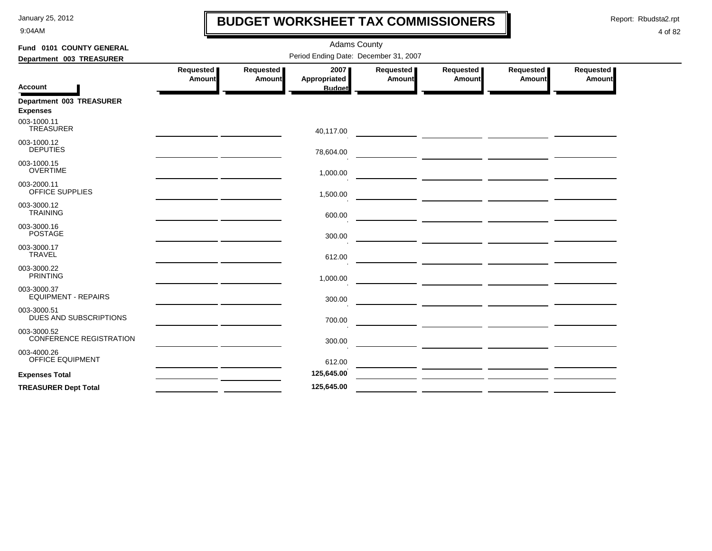9:04AM

## **BUDGET WORKSHEET TAX COMMISSIONERS**

Report: Rbudsta2.rpt

 $\mathbf l$ 

| Fund 0101 COUNTY GENERAL                      |                            |                     | <b>Adams County</b>                   |                     |                                                                                                                                                                                                                                      |                       |                                   |
|-----------------------------------------------|----------------------------|---------------------|---------------------------------------|---------------------|--------------------------------------------------------------------------------------------------------------------------------------------------------------------------------------------------------------------------------------|-----------------------|-----------------------------------|
| Department 003 TREASURER                      |                            |                     | Period Ending Date: December 31, 2007 |                     |                                                                                                                                                                                                                                      |                       |                                   |
|                                               | Requested<br><b>Amount</b> | Requested<br>Amount | 2007<br><b>Appropriated</b>           | Requested<br>Amount | Requested<br><b>Amount</b>                                                                                                                                                                                                           | Requested  <br>Amount | <b>Requested</b><br><b>Amount</b> |
| <b>Account</b>                                |                            |                     | <b>Budget</b>                         |                     |                                                                                                                                                                                                                                      |                       |                                   |
| Department 003 TREASURER<br><b>Expenses</b>   |                            |                     |                                       |                     |                                                                                                                                                                                                                                      |                       |                                   |
| 003-1000.11<br><b>TREASURER</b>               |                            |                     | 40,117.00                             |                     |                                                                                                                                                                                                                                      |                       |                                   |
| 003-1000.12<br><b>DEPUTIES</b>                |                            |                     | 78,604.00                             |                     |                                                                                                                                                                                                                                      |                       |                                   |
| 003-1000.15<br><b>OVERTIME</b>                |                            |                     | 1,000.00                              |                     | <u> 1989 - Johann John Stone, mars et al. (</u>                                                                                                                                                                                      |                       |                                   |
| 003-2000.11<br>OFFICE SUPPLIES                |                            |                     | 1,500.00                              |                     |                                                                                                                                                                                                                                      |                       |                                   |
| 003-3000.12<br><b>TRAINING</b>                |                            |                     | 600.00                                |                     |                                                                                                                                                                                                                                      |                       |                                   |
| 003-3000.16<br><b>POSTAGE</b>                 |                            |                     | 300.00                                |                     |                                                                                                                                                                                                                                      |                       |                                   |
| 003-3000.17<br><b>TRAVEL</b>                  |                            |                     | 612.00                                |                     | <u> 2000 - Jan Barbara (j. 1900)</u>                                                                                                                                                                                                 |                       |                                   |
| 003-3000.22<br><b>PRINTING</b>                |                            |                     | 1,000.00                              |                     | <u> The Common State of the Common State of the Common State of the Common State of the Common State of the Common</u>                                                                                                               |                       |                                   |
| 003-3000.37<br><b>EQUIPMENT - REPAIRS</b>     |                            |                     | 300.00                                |                     |                                                                                                                                                                                                                                      |                       |                                   |
| 003-3000.51<br>DUES AND SUBSCRIPTIONS         |                            |                     | 700.00                                |                     | <u> Andreas Andreas Andreas Andreas Andreas Andreas Andreas Andreas Andreas Andreas Andreas Andreas Andreas Andr</u>                                                                                                                 |                       |                                   |
| 003-3000.52<br><b>CONFERENCE REGISTRATION</b> |                            |                     | 300.00                                |                     | <u> 1990 - John Harry Harry Harry Harry Harry Harry Harry Harry Harry Harry Harry Harry Harry Harry Harry Harry Harry Harry Harry Harry Harry Harry Harry Harry Harry Harry Harry Harry Harry Harry Harry Harry Harry Harry Harr</u> |                       |                                   |
| 003-4000.26<br><b>OFFICE EQUIPMENT</b>        |                            |                     | 612.00                                |                     |                                                                                                                                                                                                                                      |                       |                                   |
| <b>Expenses Total</b>                         |                            |                     | 125,645.00                            |                     | <u> Alexandro de la contrada de la contrada de la contrada de la contrada de la contrada de la contrada de la con</u>                                                                                                                |                       |                                   |
| <b>TREASURER Dept Total</b>                   |                            |                     | 125,645.00                            |                     |                                                                                                                                                                                                                                      |                       |                                   |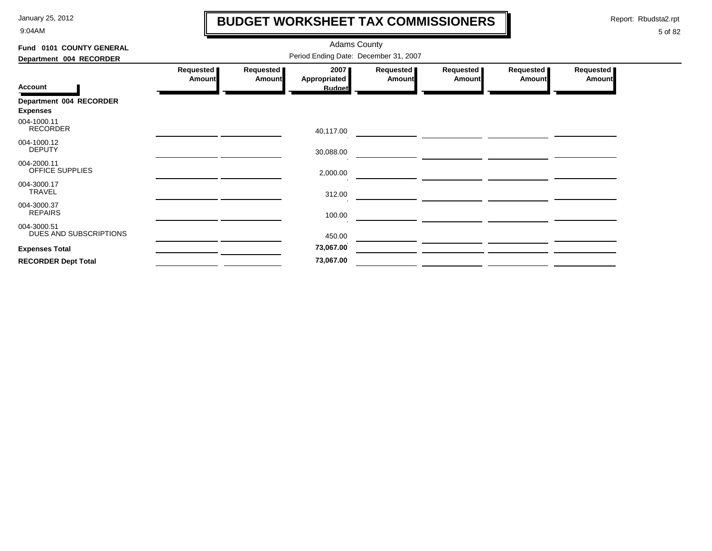9:04AM

## **BUDGET WORKSHEET TAX COMMISSIONERS**

Report: Rbudsta2.rpt

 $\mathbf l$ 

| Fund 0101 COUNTY GENERAL              | <b>Adams County</b>                   |                              |                      |                            |                            |                              |                            |  |  |  |
|---------------------------------------|---------------------------------------|------------------------------|----------------------|----------------------------|----------------------------|------------------------------|----------------------------|--|--|--|
| Department 004 RECORDER               | Period Ending Date: December 31, 2007 |                              |                      |                            |                            |                              |                            |  |  |  |
|                                       | Requested<br><b>Amount</b>            | Requested  <br><b>Amount</b> | 2007<br>Appropriated | Requested<br><b>Amount</b> | Requested<br><b>Amount</b> | Requested  <br><b>Amount</b> | Requested<br><b>Amount</b> |  |  |  |
| <b>Account</b>                        |                                       |                              | <b>Budget</b>        |                            |                            |                              |                            |  |  |  |
| Department 004 RECORDER               |                                       |                              |                      |                            |                            |                              |                            |  |  |  |
| <b>Expenses</b>                       |                                       |                              |                      |                            |                            |                              |                            |  |  |  |
| 004-1000.11<br><b>RECORDER</b>        |                                       |                              | 40,117.00            |                            |                            |                              |                            |  |  |  |
| 004-1000.12<br><b>DEPUTY</b>          |                                       |                              | 30,088.00            |                            |                            |                              |                            |  |  |  |
| 004-2000.11<br>OFFICE SUPPLIES        |                                       |                              | 2,000.00             |                            |                            |                              |                            |  |  |  |
| 004-3000.17<br><b>TRAVEL</b>          |                                       |                              | 312.00               |                            |                            |                              |                            |  |  |  |
| 004-3000.37<br><b>REPAIRS</b>         |                                       |                              | 100.00               |                            |                            |                              |                            |  |  |  |
| 004-3000.51<br>DUES AND SUBSCRIPTIONS |                                       |                              | 450.00               |                            |                            |                              |                            |  |  |  |
| <b>Expenses Total</b>                 |                                       |                              | 73,067.00            |                            |                            |                              |                            |  |  |  |
| <b>RECORDER Dept Total</b>            |                                       |                              | 73,067.00            |                            |                            |                              |                            |  |  |  |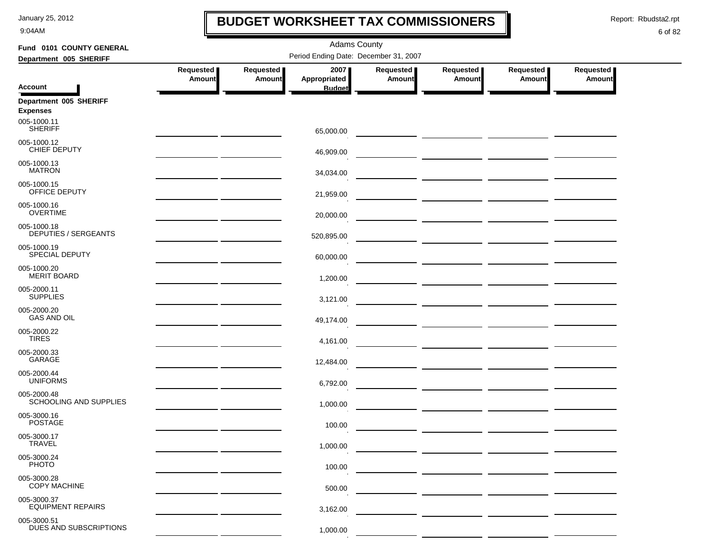9:04AM

### **BUDGET WORKSHEET TAX COMMISSIONERS**

Report: Rbudsta2.rpt

 $\mathbf \mathbf I$ 

| Fund 0101 COUNTY GENERAL                                 | <b>Adams County</b>                                                                                                   |                                       |                      |                            |                            |                            |                            |  |  |  |  |
|----------------------------------------------------------|-----------------------------------------------------------------------------------------------------------------------|---------------------------------------|----------------------|----------------------------|----------------------------|----------------------------|----------------------------|--|--|--|--|
| Department 005 SHERIFF                                   |                                                                                                                       | Period Ending Date: December 31, 2007 |                      |                            |                            |                            |                            |  |  |  |  |
|                                                          | Requested<br><b>Amount</b>                                                                                            | Requested<br><b>Amount</b>            | 2007<br>Appropriated | Requested<br><b>Amount</b> | Requested<br><b>Amount</b> | Requested<br><b>Amount</b> | Requested<br><b>Amount</b> |  |  |  |  |
| <b>Account</b>                                           |                                                                                                                       |                                       | <b>Budget</b>        |                            |                            |                            |                            |  |  |  |  |
| Department 005 SHERIFF<br><b>Expenses</b><br>005-1000.11 |                                                                                                                       |                                       |                      |                            |                            |                            |                            |  |  |  |  |
| <b>SHERIFF</b>                                           |                                                                                                                       |                                       | 65,000.00            |                            |                            |                            |                            |  |  |  |  |
| 005-1000.12<br>CHIEF DEPUTY                              |                                                                                                                       |                                       | 46,909.00            |                            |                            |                            |                            |  |  |  |  |
| 005-1000.13<br><b>MATRON</b>                             |                                                                                                                       |                                       | 34,034.00            |                            |                            |                            |                            |  |  |  |  |
| 005-1000.15<br>OFFICE DEPUTY                             |                                                                                                                       |                                       | 21,959.00            |                            |                            |                            |                            |  |  |  |  |
| 005-1000.16<br><b>OVERTIME</b>                           |                                                                                                                       |                                       | 20,000.00            |                            |                            |                            |                            |  |  |  |  |
| 005-1000.18<br><b>DEPUTIES / SERGEANTS</b>               | <u> 1989 - Andrea State Barbara, poeta esperanto-</u>                                                                 |                                       | 520,895.00           |                            |                            |                            |                            |  |  |  |  |
| 005-1000.19<br>SPECIAL DEPUTY                            | <u> 1989 - Johann Harry Barn, mars and de Branch and de Branch and de Branch and de Branch and de Branch and de B</u> |                                       | 60,000.00            |                            |                            |                            |                            |  |  |  |  |
| 005-1000.20<br><b>MERIT BOARD</b>                        |                                                                                                                       |                                       | 1,200.00             |                            |                            |                            |                            |  |  |  |  |
| 005-2000.11<br><b>SUPPLIES</b>                           |                                                                                                                       |                                       | 3,121.00             |                            |                            |                            |                            |  |  |  |  |
| 005-2000.20<br><b>GAS AND OIL</b>                        |                                                                                                                       |                                       | 49,174.00            |                            |                            |                            |                            |  |  |  |  |
| 005-2000.22<br><b>TIRES</b>                              |                                                                                                                       |                                       | 4,161.00             |                            |                            |                            |                            |  |  |  |  |
| 005-2000.33<br>GARAGE                                    |                                                                                                                       |                                       | 12,484.00            |                            |                            |                            |                            |  |  |  |  |
| 005-2000.44<br><b>UNIFORMS</b>                           | <u> 1989 - John Harry Barn, amerikansk politiker (</u>                                                                |                                       | 6,792.00             |                            |                            |                            |                            |  |  |  |  |
| 005-2000.48<br>SCHOOLING AND SUPPLIES                    |                                                                                                                       |                                       | 1,000.00             |                            |                            |                            |                            |  |  |  |  |
| 005-3000.16<br><b>POSTAGE</b>                            |                                                                                                                       |                                       | 100.00               |                            |                            |                            |                            |  |  |  |  |
| 005-3000.17<br><b>TRAVEL</b>                             |                                                                                                                       |                                       | 1,000.00             |                            |                            |                            |                            |  |  |  |  |
| 005-3000.24<br><b>PHOTO</b>                              |                                                                                                                       |                                       | 100.00               |                            |                            |                            |                            |  |  |  |  |
| 005-3000.28<br><b>COPY MACHINE</b>                       |                                                                                                                       |                                       | 500.00               |                            |                            |                            |                            |  |  |  |  |
| 005-3000.37<br><b>EQUIPMENT REPAIRS</b>                  |                                                                                                                       |                                       | 3,162.00             |                            |                            |                            |                            |  |  |  |  |
| 005-3000.51                                              |                                                                                                                       |                                       |                      |                            |                            |                            |                            |  |  |  |  |
| DUES AND SUBSCRIPTIONS                                   |                                                                                                                       |                                       | 1,000.00             |                            |                            |                            |                            |  |  |  |  |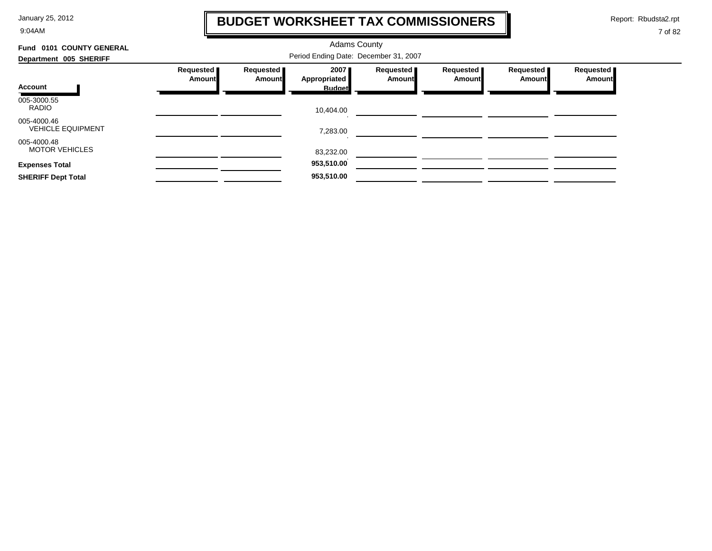9:04AM

## **BUDGET WORKSHEET TAX COMMISSIONERS**

Report: Rbudsta2.rpt

 $\mathbf \mathbf I$ 

| 0101 COUNTY GENERAL<br>Fund             |           | <b>Adams County</b> |                                       |           |           |           |           |  |
|-----------------------------------------|-----------|---------------------|---------------------------------------|-----------|-----------|-----------|-----------|--|
| Department 005 SHERIFF                  |           |                     | Period Ending Date: December 31, 2007 |           |           |           |           |  |
|                                         | Requested | Requested           | 2007                                  | Requested | Requested | Requested | Requested |  |
| Account                                 | Amount    | Amount              | Appropriated<br><b>Budget</b>         | Amount    | Amount    | Amount    | Amount    |  |
| 005-3000.55<br><b>RADIO</b>             |           |                     | 10,404.00                             |           |           |           |           |  |
| 005-4000.46<br><b>VEHICLE EQUIPMENT</b> |           |                     | 7,283.00                              |           |           |           |           |  |
| 005-4000.48<br><b>MOTOR VEHICLES</b>    |           |                     | 83,232.00                             |           |           |           |           |  |
| <b>Expenses Total</b>                   |           |                     | 953,510.00                            |           |           |           |           |  |
| <b>SHERIFF Dept Total</b>               |           |                     | 953,510.00                            |           |           |           |           |  |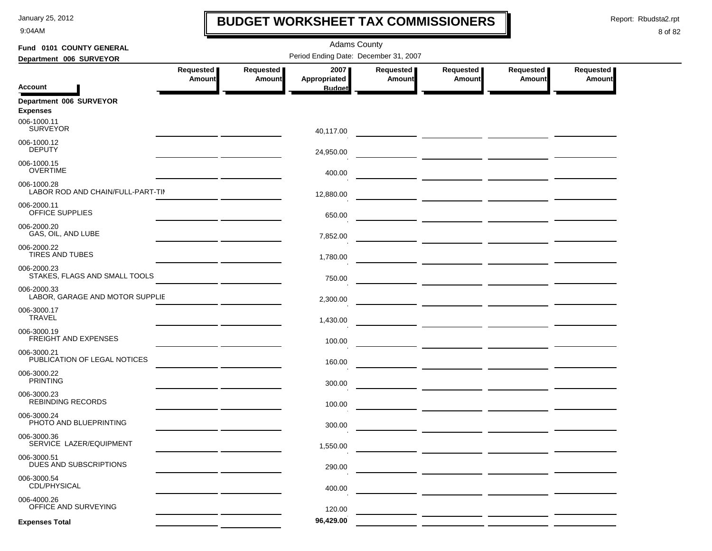9:04AM

### **BUDGET WORKSHEET TAX COMMISSIONERS**

Report: Rbudsta2.rpt

 $\mathbf I$ 

| Fund 0101 COUNTY GENERAL                         |                            |                     | <b>Adams County</b>                   |                                   |                                                                                                                                                                                                                                      |                            |                            |
|--------------------------------------------------|----------------------------|---------------------|---------------------------------------|-----------------------------------|--------------------------------------------------------------------------------------------------------------------------------------------------------------------------------------------------------------------------------------|----------------------------|----------------------------|
| Department 006 SURVEYOR                          |                            |                     | Period Ending Date: December 31, 2007 |                                   |                                                                                                                                                                                                                                      |                            |                            |
|                                                  | Requested<br><b>Amount</b> | Requested<br>Amount | 2007<br>Appropriated                  | <b>Requested</b><br><b>Amount</b> | Requested<br>Amount                                                                                                                                                                                                                  | Requested<br><b>Amount</b> | Requested<br><b>Amount</b> |
| <b>Account</b>                                   |                            |                     | <b>Budget</b>                         |                                   |                                                                                                                                                                                                                                      |                            |                            |
| Department 006 SURVEYOR<br><b>Expenses</b>       |                            |                     |                                       |                                   |                                                                                                                                                                                                                                      |                            |                            |
| 006-1000.11<br><b>SURVEYOR</b>                   |                            |                     | 40,117.00                             |                                   |                                                                                                                                                                                                                                      |                            |                            |
| 006-1000.12<br><b>DEPUTY</b>                     |                            |                     | 24,950.00                             |                                   |                                                                                                                                                                                                                                      |                            |                            |
| 006-1000.15<br><b>OVERTIME</b>                   |                            |                     | 400.00                                |                                   |                                                                                                                                                                                                                                      |                            |                            |
| 006-1000.28<br>LABOR ROD AND CHAIN/FULL-PART-TII |                            |                     | 12,880.00                             |                                   |                                                                                                                                                                                                                                      |                            |                            |
| 006-2000.11<br>OFFICE SUPPLIES                   |                            |                     | 650.00                                |                                   |                                                                                                                                                                                                                                      |                            |                            |
| 006-2000.20<br>GAS, OIL, AND LUBE                |                            |                     | 7,852.00                              |                                   | <u> 1990 - Johann Barbara, martin a</u>                                                                                                                                                                                              |                            |                            |
| 006-2000.22<br><b>TIRES AND TUBES</b>            |                            |                     | 1,780.00                              |                                   |                                                                                                                                                                                                                                      |                            |                            |
| 006-2000.23<br>STAKES, FLAGS AND SMALL TOOLS     |                            |                     | 750.00                                |                                   | <u> 1990 - John Harry Harry Harry Harry Harry Harry Harry Harry Harry Harry Harry Harry Harry Harry Harry Harry Harry Harry Harry Harry Harry Harry Harry Harry Harry Harry Harry Harry Harry Harry Harry Harry Harry Harry Harr</u> |                            |                            |
| 006-2000.33<br>LABOR, GARAGE AND MOTOR SUPPLIE   |                            |                     | 2,300.00                              |                                   |                                                                                                                                                                                                                                      |                            |                            |
| 006-3000.17<br><b>TRAVEL</b>                     |                            |                     | 1,430.00                              |                                   |                                                                                                                                                                                                                                      |                            |                            |
| 006-3000.19<br><b>FREIGHT AND EXPENSES</b>       |                            |                     | 100.00                                |                                   |                                                                                                                                                                                                                                      |                            |                            |
| 006-3000.21<br>PUBLICATION OF LEGAL NOTICES      |                            |                     | 160.00                                |                                   |                                                                                                                                                                                                                                      |                            |                            |
| 006-3000.22<br><b>PRINTING</b>                   |                            |                     | 300.00                                |                                   |                                                                                                                                                                                                                                      |                            |                            |
| 006-3000.23<br><b>REBINDING RECORDS</b>          |                            |                     | 100.00                                |                                   | <u> 1990 - John Harry Harry Harry Harry Harry Harry Harry Harry Harry Harry Harry Harry Harry Harry Harry Harry H</u>                                                                                                                |                            |                            |
| 006-3000.24<br>PHOTO AND BLUEPRINTING            |                            |                     | 300.00                                |                                   |                                                                                                                                                                                                                                      |                            |                            |
| 006-3000.36<br>SERVICE LAZER/EQUIPMENT           |                            |                     | 1,550.00                              |                                   |                                                                                                                                                                                                                                      |                            |                            |
| 006-3000.51<br>DUES AND SUBSCRIPTIONS            |                            |                     | 290.00                                |                                   |                                                                                                                                                                                                                                      |                            |                            |
| 006-3000.54<br>CDL/PHYSICAL                      |                            |                     | 400.00                                |                                   |                                                                                                                                                                                                                                      |                            |                            |
| 006-4000.26<br>OFFICE AND SURVEYING              |                            |                     | 120.00                                |                                   |                                                                                                                                                                                                                                      |                            |                            |
| <b>Expenses Total</b>                            |                            |                     | 96,429.00                             |                                   |                                                                                                                                                                                                                                      |                            |                            |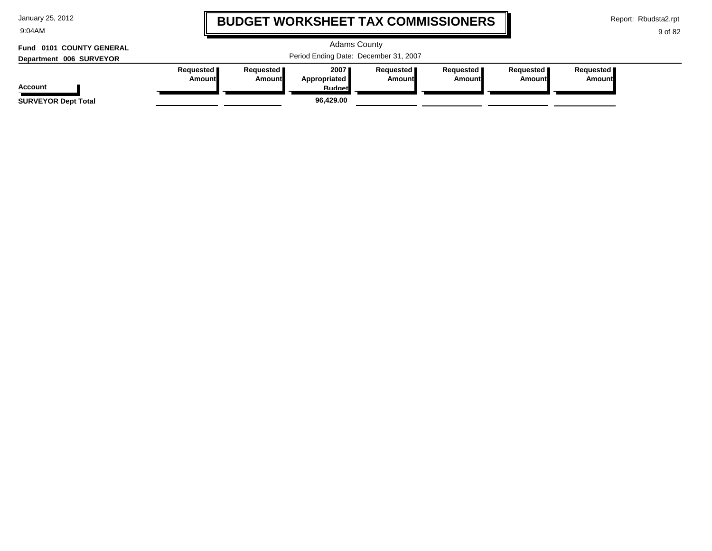| January 25, 2012 |  |  |  |
|------------------|--|--|--|
|------------------|--|--|--|

9:04AM

## **BUDGET WORKSHEET TAX COMMISSIONERS**

Report: Rbudsta2.rpt

**Amount**

9 of 82

#### Adams County Period Ending Date: December 31, 2007 **Account Department 006 SURVEYOR Fund 0101 COUNTY GENERAL Requested Amount Requested Amount 2007 Appropriated Budget Requested Amount Requested Amount Requested Amount Requested SURVEYOR Dept Total 96,429.00**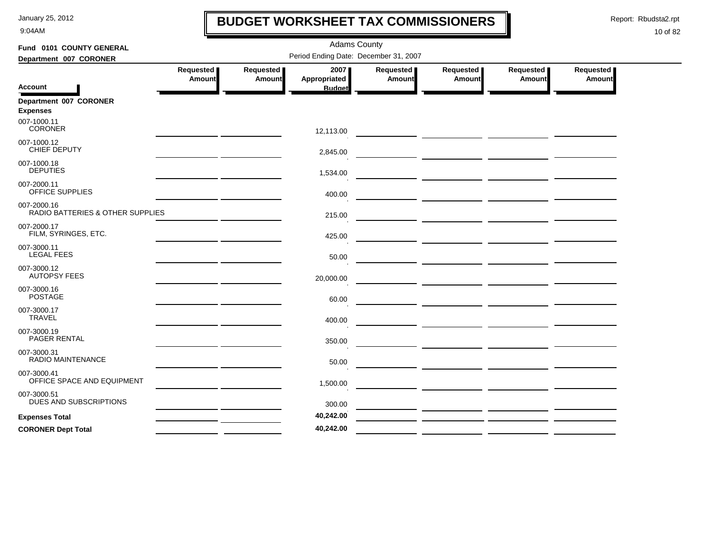9:04AM

## **BUDGET WORKSHEET TAX COMMISSIONERS**

Report: Rbudsta2.rpt

 $\mathbf l$ 

| Fund 0101 COUNTY GENERAL                        |                                                                                                                        |                            | <b>Adams County</b>                   |                     |                       |                       |                            |
|-------------------------------------------------|------------------------------------------------------------------------------------------------------------------------|----------------------------|---------------------------------------|---------------------|-----------------------|-----------------------|----------------------------|
| Department 007 CORONER                          |                                                                                                                        |                            | Period Ending Date: December 31, 2007 |                     |                       |                       |                            |
|                                                 | Requested  <br>Amount                                                                                                  | Requested<br><b>Amount</b> | 2007<br>Appropriated                  | Requested<br>Amount | Requested  <br>Amount | Requested  <br>Amount | Requested<br><b>Amount</b> |
| <b>Account</b>                                  |                                                                                                                        |                            | <b>Budget</b>                         |                     |                       |                       |                            |
| Department 007 CORONER<br><b>Expenses</b>       |                                                                                                                        |                            |                                       |                     |                       |                       |                            |
| 007-1000.11<br><b>CORONER</b>                   | <u> 1989 - Johann Harry Barn, mars an t-Amerikaansk kommunister (</u>                                                  |                            | 12,113.00                             |                     |                       |                       |                            |
| 007-1000.12<br>CHIEF DEPUTY                     | <u> 1989 - Johann John Stone, mars and de la population de la population de la population de la population de la</u>   |                            | 2,845.00                              |                     |                       |                       |                            |
| 007-1000.18<br><b>DEPUTIES</b>                  | <u> 1989 - Johann Stein, Amerikaansk politiker (</u>                                                                   |                            | 1,534.00                              |                     |                       |                       |                            |
| 007-2000.11<br>OFFICE SUPPLIES                  | <u> 1989 - Johann John Stone, mars et al. 1989 - John Stone, mars et al. 1989 - John Stone, mars et al. 1989 - Joh</u> |                            | 400.00                                |                     |                       |                       |                            |
| 007-2000.16<br>RADIO BATTERIES & OTHER SUPPLIES |                                                                                                                        |                            | 215.00                                |                     |                       |                       |                            |
| 007-2000.17<br>FILM, SYRINGES, ETC.             |                                                                                                                        |                            | 425.00                                |                     |                       |                       |                            |
| 007-3000.11<br><b>LEGAL FEES</b>                | <u> 1989 - Johann Stein, mars an t-Amerikaansk ferskeinder (</u>                                                       |                            | 50.00                                 |                     |                       |                       |                            |
| 007-3000.12<br><b>AUTOPSY FEES</b>              |                                                                                                                        |                            | 20,000.00                             |                     |                       |                       |                            |
| 007-3000.16<br><b>POSTAGE</b>                   |                                                                                                                        |                            | 60.00                                 |                     |                       |                       |                            |
| 007-3000.17<br><b>TRAVEL</b>                    |                                                                                                                        |                            | 400.00                                |                     |                       |                       |                            |
| 007-3000.19<br>PAGER RENTAL                     | <u> 1989 - Johann John Stein, mars an de British (b. 1989)</u>                                                         |                            | 350.00                                |                     |                       |                       |                            |
| 007-3000.31<br><b>RADIO MAINTENANCE</b>         |                                                                                                                        |                            | 50.00                                 |                     |                       |                       |                            |
| 007-3000.41<br>OFFICE SPACE AND EQUIPMENT       |                                                                                                                        |                            | 1,500.00                              |                     |                       |                       |                            |
| 007-3000.51<br><b>DUES AND SUBSCRIPTIONS</b>    | the contract of the contract of the contract of the contract of                                                        |                            | 300.00                                |                     |                       |                       |                            |
| <b>Expenses Total</b>                           |                                                                                                                        |                            | 40,242.00                             |                     |                       |                       |                            |
| <b>CORONER Dept Total</b>                       |                                                                                                                        |                            | 40,242.00                             |                     |                       |                       |                            |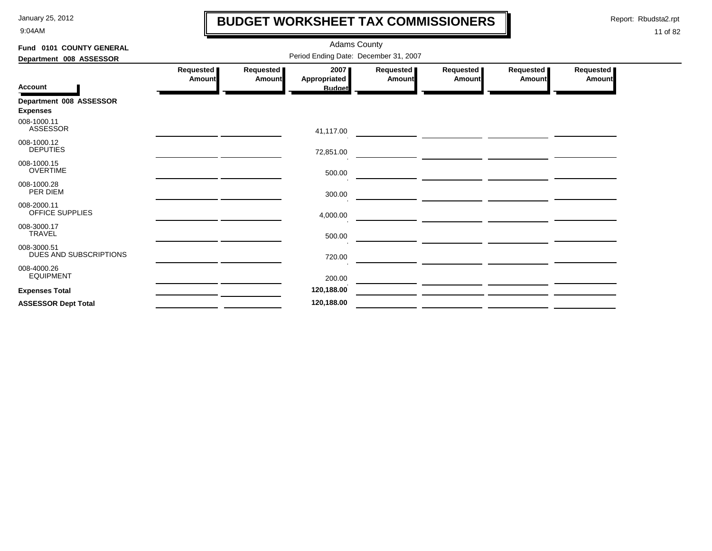9:04AM

## **BUDGET WORKSHEET TAX COMMISSIONERS**

Report: Rbudsta2.rpt

 $\mathbf I$ 

| Fund 0101 COUNTY GENERAL              |                            |                     | Adams County         |                            |                                                                                                                      |                     |                            |
|---------------------------------------|----------------------------|---------------------|----------------------|----------------------------|----------------------------------------------------------------------------------------------------------------------|---------------------|----------------------------|
| Department 008 ASSESSOR               |                            |                     |                      |                            |                                                                                                                      |                     |                            |
|                                       | Requested<br><b>Amount</b> | Requested<br>Amount | 2007<br>Appropriated | Requested<br><b>Amount</b> | Requested  <br>Amount                                                                                                | Requested<br>Amount | Requested<br><b>Amount</b> |
| <b>Account</b>                        |                            |                     | <b>Budget</b>        |                            |                                                                                                                      |                     |                            |
| Department 008 ASSESSOR               |                            |                     |                      |                            |                                                                                                                      |                     |                            |
| <b>Expenses</b>                       |                            |                     |                      |                            |                                                                                                                      |                     |                            |
| 008-1000.11<br><b>ASSESSOR</b>        |                            |                     | 41,117.00            |                            |                                                                                                                      |                     |                            |
| 008-1000.12<br><b>DEPUTIES</b>        |                            |                     | 72,851.00            |                            | <u> 1980 - Johann Barbara, martxa eta idazlea (h. 1980).</u><br>1980 - Johann Barbara, italiar musikaria (h. 1980).  |                     |                            |
| 008-1000.15<br><b>OVERTIME</b>        |                            |                     | 500.00               |                            | <u> Andreas Andreas Andreas Andreas Andreas Andreas Andreas Andreas Andreas Andreas Andreas Andreas Andreas Andr</u> |                     |                            |
| 008-1000.28<br>PER DIEM               |                            |                     | 300.00               |                            |                                                                                                                      |                     |                            |
| 008-2000.11<br>OFFICE SUPPLIES        |                            |                     | 4,000.00             |                            | <u> Andreas Andreas Andreas Andreas Andreas Andreas Andreas Andreas Andreas Andreas Andreas Andreas Andreas Andr</u> |                     |                            |
| 008-3000.17<br><b>TRAVEL</b>          |                            |                     | 500.00               |                            |                                                                                                                      |                     |                            |
| 008-3000.51<br>DUES AND SUBSCRIPTIONS |                            |                     | 720.00               |                            | <u> 1980 - Johann John Stein, marwolaethau (b. 1980)</u>                                                             |                     |                            |
| 008-4000.26<br><b>EQUIPMENT</b>       |                            |                     | 200.00               |                            |                                                                                                                      |                     |                            |
| <b>Expenses Total</b>                 |                            |                     | 120,188.00           |                            |                                                                                                                      |                     |                            |
| <b>ASSESSOR Dept Total</b>            |                            |                     | 120,188.00           |                            |                                                                                                                      |                     |                            |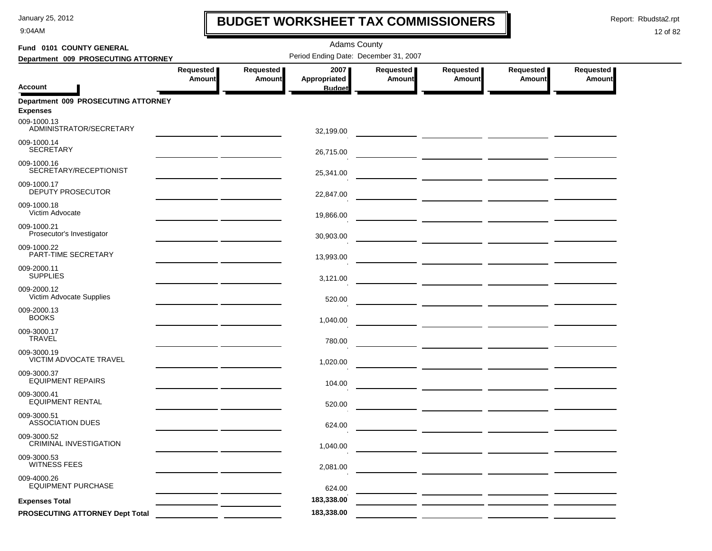9:04AM

## **BUDGET WORKSHEET TAX COMMISSIONERS**

Report: Rbudsta2.rpt

 $\mathbf I$ 

| Fund 0101 COUNTY GENERAL                               | <b>Adams County</b>                          |                            |                                       |                            |                                                                                                                                                                                                                                      |                            |                            |  |  |  |
|--------------------------------------------------------|----------------------------------------------|----------------------------|---------------------------------------|----------------------------|--------------------------------------------------------------------------------------------------------------------------------------------------------------------------------------------------------------------------------------|----------------------------|----------------------------|--|--|--|
| Department 009 PROSECUTING ATTORNEY                    |                                              |                            | Period Ending Date: December 31, 2007 |                            |                                                                                                                                                                                                                                      |                            |                            |  |  |  |
| <b>Account</b>                                         | Requested<br>Amount                          | Requested<br><b>Amount</b> | 2007<br>Appropriated<br><b>Budget</b> | Requested<br><b>Amount</b> | Requested<br><b>Amount</b>                                                                                                                                                                                                           | Requested<br><b>Amount</b> | Requested<br><b>Amount</b> |  |  |  |
| Department 009 PROSECUTING ATTORNEY<br><b>Expenses</b> |                                              |                            |                                       |                            |                                                                                                                                                                                                                                      |                            |                            |  |  |  |
| 009-1000.13<br>ADMINISTRATOR/SECRETARY                 |                                              |                            | 32,199.00                             |                            |                                                                                                                                                                                                                                      |                            |                            |  |  |  |
| 009-1000.14<br><b>SECRETARY</b>                        |                                              |                            | 26,715.00                             |                            |                                                                                                                                                                                                                                      |                            |                            |  |  |  |
| 009-1000.16<br>SECRETARY/RECEPTIONIST                  |                                              |                            | 25,341.00                             |                            |                                                                                                                                                                                                                                      |                            |                            |  |  |  |
| 009-1000.17<br><b>DEPUTY PROSECUTOR</b>                |                                              |                            | 22,847.00                             |                            |                                                                                                                                                                                                                                      |                            |                            |  |  |  |
| 009-1000.18<br>Victim Advocate                         |                                              |                            | 19,866.00                             |                            | <u> The Common State of the Common State of the Common State of the Common State of the Common State of the Common State of the Common State of the Common State of the Common State of the Common State of the Common State of </u> |                            |                            |  |  |  |
| 009-1000.21<br>Prosecutor's Investigator               |                                              |                            | 30,903.00                             |                            |                                                                                                                                                                                                                                      |                            |                            |  |  |  |
| 009-1000.22<br>PART-TIME SECRETARY                     |                                              |                            | 13,993.00                             |                            |                                                                                                                                                                                                                                      |                            |                            |  |  |  |
| 009-2000.11<br><b>SUPPLIES</b>                         |                                              |                            | 3,121.00                              |                            |                                                                                                                                                                                                                                      |                            |                            |  |  |  |
| 009-2000.12<br>Victim Advocate Supplies                | the control of the control of the control of |                            | 520.00                                |                            | — <u>— — — — — — — — — — — — —</u>                                                                                                                                                                                                   |                            |                            |  |  |  |
| 009-2000.13<br><b>BOOKS</b>                            |                                              |                            | 1,040.00                              |                            | — <u>— — — — — — — — — — — — —</u>                                                                                                                                                                                                   |                            |                            |  |  |  |
| 009-3000.17<br><b>TRAVEL</b>                           |                                              |                            | 780.00                                |                            |                                                                                                                                                                                                                                      |                            |                            |  |  |  |
| 009-3000.19<br>VICTIM ADVOCATE TRAVEL                  |                                              |                            | 1,020.00                              |                            |                                                                                                                                                                                                                                      |                            |                            |  |  |  |
| 009-3000.37<br><b>EQUIPMENT REPAIRS</b>                |                                              |                            | 104.00                                |                            | — <u>— — — — — — — — — — — — —</u>                                                                                                                                                                                                   |                            |                            |  |  |  |
| 009-3000.41<br><b>EQUIPMENT RENTAL</b>                 |                                              |                            | 520.00                                |                            |                                                                                                                                                                                                                                      |                            |                            |  |  |  |
| 009-3000.51<br><b>ASSOCIATION DUES</b>                 |                                              |                            | 624.00                                |                            |                                                                                                                                                                                                                                      |                            |                            |  |  |  |
| 009-3000.52<br><b>CRIMINAL INVESTIGATION</b>           |                                              |                            | 1,040.00                              |                            |                                                                                                                                                                                                                                      |                            |                            |  |  |  |
| 009-3000.53<br><b>WITNESS FEES</b>                     |                                              |                            | 2,081.00                              |                            |                                                                                                                                                                                                                                      |                            |                            |  |  |  |
| 009-4000.26<br><b>EQUIPMENT PURCHASE</b>               |                                              |                            | 624.00                                |                            |                                                                                                                                                                                                                                      |                            |                            |  |  |  |
| <b>Expenses Total</b>                                  |                                              |                            | 183,338.00                            |                            |                                                                                                                                                                                                                                      |                            |                            |  |  |  |
| PROSECUTING ATTORNEY Dept Total                        |                                              |                            | 183,338.00                            |                            |                                                                                                                                                                                                                                      |                            |                            |  |  |  |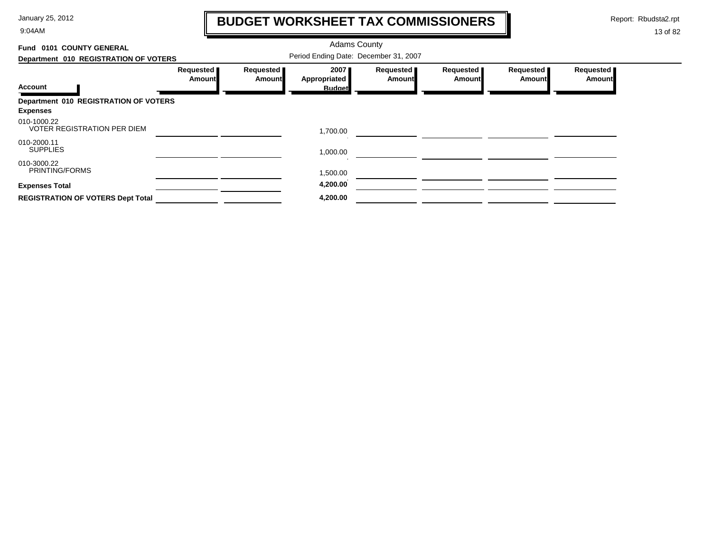9:04AM

## **BUDGET WORKSHEET TAX COMMISSIONERS**

Report: Rbudsta2.rpt

 $\mathbf \mathbf I$ 

| 0101 COUNTY GENERAL<br>Fund                              |                     |                                       | <b>Adams County</b>  |                            |                            |                     |                            |
|----------------------------------------------------------|---------------------|---------------------------------------|----------------------|----------------------------|----------------------------|---------------------|----------------------------|
| Department 010 REGISTRATION OF VOTERS                    |                     | Period Ending Date: December 31, 2007 |                      |                            |                            |                     |                            |
|                                                          | Requested<br>Amount | Requested<br>Amount                   | 2007<br>Appropriated | Requested<br><b>Amount</b> | Requested<br><b>Amount</b> | Requested<br>Amount | Requested<br><b>Amount</b> |
| <b>Account</b>                                           |                     |                                       | <b>Budget</b>        |                            |                            |                     |                            |
| Department 010 REGISTRATION OF VOTERS<br><b>Expenses</b> |                     |                                       |                      |                            |                            |                     |                            |
| 010-1000.22<br><b>VOTER REGISTRATION PER DIEM</b>        |                     |                                       | 1,700.00             |                            |                            |                     |                            |
| 010-2000.11<br><b>SUPPLIES</b>                           |                     |                                       | 1,000.00             |                            |                            |                     |                            |
| 010-3000.22<br>PRINTING/FORMS                            |                     |                                       | 1,500.00             |                            |                            |                     |                            |
| <b>Expenses Total</b>                                    |                     |                                       | 4,200.00             |                            |                            |                     |                            |
| <b>REGISTRATION OF VOTERS Dept Total</b>                 |                     |                                       | 4,200.00             |                            |                            |                     |                            |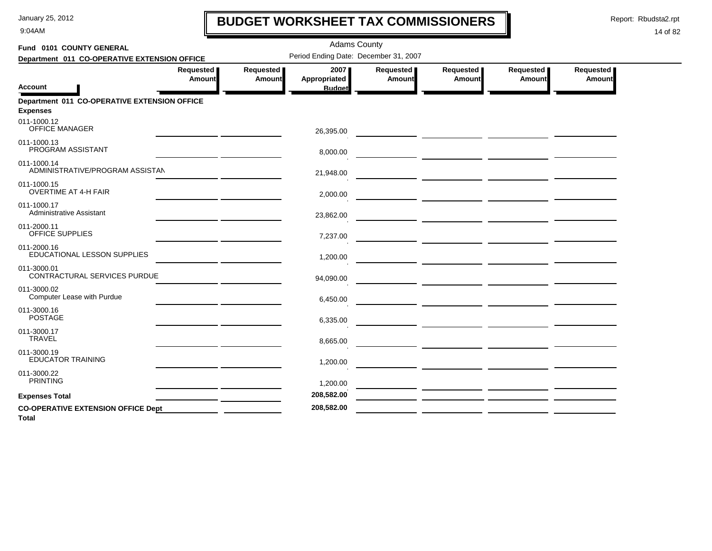9:04AM

## **BUDGET WORKSHEET TAX COMMISSIONERS**

Report: Rbudsta2.rpt

 $\mathbf l$ 

| Fund 0101 COUNTY GENERAL                                        |                            |                            | <b>Adams County</b>                   |                       |                                                                                                                  |                            |                     |
|-----------------------------------------------------------------|----------------------------|----------------------------|---------------------------------------|-----------------------|------------------------------------------------------------------------------------------------------------------|----------------------------|---------------------|
| Department 011 CO-OPERATIVE EXTENSION OFFICE                    |                            |                            | Period Ending Date: December 31, 2007 |                       |                                                                                                                  |                            |                     |
| <b>Account</b>                                                  | Requested<br><b>Amount</b> | Requested<br><b>Amount</b> | 2007<br>Appropriated<br><b>Budget</b> | Requested  <br>Amount | Requested<br>Amount                                                                                              | Requested<br><b>Amount</b> | Requested<br>Amount |
| Department 011 CO-OPERATIVE EXTENSION OFFICE<br><b>Expenses</b> |                            |                            |                                       |                       |                                                                                                                  |                            |                     |
| 011-1000.12<br><b>OFFICE MANAGER</b>                            |                            |                            | 26,395.00                             |                       | <u> 1990 - Johann John Harrison, markin amerikan (</u>                                                           |                            |                     |
| 011-1000.13<br>PROGRAM ASSISTANT                                |                            |                            | 8,000.00                              |                       |                                                                                                                  |                            |                     |
| 011-1000.14<br>ADMINISTRATIVE/PROGRAM ASSISTAN                  |                            |                            | 21,948.00                             |                       |                                                                                                                  |                            |                     |
| 011-1000.15<br><b>OVERTIME AT 4-H FAIR</b>                      |                            |                            | 2,000.00                              |                       |                                                                                                                  |                            |                     |
| 011-1000.17<br><b>Administrative Assistant</b>                  |                            |                            | 23,862.00                             |                       |                                                                                                                  |                            |                     |
| 011-2000.11<br>OFFICE SUPPLIES                                  |                            |                            | 7,237.00                              |                       |                                                                                                                  |                            |                     |
| 011-2000.16<br>EDUCATIONAL LESSON SUPPLIES                      |                            |                            | 1,200.00                              |                       |                                                                                                                  |                            |                     |
| 011-3000.01<br>CONTRACTURAL SERVICES PURDUE                     |                            |                            | 94,090.00                             |                       |                                                                                                                  |                            |                     |
| 011-3000.02<br>Computer Lease with Purdue                       |                            |                            | 6,450.00                              |                       |                                                                                                                  |                            |                     |
| 011-3000.16<br><b>POSTAGE</b>                                   |                            |                            | 6,335.00                              |                       |                                                                                                                  |                            |                     |
| 011-3000.17<br><b>TRAVEL</b>                                    |                            |                            | 8,665.00                              |                       | <u> 1980 - Johann Barbara, martin ann an t-Amhain ann an t-Amhain ann an t-Amhain ann an t-Amhain ann an t-A</u> |                            |                     |
| 011-3000.19<br><b>EDUCATOR TRAINING</b>                         |                            |                            | 1,200.00                              |                       |                                                                                                                  |                            |                     |
| 011-3000.22<br><b>PRINTING</b>                                  |                            |                            | 1,200.00                              |                       |                                                                                                                  |                            |                     |
| <b>Expenses Total</b>                                           |                            |                            | 208,582.00                            |                       |                                                                                                                  |                            |                     |
| <b>CO-OPERATIVE EXTENSION OFFICE Dept</b><br><b>Total</b>       |                            |                            | 208,582.00                            |                       |                                                                                                                  |                            |                     |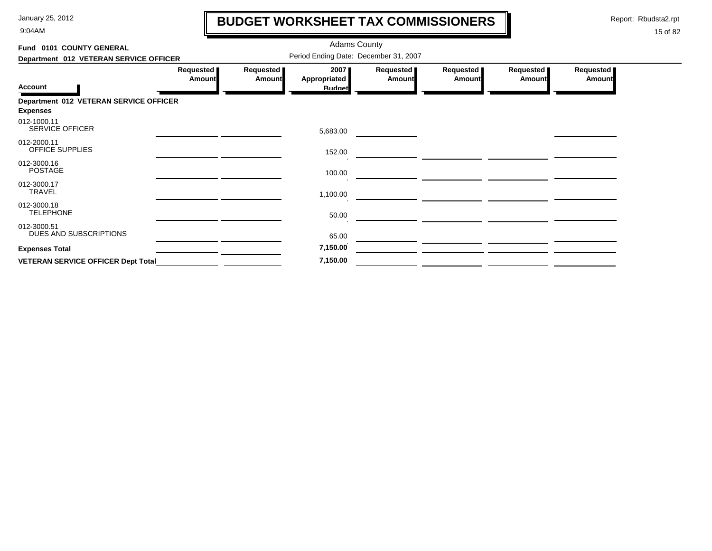9:04AM

# **BUDGET WORKSHEET TAX COMMISSIONERS**

Report: Rbudsta2.rpt

 $\mathbf l$ 

| Fund 0101 COUNTY GENERAL                  |                            |                                       |                                              |                            |                            |                     |                            |  |  |
|-------------------------------------------|----------------------------|---------------------------------------|----------------------------------------------|----------------------------|----------------------------|---------------------|----------------------------|--|--|
| Department 012 VETERAN SERVICE OFFICER    |                            | Period Ending Date: December 31, 2007 |                                              |                            |                            |                     |                            |  |  |
| <b>Account</b>                            | Requested<br><b>Amount</b> | Requested<br><b>Amount</b>            | 2007<br><b>Appropriated</b><br><b>Budget</b> | Requested<br><b>Amount</b> | Requested<br><b>Amount</b> | Requested<br>Amount | Requested<br><b>Amount</b> |  |  |
| Department 012 VETERAN SERVICE OFFICER    |                            |                                       |                                              |                            |                            |                     |                            |  |  |
| <b>Expenses</b>                           |                            |                                       |                                              |                            |                            |                     |                            |  |  |
| 012-1000.11<br><b>SERVICE OFFICER</b>     |                            |                                       | 5,683.00                                     |                            |                            |                     |                            |  |  |
| 012-2000.11<br>OFFICE SUPPLIES            |                            |                                       | 152.00                                       |                            |                            |                     |                            |  |  |
| 012-3000.16<br><b>POSTAGE</b>             |                            |                                       | 100.00                                       |                            |                            |                     |                            |  |  |
| 012-3000.17<br><b>TRAVEL</b>              |                            |                                       | 1,100.00                                     |                            |                            |                     |                            |  |  |
| 012-3000.18<br><b>TELEPHONE</b>           |                            |                                       | 50.00                                        |                            |                            |                     |                            |  |  |
| 012-3000.51<br>DUES AND SUBSCRIPTIONS     |                            |                                       | 65.00                                        |                            |                            |                     |                            |  |  |
| <b>Expenses Total</b>                     |                            |                                       | 7,150.00                                     |                            |                            |                     |                            |  |  |
| <b>VETERAN SERVICE OFFICER Dept Total</b> |                            |                                       | 7,150.00                                     |                            |                            |                     |                            |  |  |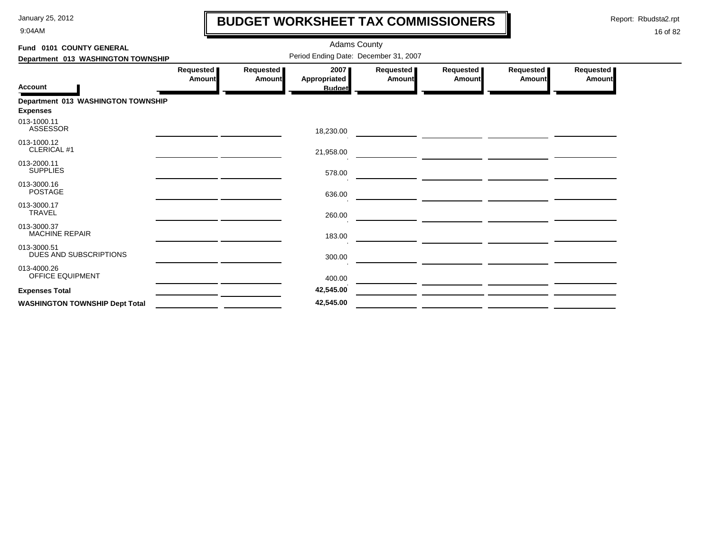9:04AM

## **BUDGET WORKSHEET TAX COMMISSIONERS**

Report: Rbudsta2.rpt

 $\mathbf l$ 

| Fund 0101 COUNTY GENERAL               |                     |                     |                                       |                     |                                                                                                                      |                     |                     |
|----------------------------------------|---------------------|---------------------|---------------------------------------|---------------------|----------------------------------------------------------------------------------------------------------------------|---------------------|---------------------|
| Department 013 WASHINGTON TOWNSHIP     |                     |                     | Period Ending Date: December 31, 2007 |                     |                                                                                                                      |                     |                     |
| <b>Account</b>                         | Requested<br>Amount | Requested<br>Amount | 2007<br>Appropriated<br><b>Budget</b> | Requested<br>Amount | Requested<br>Amount                                                                                                  | Requested<br>Amount | Requested<br>Amount |
| Department 013 WASHINGTON TOWNSHIP     |                     |                     |                                       |                     |                                                                                                                      |                     |                     |
| <b>Expenses</b>                        |                     |                     |                                       |                     |                                                                                                                      |                     |                     |
| 013-1000.11<br><b>ASSESSOR</b>         |                     |                     | 18,230.00                             |                     |                                                                                                                      |                     |                     |
| 013-1000.12<br>CLERICAL #1             |                     |                     | 21,958.00                             |                     | <u> Andreas Andreas Andreas Andreas Andreas Andreas Andreas Andreas Andreas Andreas Andreas Andreas Andreas Andr</u> |                     |                     |
| 013-2000.11<br><b>SUPPLIES</b>         |                     |                     | 578.00                                |                     | <u> Alban a Carl Charles (Carl Charl Charl</u>                                                                       |                     |                     |
| 013-3000.16<br><b>POSTAGE</b>          |                     |                     | 636.00                                |                     |                                                                                                                      |                     |                     |
| 013-3000.17<br><b>TRAVEL</b>           |                     |                     | 260.00                                |                     |                                                                                                                      |                     |                     |
| 013-3000.37<br><b>MACHINE REPAIR</b>   |                     |                     | 183.00                                |                     |                                                                                                                      |                     |                     |
| 013-3000.51<br>DUES AND SUBSCRIPTIONS  |                     |                     | 300.00                                |                     | <u> 1980 - John Stein, amerikansk politiker (d. 1980)</u>                                                            |                     |                     |
| 013-4000.26<br><b>OFFICE EQUIPMENT</b> |                     |                     | 400.00                                |                     |                                                                                                                      |                     |                     |
| <b>Expenses Total</b>                  |                     |                     | 42,545.00                             |                     |                                                                                                                      |                     |                     |
| <b>WASHINGTON TOWNSHIP Dept Total</b>  |                     |                     | 42,545.00                             |                     |                                                                                                                      |                     |                     |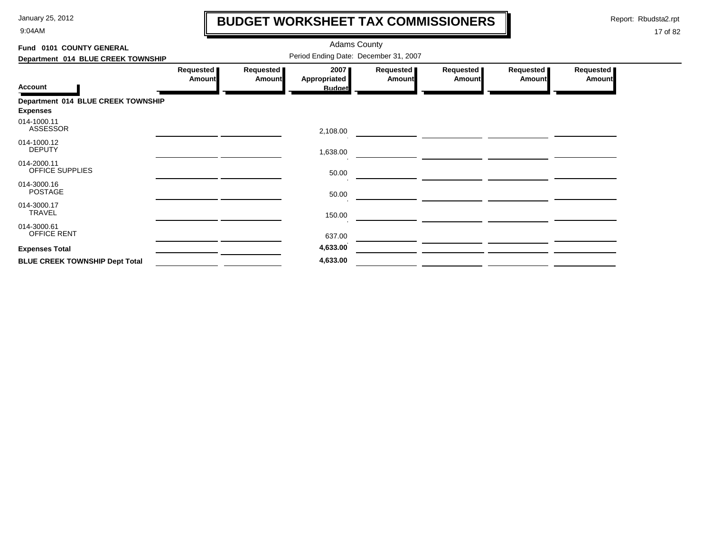9:04AM

# **BUDGET WORKSHEET TAX COMMISSIONERS**

Report: Rbudsta2.rpt

 $\mathbf l$ 

| Fund 0101 COUNTY GENERAL              |                                       |                     | <b>Adams County</b>                   |                            |                            |                            |                            |  |  |
|---------------------------------------|---------------------------------------|---------------------|---------------------------------------|----------------------------|----------------------------|----------------------------|----------------------------|--|--|
| Department 014 BLUE CREEK TOWNSHIP    | Period Ending Date: December 31, 2007 |                     |                                       |                            |                            |                            |                            |  |  |
| <b>Account</b>                        | Requested<br><b>Amount</b>            | Requested<br>Amount | 2007<br>Appropriated<br><b>Budget</b> | Requested<br><b>Amount</b> | Requested<br><b>Amount</b> | Requested<br><b>Amount</b> | Requested<br><b>Amount</b> |  |  |
| Department 014 BLUE CREEK TOWNSHIP    |                                       |                     |                                       |                            |                            |                            |                            |  |  |
| <b>Expenses</b>                       |                                       |                     |                                       |                            |                            |                            |                            |  |  |
| 014-1000.11<br><b>ASSESSOR</b>        |                                       |                     | 2,108.00                              |                            |                            |                            |                            |  |  |
| 014-1000.12<br><b>DEPUTY</b>          |                                       |                     | 1,638.00                              |                            |                            |                            |                            |  |  |
| 014-2000.11<br>OFFICE SUPPLIES        |                                       |                     | 50.00                                 |                            |                            |                            |                            |  |  |
| 014-3000.16<br><b>POSTAGE</b>         |                                       |                     | 50.00                                 |                            |                            |                            |                            |  |  |
| 014-3000.17<br>TRAVEL                 |                                       |                     | 150.00                                |                            |                            |                            |                            |  |  |
| 014-3000.61<br>OFFICE RENT            |                                       |                     | 637.00                                |                            |                            |                            |                            |  |  |
| <b>Expenses Total</b>                 |                                       |                     | 4,633.00                              |                            |                            |                            |                            |  |  |
| <b>BLUE CREEK TOWNSHIP Dept Total</b> |                                       |                     | 4,633.00                              |                            |                            |                            |                            |  |  |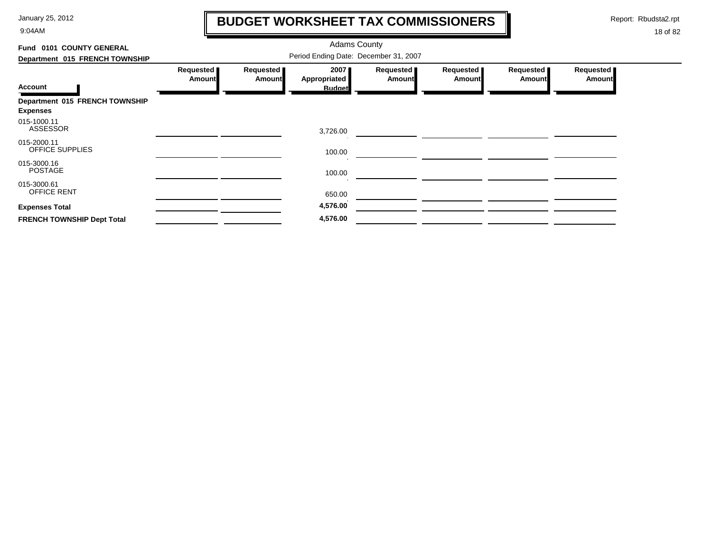9:04AM

## **BUDGET WORKSHEET TAX COMMISSIONERS**

Report: Rbudsta2.rpt

 $\mathbf l$ 

| Fund 0101 COUNTY GENERAL                          |                              |                            |                                       |                            |                            |                     |                     |
|---------------------------------------------------|------------------------------|----------------------------|---------------------------------------|----------------------------|----------------------------|---------------------|---------------------|
| Department 015 FRENCH TOWNSHIP                    |                              |                            |                                       |                            |                            |                     |                     |
| Account                                           | Requested  <br><b>Amount</b> | Requested<br><b>Amount</b> | 2007<br>Appropriated<br><b>Budget</b> | Requested<br><b>Amount</b> | Requested<br><b>Amount</b> | Requested<br>Amount | Requested<br>Amount |
| Department 015 FRENCH TOWNSHIP<br><b>Expenses</b> |                              |                            |                                       |                            |                            |                     |                     |
| 015-1000.11<br><b>ASSESSOR</b>                    |                              |                            | 3,726.00                              |                            |                            |                     |                     |
| 015-2000.11<br><b>OFFICE SUPPLIES</b>             |                              |                            | 100.00                                |                            |                            |                     |                     |
| 015-3000.16<br><b>POSTAGE</b>                     |                              |                            | 100.00                                |                            |                            |                     |                     |
| 015-3000.61<br>OFFICE RENT                        |                              |                            | 650.00                                |                            |                            |                     |                     |
| <b>Expenses Total</b>                             |                              |                            | 4,576.00                              |                            |                            |                     |                     |
| <b>FRENCH TOWNSHIP Dept Total</b>                 |                              |                            | 4,576.00                              |                            |                            |                     |                     |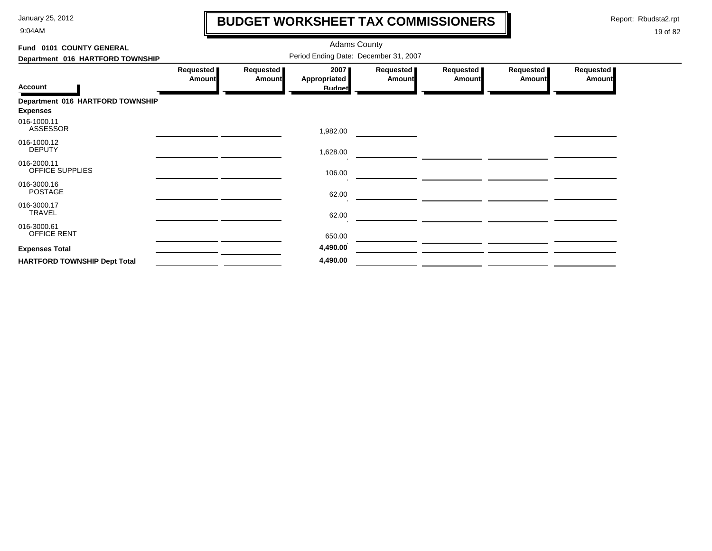9:04AM

# **BUDGET WORKSHEET TAX COMMISSIONERS**

Report: Rbudsta2.rpt

 $\mathbf l$ 

| Fund 0101 COUNTY GENERAL            |                                       |                            | <b>Adams County</b>                          |                            |                            |                            |                            |  |  |  |
|-------------------------------------|---------------------------------------|----------------------------|----------------------------------------------|----------------------------|----------------------------|----------------------------|----------------------------|--|--|--|
| Department 016 HARTFORD TOWNSHIP    | Period Ending Date: December 31, 2007 |                            |                                              |                            |                            |                            |                            |  |  |  |
| <b>Account</b>                      | Requested<br><b>Amount</b>            | Requested<br><b>Amount</b> | 2007<br><b>Appropriated</b><br><b>Budget</b> | Requested<br><b>Amount</b> | Requested<br><b>Amount</b> | Requested<br><b>Amount</b> | Requested<br><b>Amount</b> |  |  |  |
| Department 016 HARTFORD TOWNSHIP    |                                       |                            |                                              |                            |                            |                            |                            |  |  |  |
| <b>Expenses</b>                     |                                       |                            |                                              |                            |                            |                            |                            |  |  |  |
| 016-1000.11<br>ASSESSOR             |                                       |                            | 1,982.00                                     |                            |                            |                            |                            |  |  |  |
| 016-1000.12<br><b>DEPUTY</b>        |                                       |                            | 1,628.00                                     |                            |                            |                            |                            |  |  |  |
| 016-2000.11<br>OFFICE SUPPLIES      |                                       |                            | 106.00                                       |                            |                            |                            |                            |  |  |  |
| 016-3000.16<br><b>POSTAGE</b>       |                                       |                            | 62.00                                        |                            |                            |                            |                            |  |  |  |
| 016-3000.17<br><b>TRAVEL</b>        |                                       |                            | 62.00                                        |                            |                            |                            |                            |  |  |  |
| 016-3000.61<br>OFFICE RENT          |                                       |                            | 650.00                                       |                            |                            |                            |                            |  |  |  |
| <b>Expenses Total</b>               |                                       |                            | 4,490.00                                     |                            |                            |                            |                            |  |  |  |
| <b>HARTFORD TOWNSHIP Dept Total</b> |                                       |                            | 4,490.00                                     |                            |                            |                            |                            |  |  |  |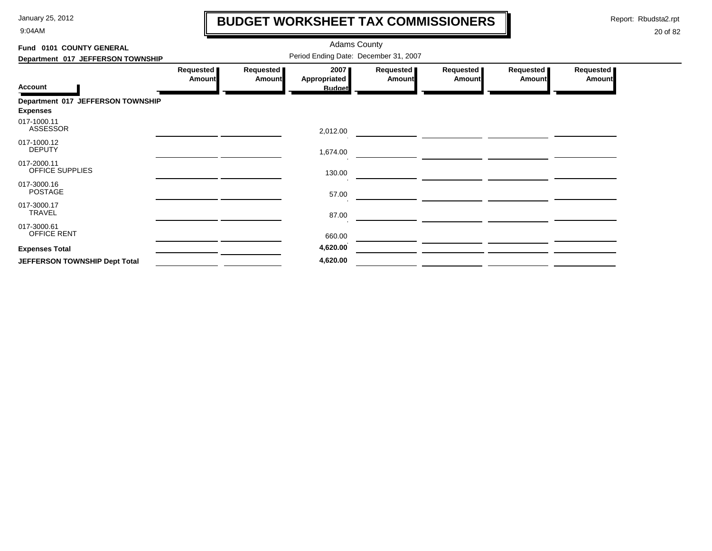9:04AM

# **BUDGET WORKSHEET TAX COMMISSIONERS**

Report: Rbudsta2.rpt

 $\mathbf l$ 

| Fund 0101 COUNTY GENERAL<br>Department 017 JEFFERSON TOWNSHIP | <b>Adams County</b><br>Period Ending Date: December 31, 2007 |                            |                                              |                            |                            |                            |                            |  |
|---------------------------------------------------------------|--------------------------------------------------------------|----------------------------|----------------------------------------------|----------------------------|----------------------------|----------------------------|----------------------------|--|
| <b>Account</b>                                                | Requested<br><b>Amount</b>                                   | Requested<br><b>Amount</b> | 2007<br><b>Appropriated</b><br><b>Budget</b> | Requested<br><b>Amount</b> | Requested<br><b>Amount</b> | Requested<br><b>Amount</b> | Requested<br><b>Amount</b> |  |
| Department 017 JEFFERSON TOWNSHIP<br><b>Expenses</b>          |                                                              |                            |                                              |                            |                            |                            |                            |  |
| 017-1000.11<br>ASSESSOR                                       |                                                              |                            | 2,012.00                                     |                            |                            |                            |                            |  |
| 017-1000.12<br><b>DEPUTY</b>                                  |                                                              |                            | 1,674.00                                     |                            |                            |                            |                            |  |
| 017-2000.11<br>OFFICE SUPPLIES                                |                                                              |                            | 130.00                                       |                            |                            |                            |                            |  |
| 017-3000.16<br><b>POSTAGE</b>                                 |                                                              |                            | 57.00                                        |                            |                            |                            |                            |  |
| 017-3000.17<br><b>TRAVEL</b>                                  |                                                              |                            | 87.00                                        |                            |                            |                            |                            |  |
| 017-3000.61<br>OFFICE RENT                                    |                                                              |                            | 660.00                                       |                            |                            |                            |                            |  |
| <b>Expenses Total</b>                                         |                                                              |                            | 4,620.00                                     |                            |                            |                            |                            |  |
| JEFFERSON TOWNSHIP Dept Total                                 |                                                              |                            | 4,620.00                                     |                            |                            |                            |                            |  |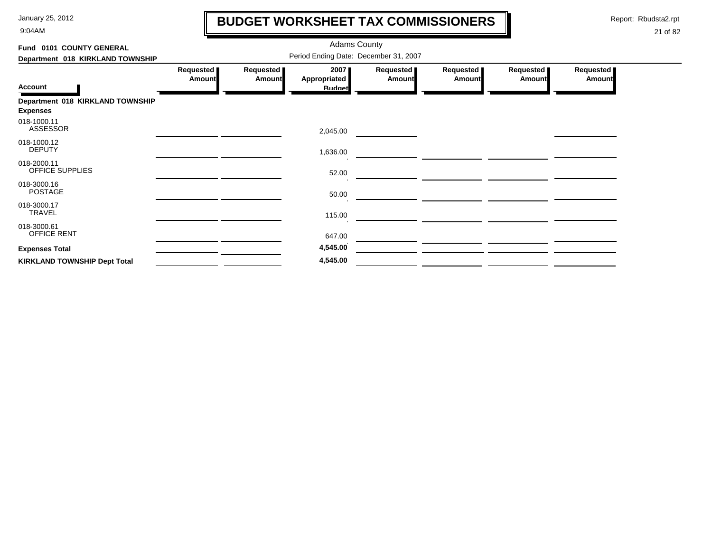9:04AM

# **BUDGET WORKSHEET TAX COMMISSIONERS**

Report: Rbudsta2.rpt

 $\mathbf l$ 

| Fund 0101 COUNTY GENERAL                            |                                       |                     |                      |                            |                              |                            |                            |  |  |
|-----------------------------------------------------|---------------------------------------|---------------------|----------------------|----------------------------|------------------------------|----------------------------|----------------------------|--|--|
| Department 018 KIRKLAND TOWNSHIP                    | Period Ending Date: December 31, 2007 |                     |                      |                            |                              |                            |                            |  |  |
|                                                     | Requested<br><b>Amount</b>            | Requested<br>Amount | 2007<br>Appropriated | Requested<br><b>Amount</b> | Requested  <br><b>Amount</b> | Requested<br><b>Amount</b> | Requested<br><b>Amount</b> |  |  |
| <b>Account</b>                                      |                                       |                     | <b>Budget</b>        |                            |                              |                            |                            |  |  |
| Department 018 KIRKLAND TOWNSHIP<br><b>Expenses</b> |                                       |                     |                      |                            |                              |                            |                            |  |  |
| 018-1000.11<br>ASSESSOR                             |                                       |                     | 2,045.00             |                            |                              |                            |                            |  |  |
| 018-1000.12<br><b>DEPUTY</b>                        |                                       |                     | 1,636.00             |                            |                              |                            |                            |  |  |
| 018-2000.11<br>OFFICE SUPPLIES                      |                                       |                     | 52.00                |                            |                              |                            |                            |  |  |
| 018-3000.16<br><b>POSTAGE</b>                       |                                       |                     | 50.00                |                            |                              |                            |                            |  |  |
| 018-3000.17<br><b>TRAVEL</b>                        |                                       |                     | 115.00               |                            |                              |                            |                            |  |  |
| 018-3000.61<br>OFFICE RENT                          |                                       |                     | 647.00               |                            |                              |                            |                            |  |  |
| <b>Expenses Total</b>                               |                                       |                     | 4,545.00             |                            |                              |                            |                            |  |  |
| <b>KIRKLAND TOWNSHIP Dept Total</b>                 |                                       |                     | 4,545.00             |                            |                              |                            |                            |  |  |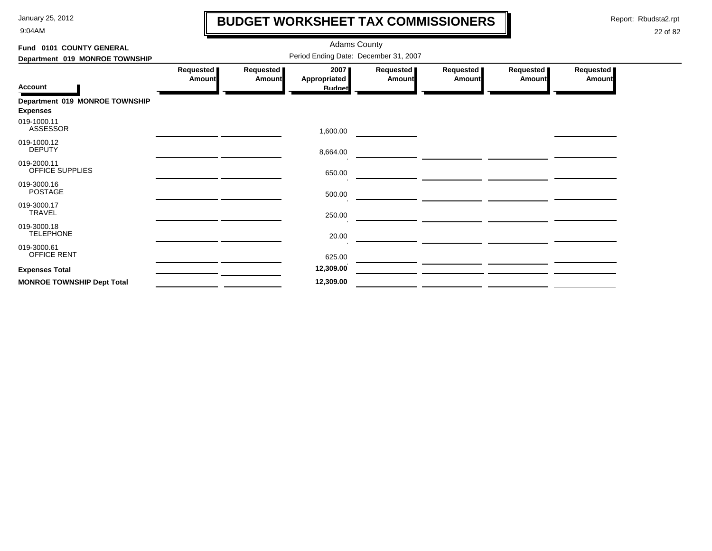9:04AM

## **BUDGET WORKSHEET TAX COMMISSIONERS**

Report: Rbudsta2.rpt

 $\mathbf \mathbf I$ 

| Fund 0101 COUNTY GENERAL<br>Department 019 MONROE TOWNSHIP |                            |                            |                                                                                |                            |                     |                            |                            |
|------------------------------------------------------------|----------------------------|----------------------------|--------------------------------------------------------------------------------|----------------------------|---------------------|----------------------------|----------------------------|
| <b>Account</b>                                             | Requested<br><b>Amount</b> | Requested<br><b>Amount</b> | Period Ending Date: December 31, 2007<br>2007<br>Appropriated<br><b>Budget</b> | Requested<br><b>Amount</b> | Requested<br>Amount | Requested<br><b>Amount</b> | Requested<br><b>Amount</b> |
| Department 019 MONROE TOWNSHIP<br><b>Expenses</b>          |                            |                            |                                                                                |                            |                     |                            |                            |
| 019-1000.11<br><b>ASSESSOR</b>                             |                            |                            | 1,600.00                                                                       |                            |                     |                            |                            |
| 019-1000.12<br><b>DEPUTY</b>                               |                            |                            | 8,664.00                                                                       |                            |                     |                            |                            |
| 019-2000.11<br>OFFICE SUPPLIES                             |                            |                            | 650.00                                                                         |                            |                     |                            |                            |
| 019-3000.16<br><b>POSTAGE</b>                              |                            |                            | 500.00                                                                         |                            |                     |                            |                            |
| 019-3000.17<br>TRAVEL                                      |                            |                            | 250.00                                                                         |                            |                     |                            |                            |
| 019-3000.18<br><b>TELEPHONE</b>                            |                            |                            | 20.00                                                                          |                            |                     |                            |                            |
| 019-3000.61<br><b>OFFICE RENT</b>                          |                            |                            | 625.00                                                                         |                            |                     |                            |                            |
| <b>Expenses Total</b>                                      |                            |                            | 12,309.00                                                                      |                            |                     |                            |                            |
| <b>MONROE TOWNSHIP Dept Total</b>                          |                            |                            | 12,309.00                                                                      |                            |                     |                            |                            |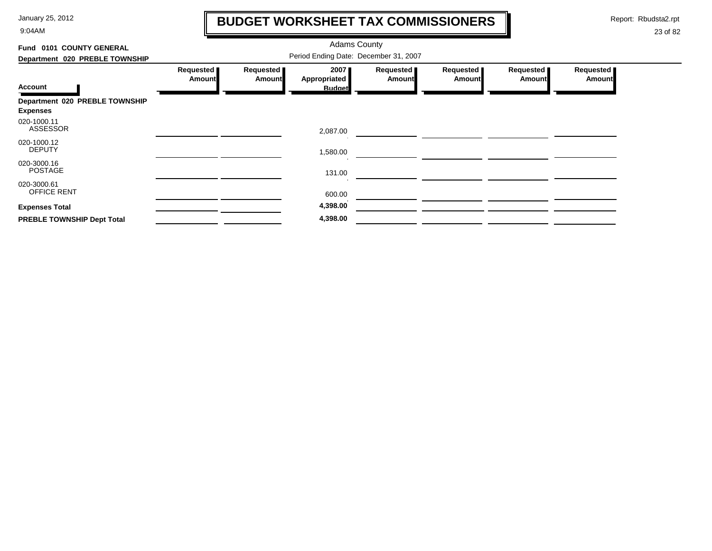9:04AM

## **BUDGET WORKSHEET TAX COMMISSIONERS**

Report: Rbudsta2.rpt

 $\mathbf l$ 

| Fund 0101 COUNTY GENERAL                          |                                       |                            |                      |                            |                            |                            |                            |  |  |
|---------------------------------------------------|---------------------------------------|----------------------------|----------------------|----------------------------|----------------------------|----------------------------|----------------------------|--|--|
| Department 020 PREBLE TOWNSHIP                    | Period Ending Date: December 31, 2007 |                            |                      |                            |                            |                            |                            |  |  |
| <b>Account</b>                                    | Requested<br>Amount                   | Requested<br><b>Amount</b> | 2007<br>Appropriated | Requested<br><b>Amount</b> | Requested<br><b>Amount</b> | Requested<br><b>Amount</b> | Requested<br><b>Amount</b> |  |  |
|                                                   |                                       |                            | <b>Budget</b>        |                            |                            |                            |                            |  |  |
| Department 020 PREBLE TOWNSHIP<br><b>Expenses</b> |                                       |                            |                      |                            |                            |                            |                            |  |  |
| 020-1000.11<br><b>ASSESSOR</b>                    |                                       |                            | 2,087.00             |                            |                            |                            |                            |  |  |
| 020-1000.12<br><b>DEPUTY</b>                      |                                       |                            | 1,580.00             |                            |                            |                            |                            |  |  |
| 020-3000.16<br><b>POSTAGE</b>                     |                                       |                            | 131.00               |                            |                            |                            |                            |  |  |
| 020-3000.61<br>OFFICE RENT                        |                                       |                            | 600.00               |                            |                            |                            |                            |  |  |
| <b>Expenses Total</b>                             |                                       |                            | 4,398.00             |                            |                            |                            |                            |  |  |
| PREBLE TOWNSHIP Dept Total                        |                                       |                            | 4,398.00             |                            |                            |                            |                            |  |  |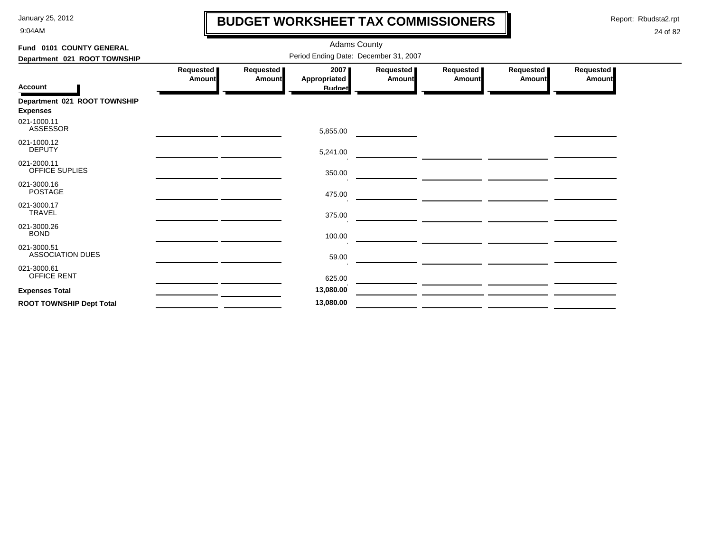9:04AM

## **BUDGET WORKSHEET TAX COMMISSIONERS**

Report: Rbudsta2.rpt

 $\mathbf I$ 

| Fund 0101 COUNTY GENERAL                        |                            |                                       | <b>Adams County</b>                   |                            |                                                                     |                       |                     |  |  |  |  |
|-------------------------------------------------|----------------------------|---------------------------------------|---------------------------------------|----------------------------|---------------------------------------------------------------------|-----------------------|---------------------|--|--|--|--|
| Department 021 ROOT TOWNSHIP                    |                            | Period Ending Date: December 31, 2007 |                                       |                            |                                                                     |                       |                     |  |  |  |  |
| <b>Account</b>                                  | Requested<br><b>Amount</b> | Requested<br>Amount                   | 2007<br>Appropriated<br><b>Budget</b> | Requested<br><b>Amount</b> | Requested  <br><b>Amount</b>                                        | Requested  <br>Amount | Requested<br>Amount |  |  |  |  |
| Department 021 ROOT TOWNSHIP<br><b>Expenses</b> |                            |                                       |                                       |                            |                                                                     |                       |                     |  |  |  |  |
| 021-1000.11<br><b>ASSESSOR</b>                  |                            |                                       | 5,855.00                              |                            |                                                                     |                       |                     |  |  |  |  |
| 021-1000.12<br><b>DEPUTY</b>                    |                            |                                       | 5,241.00                              |                            |                                                                     |                       |                     |  |  |  |  |
| 021-2000.11<br><b>OFFICE SUPLIES</b>            |                            |                                       | 350.00                                |                            |                                                                     |                       |                     |  |  |  |  |
| 021-3000.16<br><b>POSTAGE</b>                   |                            |                                       | 475.00                                |                            |                                                                     |                       |                     |  |  |  |  |
| 021-3000.17<br><b>TRAVEL</b>                    |                            |                                       | 375.00                                |                            |                                                                     |                       |                     |  |  |  |  |
| 021-3000.26<br><b>BOND</b>                      |                            |                                       | 100.00                                |                            | <u> 1989 - Johann John Stone, mars et al. 1989 - Anna ann an t-</u> |                       |                     |  |  |  |  |
| 021-3000.51<br><b>ASSOCIATION DUES</b>          |                            |                                       | 59.00                                 |                            |                                                                     |                       |                     |  |  |  |  |
| 021-3000.61<br>OFFICE RENT                      |                            |                                       | 625.00                                |                            |                                                                     |                       |                     |  |  |  |  |
| <b>Expenses Total</b>                           |                            |                                       | 13,080.00                             |                            |                                                                     |                       |                     |  |  |  |  |
| <b>ROOT TOWNSHIP Dept Total</b>                 |                            |                                       | 13,080.00                             |                            |                                                                     |                       |                     |  |  |  |  |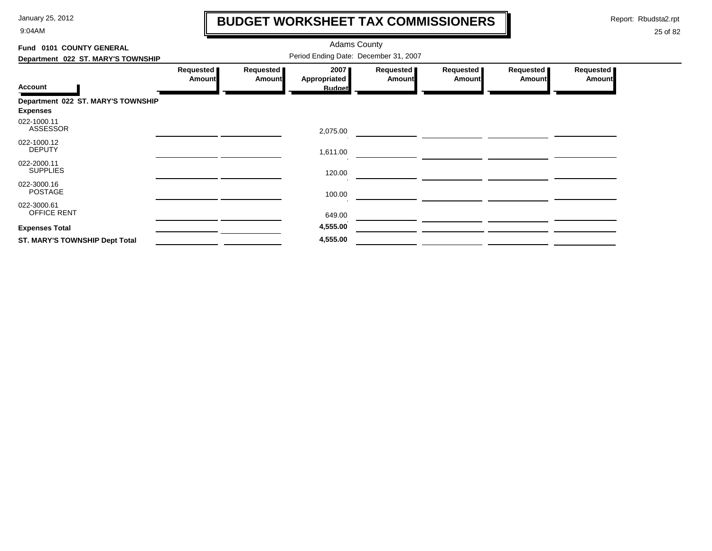9:04AM

# **BUDGET WORKSHEET TAX COMMISSIONERS**

Report: Rbudsta2.rpt

 $\mathbf \mathbf I$ 

| Fund 0101 COUNTY GENERAL              |                                       |                            | <b>Adams County</b>  |                            |                            |                            |                     |  |
|---------------------------------------|---------------------------------------|----------------------------|----------------------|----------------------------|----------------------------|----------------------------|---------------------|--|
| Department 022 ST. MARY'S TOWNSHIP    | Period Ending Date: December 31, 2007 |                            |                      |                            |                            |                            |                     |  |
|                                       | Requested<br><b>Amount</b>            | Requested<br><b>Amount</b> | 2007<br>Appropriated | Requested<br><b>Amount</b> | Requested<br><b>Amount</b> | Requested<br><b>Amount</b> | Requested<br>Amount |  |
| <b>Account</b>                        |                                       |                            | <b>Budget</b>        |                            |                            |                            |                     |  |
| Department 022 ST. MARY'S TOWNSHIP    |                                       |                            |                      |                            |                            |                            |                     |  |
| <b>Expenses</b>                       |                                       |                            |                      |                            |                            |                            |                     |  |
| 022-1000.11<br><b>ASSESSOR</b>        |                                       |                            | 2,075.00             |                            |                            |                            |                     |  |
| 022-1000.12<br><b>DEPUTY</b>          |                                       |                            | 1,611.00             |                            |                            |                            |                     |  |
| 022-2000.11<br><b>SUPPLIES</b>        |                                       |                            | 120.00               |                            |                            |                            |                     |  |
| 022-3000.16<br><b>POSTAGE</b>         |                                       |                            | 100.00               |                            |                            |                            |                     |  |
| 022-3000.61<br>OFFICE RENT            |                                       |                            | 649.00               |                            |                            |                            |                     |  |
| <b>Expenses Total</b>                 |                                       |                            | 4,555.00             |                            |                            |                            |                     |  |
| <b>ST. MARY'S TOWNSHIP Dept Total</b> |                                       |                            | 4,555.00             |                            |                            |                            |                     |  |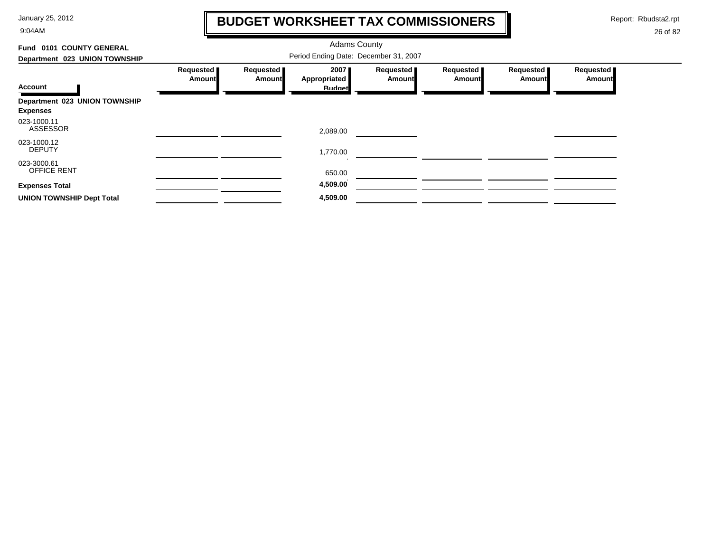9:04AM

## **BUDGET WORKSHEET TAX COMMISSIONERS**

Report: Rbudsta2.rpt

 $\mathbf \mathbf I$ 

| 0101 COUNTY GENERAL<br>Fund       |                     |                     | <b>Adams County</b>  |                     |                     |                     |                     |
|-----------------------------------|---------------------|---------------------|----------------------|---------------------|---------------------|---------------------|---------------------|
| Department 023 UNION TOWNSHIP     |                     |                     |                      |                     |                     |                     |                     |
|                                   | Requested<br>Amount | Requested<br>Amount | 2007<br>Appropriated | Requested<br>Amount | Requested<br>Amount | Requested<br>Amount | Requested<br>Amount |
| <b>Account</b>                    |                     |                     | <b>Budget</b>        |                     |                     |                     |                     |
| Department 023 UNION TOWNSHIP     |                     |                     |                      |                     |                     |                     |                     |
| <b>Expenses</b>                   |                     |                     |                      |                     |                     |                     |                     |
| 023-1000.11<br><b>ASSESSOR</b>    |                     |                     | 2,089.00             |                     |                     |                     |                     |
| 023-1000.12                       |                     |                     |                      |                     |                     |                     |                     |
| <b>DEPUTY</b>                     |                     |                     | 1,770.00             |                     |                     |                     |                     |
| 023-3000.61<br><b>OFFICE RENT</b> |                     |                     | 650.00               |                     |                     |                     |                     |
| <b>Expenses Total</b>             |                     |                     | 4,509.00             |                     |                     |                     |                     |
| <b>UNION TOWNSHIP Dept Total</b>  |                     |                     | 4,509.00             |                     |                     |                     |                     |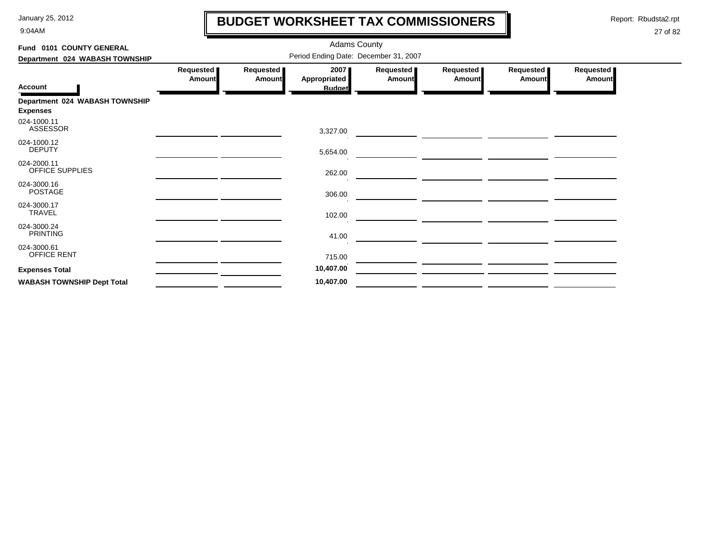9:04AM

## **BUDGET WORKSHEET TAX COMMISSIONERS**

Report: Rbudsta2.rpt

 $\mathbf \mathbf I$ 

| Fund 0101 COUNTY GENERAL                          |                     |                            |                                       |                              |                     |                     |                            |
|---------------------------------------------------|---------------------|----------------------------|---------------------------------------|------------------------------|---------------------|---------------------|----------------------------|
| Department 024 WABASH TOWNSHIP                    |                     |                            |                                       |                              |                     |                     |                            |
| <b>Account</b>                                    | Requested<br>Amount | Requested<br><b>Amount</b> | 2007<br>Appropriated<br><b>Budget</b> | Requested  <br><b>Amount</b> | Requested<br>Amount | Requested<br>Amount | Requested<br><b>Amount</b> |
| Department 024 WABASH TOWNSHIP<br><b>Expenses</b> |                     |                            |                                       |                              |                     |                     |                            |
| 024-1000.11<br><b>ASSESSOR</b>                    |                     |                            | 3,327.00                              |                              |                     |                     |                            |
| 024-1000.12<br><b>DEPUTY</b>                      |                     |                            | 5,654.00                              |                              |                     |                     |                            |
| 024-2000.11<br>OFFICE SUPPLIES                    |                     |                            | 262.00                                |                              |                     |                     |                            |
| 024-3000.16<br><b>POSTAGE</b>                     |                     |                            | 306.00                                |                              |                     |                     |                            |
| 024-3000.17<br>TRAVEL                             |                     |                            | 102.00                                |                              |                     |                     |                            |
| 024-3000.24<br><b>PRINTING</b>                    |                     |                            | 41.00                                 |                              |                     |                     |                            |
| 024-3000.61<br>OFFICE RENT                        |                     |                            | 715.00                                |                              |                     |                     |                            |
| <b>Expenses Total</b>                             |                     |                            | 10,407.00                             |                              |                     |                     |                            |
| <b>WABASH TOWNSHIP Dept Total</b>                 |                     |                            | 10,407.00                             |                              |                     |                     |                            |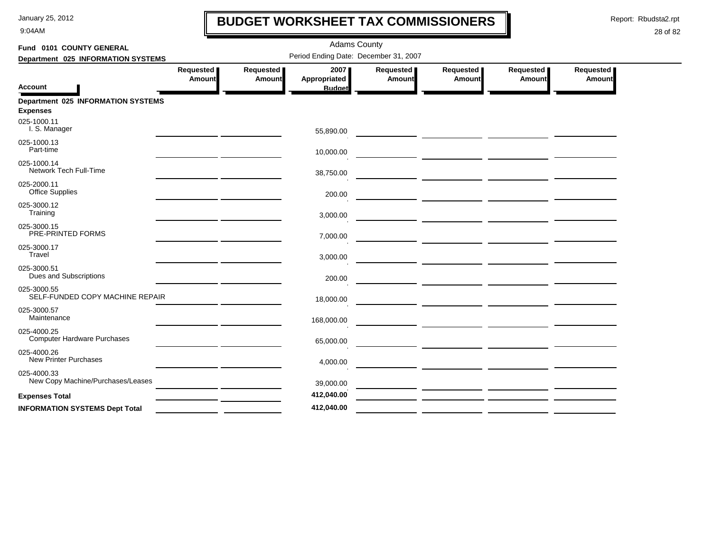9:04AM

## **BUDGET WORKSHEET TAX COMMISSIONERS**

Report: Rbudsta2.rpt

 $\mathbf l$ 

| Fund 0101 COUNTY GENERAL                              |                                              |                              | <b>Adams County</b>                   |                     |                     |                     |                     |
|-------------------------------------------------------|----------------------------------------------|------------------------------|---------------------------------------|---------------------|---------------------|---------------------|---------------------|
| Department 025 INFORMATION SYSTEMS                    |                                              |                              | Period Ending Date: December 31, 2007 |                     |                     |                     |                     |
| <b>Account</b>                                        | Requested<br><b>Amount</b>                   | Requested  <br><b>Amount</b> | 2007<br>Appropriated<br><b>Budget</b> | Requested<br>Amount | Requested<br>Amount | Requested<br>Amount | Requested<br>Amount |
| Department 025 INFORMATION SYSTEMS<br><b>Expenses</b> |                                              |                              |                                       |                     |                     |                     |                     |
| 025-1000.11<br>I. S. Manager                          |                                              |                              | 55,890.00                             |                     |                     |                     |                     |
| 025-1000.13<br>Part-time                              |                                              |                              | 10,000.00                             |                     |                     |                     |                     |
| 025-1000.14<br>Network Tech Full-Time                 |                                              |                              | 38,750.00                             |                     |                     |                     |                     |
| 025-2000.11<br><b>Office Supplies</b>                 |                                              |                              | 200.00                                |                     |                     |                     |                     |
| 025-3000.12<br>Training                               |                                              |                              | 3,000.00                              |                     |                     |                     |                     |
| 025-3000.15<br>PRE-PRINTED FORMS                      |                                              |                              | 7,000.00                              |                     |                     |                     |                     |
| 025-3000.17<br>Travel                                 |                                              |                              | 3,000.00                              |                     |                     |                     |                     |
| 025-3000.51<br>Dues and Subscriptions                 |                                              |                              | 200.00                                |                     |                     |                     |                     |
| 025-3000.55<br>SELF-FUNDED COPY MACHINE REPAIR        |                                              |                              | 18,000.00                             |                     |                     |                     |                     |
| 025-3000.57<br>Maintenance                            |                                              |                              | 168,000.00                            |                     |                     |                     |                     |
| 025-4000.25<br><b>Computer Hardware Purchases</b>     | the control of the control of the control of |                              | 65,000.00                             |                     |                     |                     |                     |
| 025-4000.26<br><b>New Printer Purchases</b>           |                                              |                              | 4,000.00                              |                     |                     |                     |                     |
| 025-4000.33<br>New Copy Machine/Purchases/Leases      |                                              |                              | 39,000.00                             |                     |                     |                     |                     |
| <b>Expenses Total</b>                                 |                                              |                              | 412,040.00                            |                     |                     |                     |                     |
| <b>INFORMATION SYSTEMS Dept Total</b>                 |                                              |                              | 412,040.00                            |                     |                     |                     |                     |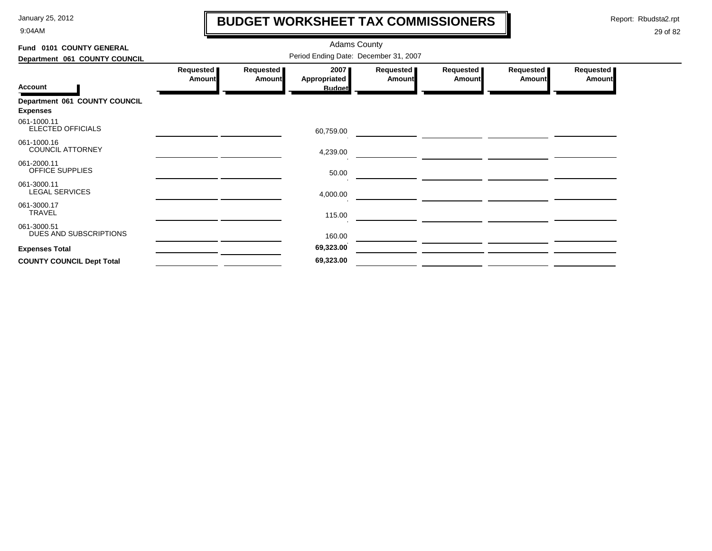9:04AM

## **BUDGET WORKSHEET TAX COMMISSIONERS**

Report: Rbudsta2.rpt

 $\mathbf l$ 

| Fund 0101 COUNTY GENERAL                         |                                       |                     |                                       |                            |                            |                            |                            |  |  |
|--------------------------------------------------|---------------------------------------|---------------------|---------------------------------------|----------------------------|----------------------------|----------------------------|----------------------------|--|--|
| Department 061 COUNTY COUNCIL                    | Period Ending Date: December 31, 2007 |                     |                                       |                            |                            |                            |                            |  |  |
| <b>Account</b>                                   | Requested<br>Amount                   | Requested<br>Amount | 2007<br>Appropriated<br><b>Budget</b> | Requested<br><b>Amount</b> | Requested<br><b>Amount</b> | Requested<br><b>Amount</b> | Requested<br><b>Amount</b> |  |  |
| Department 061 COUNTY COUNCIL<br><b>Expenses</b> |                                       |                     |                                       |                            |                            |                            |                            |  |  |
| 061-1000.11<br>ELECTED OFFICIALS                 |                                       |                     | 60,759.00                             |                            |                            |                            |                            |  |  |
| 061-1000.16<br><b>COUNCIL ATTORNEY</b>           |                                       |                     | 4,239.00                              |                            |                            |                            |                            |  |  |
| 061-2000.11<br>OFFICE SUPPLIES                   |                                       |                     | 50.00                                 |                            |                            |                            |                            |  |  |
| 061-3000.11<br><b>LEGAL SERVICES</b>             |                                       |                     | 4,000.00                              |                            |                            |                            |                            |  |  |
| 061-3000.17<br><b>TRAVEL</b>                     |                                       |                     | 115.00                                |                            |                            |                            |                            |  |  |
| 061-3000.51<br>DUES AND SUBSCRIPTIONS            |                                       |                     | 160.00                                |                            |                            |                            |                            |  |  |
| <b>Expenses Total</b>                            |                                       |                     | 69,323.00                             |                            |                            |                            |                            |  |  |
| <b>COUNTY COUNCIL Dept Total</b>                 |                                       |                     | 69,323.00                             |                            |                            |                            |                            |  |  |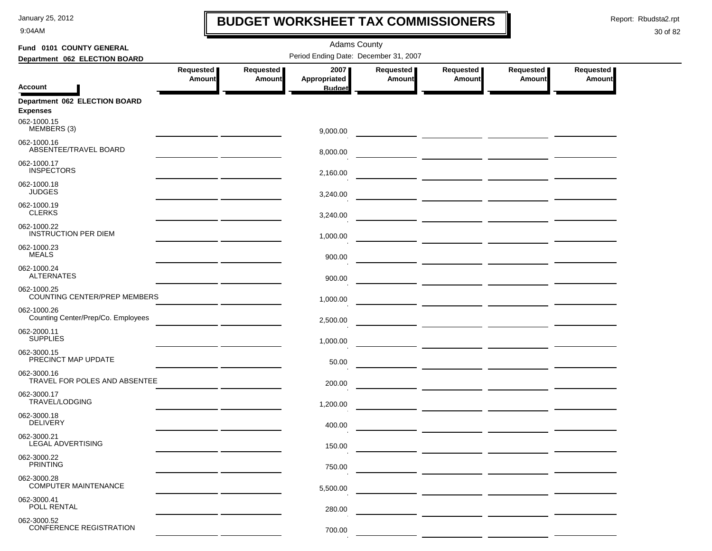9:04AM

## **BUDGET WORKSHEET TAX COMMISSIONERS**

Report: Rbudsta2.rpt

 $\mathbf \mathbf I$ 

| Fund 0101 COUNTY GENERAL                           |                            |                            |                      |                            |                                                                                                                                                                                                                                      |                            |                                   |  |
|----------------------------------------------------|----------------------------|----------------------------|----------------------|----------------------------|--------------------------------------------------------------------------------------------------------------------------------------------------------------------------------------------------------------------------------------|----------------------------|-----------------------------------|--|
| Department 062 ELECTION BOARD                      |                            |                            |                      |                            |                                                                                                                                                                                                                                      |                            |                                   |  |
|                                                    | Requested<br><b>Amount</b> | Requested<br><b>Amount</b> | 2007<br>Appropriated | Requested<br><b>Amount</b> | <b>Requested</b><br><b>Amount</b>                                                                                                                                                                                                    | Requested<br><b>Amount</b> | <b>Requested</b><br><b>Amount</b> |  |
| <b>Account</b>                                     |                            |                            | <b>Budget</b>        |                            |                                                                                                                                                                                                                                      |                            |                                   |  |
| Department 062 ELECTION BOARD<br><b>Expenses</b>   |                            |                            |                      |                            |                                                                                                                                                                                                                                      |                            |                                   |  |
| 062-1000.15<br>MEMBERS (3)                         |                            |                            | 9,000.00             |                            |                                                                                                                                                                                                                                      |                            |                                   |  |
| 062-1000.16<br>ABSENTEE/TRAVEL BOARD               |                            |                            | 8,000.00             |                            |                                                                                                                                                                                                                                      |                            |                                   |  |
| 062-1000.17<br><b>INSPECTORS</b>                   |                            |                            | 2,160.00             |                            |                                                                                                                                                                                                                                      |                            |                                   |  |
| 062-1000.18<br><b>JUDGES</b>                       |                            |                            | 3,240.00             |                            | <u> The Common State of the Common State of the Common State of the Common State of the Common State of the Common State of the Common State of the Common State of the Common State of the Common State of the Common State of </u> |                            |                                   |  |
| 062-1000.19<br><b>CLERKS</b>                       |                            |                            | 3,240.00             |                            |                                                                                                                                                                                                                                      |                            |                                   |  |
| 062-1000.22<br><b>INSTRUCTION PER DIEM</b>         |                            |                            | 1,000.00             |                            | <u> 1999 - Johann Harry Harry Harry Harry Harry Harry Harry Harry Harry Harry Harry Harry Harry Harry Harry Harry</u>                                                                                                                |                            |                                   |  |
| 062-1000.23<br><b>MEALS</b>                        |                            |                            | 900.00               |                            |                                                                                                                                                                                                                                      |                            |                                   |  |
| 062-1000.24<br><b>ALTERNATES</b>                   |                            |                            | 900.00               |                            |                                                                                                                                                                                                                                      |                            |                                   |  |
| 062-1000.25<br><b>COUNTING CENTER/PREP MEMBERS</b> |                            |                            | 1,000.00             |                            | <u> 2000 - Jan James James (</u>                                                                                                                                                                                                     |                            |                                   |  |
| 062-1000.26<br>Counting Center/Prep/Co. Employees  |                            |                            | 2,500.00             |                            |                                                                                                                                                                                                                                      |                            |                                   |  |
| 062-2000.11<br><b>SUPPLIES</b>                     |                            |                            | 1,000.00             |                            |                                                                                                                                                                                                                                      |                            |                                   |  |
| 062-3000.15<br>PRECINCT MAP UPDATE                 |                            |                            | 50.00                |                            |                                                                                                                                                                                                                                      |                            |                                   |  |
| 062-3000.16<br>TRAVEL FOR POLES AND ABSENTEE       |                            |                            | 200.00               |                            |                                                                                                                                                                                                                                      |                            |                                   |  |
| 062-3000.17<br>TRAVEL/LODGING                      |                            |                            | 1,200.00             |                            |                                                                                                                                                                                                                                      |                            |                                   |  |
| 062-3000.18<br><b>DELIVERY</b>                     |                            |                            | 400.00               |                            |                                                                                                                                                                                                                                      |                            |                                   |  |
| 062-3000.21<br>LEGAL ADVERTISING                   |                            |                            | 150.00               |                            |                                                                                                                                                                                                                                      |                            |                                   |  |
| 062-3000.22<br><b>PRINTING</b>                     |                            |                            | 750.00               |                            |                                                                                                                                                                                                                                      |                            |                                   |  |
| 062-3000.28<br><b>COMPUTER MAINTENANCE</b>         |                            |                            | 5,500.00             |                            |                                                                                                                                                                                                                                      |                            |                                   |  |
| 062-3000.41<br>POLL RENTAL                         |                            |                            | 280.00               |                            |                                                                                                                                                                                                                                      |                            |                                   |  |
| 062-3000.52<br><b>CONFERENCE REGISTRATION</b>      |                            |                            | 700.00               |                            |                                                                                                                                                                                                                                      |                            |                                   |  |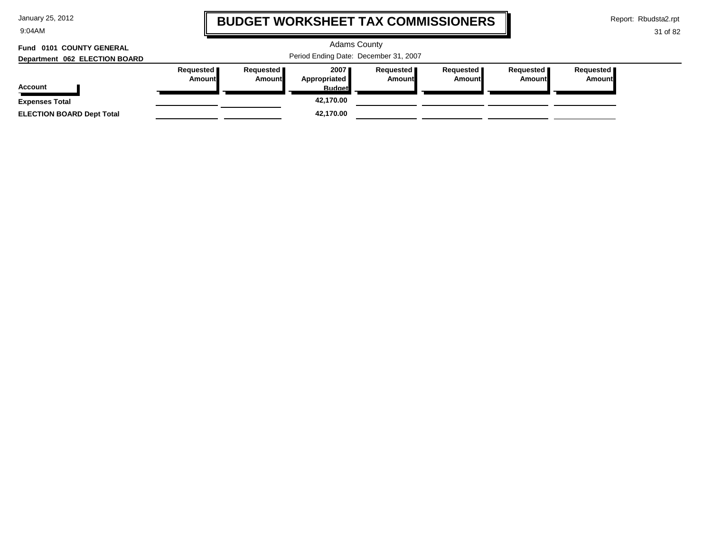9:04AM

## **BUDGET WORKSHEET TAX COMMISSIONERS**

Report: Rbudsta2.rpt

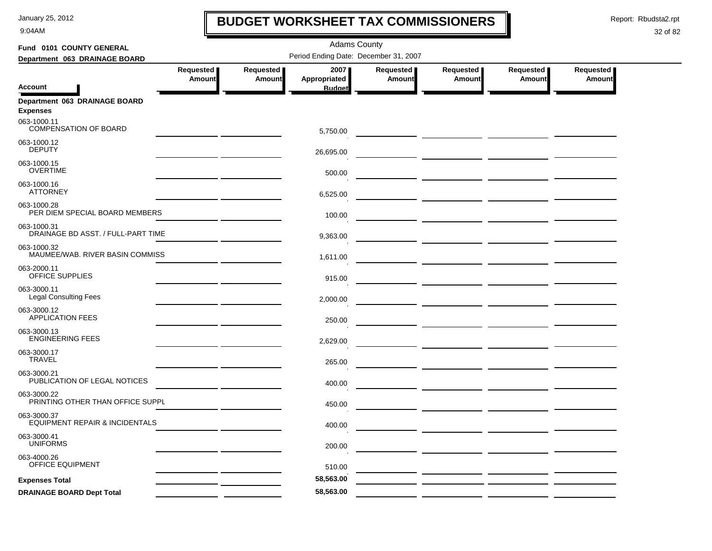9:04AM

## **BUDGET WORKSHEET TAX COMMISSIONERS**

Report: Rbudsta2.rpt

 $\mathbf l$ 

| Fund 0101 COUNTY GENERAL                                 |                                       |               | <b>Adams County</b>           |               |           |           |               |  |  |  |
|----------------------------------------------------------|---------------------------------------|---------------|-------------------------------|---------------|-----------|-----------|---------------|--|--|--|
| Department 063 DRAINAGE BOARD                            | Period Ending Date: December 31, 2007 |               |                               |               |           |           |               |  |  |  |
|                                                          | Requested                             | Requested     | 2007                          | Requested     | Requested | Requested | Requested     |  |  |  |
| <b>Account</b>                                           | <b>Amount</b>                         | <b>Amount</b> | Appropriated<br><b>Budget</b> | <b>Amount</b> | Amount    | Amount    | <b>Amount</b> |  |  |  |
| Department 063 DRAINAGE BOARD<br><b>Expenses</b>         |                                       |               |                               |               |           |           |               |  |  |  |
| 063-1000.11<br>COMPENSATION OF BOARD                     |                                       |               | 5,750.00                      |               |           |           |               |  |  |  |
| 063-1000.12<br><b>DEPUTY</b>                             |                                       |               | 26,695.00                     |               |           |           |               |  |  |  |
| 063-1000.15<br><b>OVERTIME</b>                           |                                       |               | 500.00                        |               |           |           |               |  |  |  |
| 063-1000.16<br><b>ATTORNEY</b>                           |                                       |               | 6,525.00                      |               |           |           |               |  |  |  |
| 063-1000.28<br>PER DIEM SPECIAL BOARD MEMBERS            |                                       |               | 100.00                        |               |           |           |               |  |  |  |
| 063-1000.31<br>DRAINAGE BD ASST. / FULL-PART TIME        |                                       |               | 9,363.00                      |               |           |           |               |  |  |  |
| 063-1000.32<br>MAUMEE/WAB. RIVER BASIN COMMISS           |                                       |               | 1,611.00                      |               |           |           |               |  |  |  |
| 063-2000.11<br>OFFICE SUPPLIES                           |                                       |               | 915.00                        |               |           |           |               |  |  |  |
| 063-3000.11<br><b>Legal Consulting Fees</b>              |                                       |               | 2,000.00                      |               |           |           |               |  |  |  |
| 063-3000.12<br><b>APPLICATION FEES</b>                   |                                       |               | 250.00                        |               |           |           |               |  |  |  |
| 063-3000.13<br><b>ENGINEERING FEES</b>                   |                                       |               | 2,629.00                      |               |           |           |               |  |  |  |
| 063-3000.17<br><b>TRAVEL</b>                             |                                       |               | 265.00                        |               |           |           |               |  |  |  |
| 063-3000.21<br>PUBLICATION OF LEGAL NOTICES              |                                       |               | 400.00                        |               |           |           |               |  |  |  |
| 063-3000.22<br>PRINTING OTHER THAN OFFICE SUPPL          |                                       |               | 450.00                        |               |           |           |               |  |  |  |
| 063-3000.37<br><b>EQUIPMENT REPAIR &amp; INCIDENTALS</b> |                                       |               | 400.00                        |               |           |           |               |  |  |  |
| 063-3000.41<br><b>UNIFORMS</b>                           |                                       |               | 200.00                        |               |           |           |               |  |  |  |
| 063-4000.26<br>OFFICE EQUIPMENT                          |                                       |               | 510.00                        |               |           |           |               |  |  |  |
| <b>Expenses Total</b>                                    |                                       |               | 58,563.00                     |               |           |           |               |  |  |  |
| <b>DRAINAGE BOARD Dept Total</b>                         |                                       |               | 58,563.00                     |               |           |           |               |  |  |  |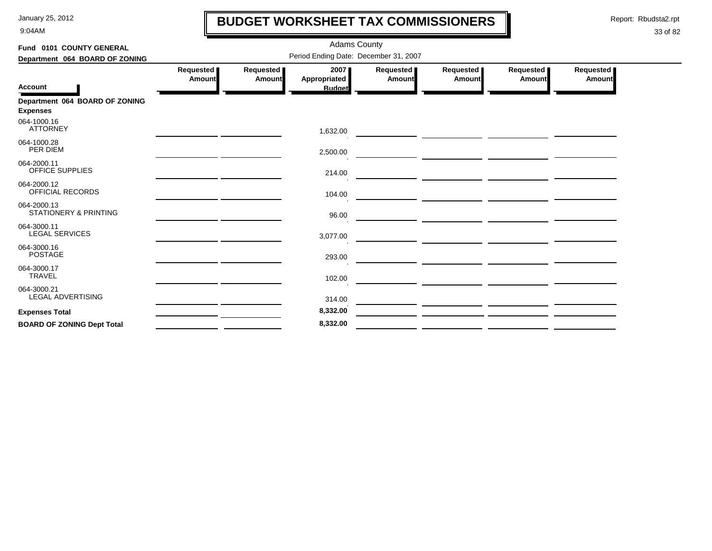9:04AM

## **BUDGET WORKSHEET TAX COMMISSIONERS**

Report: Rbudsta2.rpt

 $\mathbf l$ 

| Fund 0101 COUNTY GENERAL                          |                     |                     | <b>Adams County</b>                   |                     |                                                                                                                        |                     |                     |  |
|---------------------------------------------------|---------------------|---------------------|---------------------------------------|---------------------|------------------------------------------------------------------------------------------------------------------------|---------------------|---------------------|--|
| Department 064 BOARD OF ZONING                    |                     |                     | Period Ending Date: December 31, 2007 |                     |                                                                                                                        |                     |                     |  |
| <b>Account</b>                                    | Requested<br>Amount | Requested<br>Amount | 2007<br>Appropriated                  | Requested<br>Amount | Requested<br>Amount                                                                                                    | Requested<br>Amount | Requested<br>Amount |  |
|                                                   |                     |                     | <b>Budget</b>                         |                     |                                                                                                                        |                     |                     |  |
| Department 064 BOARD OF ZONING<br><b>Expenses</b> |                     |                     |                                       |                     |                                                                                                                        |                     |                     |  |
| 064-1000.16<br><b>ATTORNEY</b>                    |                     |                     | 1,632.00                              |                     |                                                                                                                        |                     |                     |  |
| 064-1000.28<br>PER DIEM                           |                     |                     | 2,500.00                              |                     | <u> 1980 - Johann Barbara, marka a shekara tsara na shekara tsara na shekara tsara na shekara tsara na shekara t</u>   |                     |                     |  |
| 064-2000.11<br>OFFICE SUPPLIES                    |                     |                     | 214.00                                |                     |                                                                                                                        |                     |                     |  |
| 064-2000.12<br>OFFICIAL RECORDS                   |                     |                     | 104.00                                |                     |                                                                                                                        |                     |                     |  |
| 064-2000.13<br><b>STATIONERY &amp; PRINTING</b>   |                     |                     | 96.00                                 |                     |                                                                                                                        |                     |                     |  |
| 064-3000.11<br><b>LEGAL SERVICES</b>              |                     |                     | 3,077.00                              |                     | <u> 1980 - Johann Barbara, martin and an t-Amerikaansk filosofisk fan de Amerikaansk filosofisk fan de Amerikaans</u>  |                     |                     |  |
| 064-3000.16<br><b>POSTAGE</b>                     |                     |                     | 293.00                                |                     | <u> 1980 - John Barnett, fransk politiker (d. 1980)</u>                                                                |                     |                     |  |
| 064-3000.17<br><b>TRAVEL</b>                      |                     |                     | 102.00                                |                     |                                                                                                                        |                     |                     |  |
| 064-3000.21<br><b>LEGAL ADVERTISING</b>           |                     |                     | 314.00                                |                     | <u> 1989 - Johann John Stone, mars et al. 1989 - John Stone, mars et al. 1989 - John Stone, mars et al. 1989 - Joh</u> |                     |                     |  |
| <b>Expenses Total</b>                             |                     |                     | 8,332.00                              |                     |                                                                                                                        |                     |                     |  |
| <b>BOARD OF ZONING Dept Total</b>                 |                     |                     | 8,332.00                              |                     |                                                                                                                        |                     |                     |  |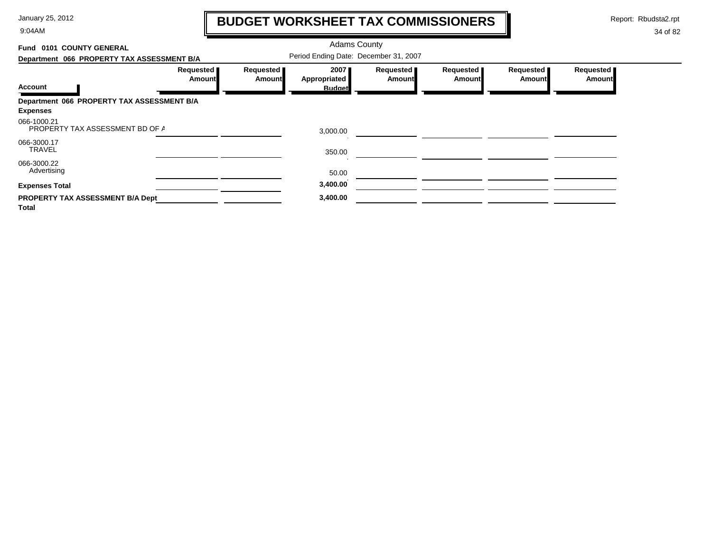9:04AM

# **BUDGET WORKSHEET TAX COMMISSIONERS**

Report: Rbudsta2.rpt

 $\mathbf l$ 

| Fund 0101 COUNTY GENERAL                       |                     |                       | <b>Adams County</b>                   |                            |                       |                            |                            |
|------------------------------------------------|---------------------|-----------------------|---------------------------------------|----------------------------|-----------------------|----------------------------|----------------------------|
| Department 066 PROPERTY TAX ASSESSMENT B/A     |                     |                       | Period Ending Date: December 31, 2007 |                            |                       |                            |                            |
|                                                | Requested<br>Amount | Requested  <br>Amount | 20071<br>Appropriated                 | Requested<br><b>Amount</b> | Requested  <br>Amount | Requested<br><b>Amount</b> | Requested<br><b>Amount</b> |
| <b>Account</b>                                 |                     |                       | <b>Budget</b>                         |                            |                       |                            |                            |
| Department 066 PROPERTY TAX ASSESSMENT B/A     |                     |                       |                                       |                            |                       |                            |                            |
| <b>Expenses</b>                                |                     |                       |                                       |                            |                       |                            |                            |
| 066-1000.21<br>PROPERTY TAX ASSESSMENT BD OF A |                     |                       | 3,000.00                              |                            |                       |                            |                            |
| 066-3000.17<br><b>TRAVEL</b>                   |                     |                       | 350.00                                |                            |                       |                            |                            |
| 066-3000.22<br>Advertising                     |                     |                       | 50.00                                 |                            |                       |                            |                            |
| <b>Expenses Total</b>                          |                     |                       | 3,400.00                              |                            |                       |                            |                            |
| PROPERTY TAX ASSESSMENT B/A Dept<br>Total      |                     |                       | 3,400.00                              |                            |                       |                            |                            |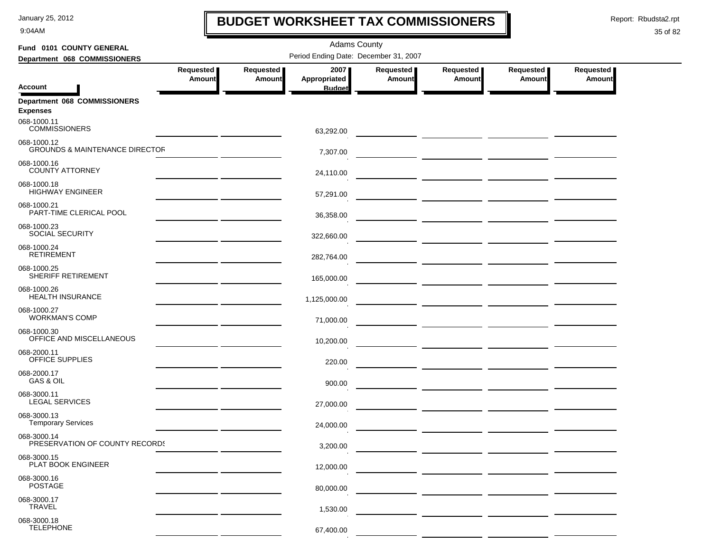9:04AM

## **BUDGET WORKSHEET TAX COMMISSIONERS**

Report: Rbudsta2.rpt

 $\mathbf \mathbf I$ 

| Fund 0101 COUNTY GENERAL                                 | <b>Adams County</b>                                                                                                 |                     |                      |                            |                                          |                                          |                            |  |  |
|----------------------------------------------------------|---------------------------------------------------------------------------------------------------------------------|---------------------|----------------------|----------------------------|------------------------------------------|------------------------------------------|----------------------------|--|--|
| Department 068 COMMISSIONERS                             | Period Ending Date: December 31, 2007                                                                               |                     |                      |                            |                                          |                                          |                            |  |  |
|                                                          | Requested<br>Amount                                                                                                 | Requested<br>Amount | 2007<br>Appropriated | Requested<br><b>Amount</b> | Requested<br>Amount                      | Requested<br>Amount                      | Requested<br><b>Amount</b> |  |  |
| <b>Account</b>                                           |                                                                                                                     |                     | <b>Budget</b>        |                            |                                          |                                          |                            |  |  |
| Department 068 COMMISSIONERS<br><b>Expenses</b>          |                                                                                                                     |                     |                      |                            |                                          |                                          |                            |  |  |
| 068-1000.11<br><b>COMMISSIONERS</b>                      |                                                                                                                     |                     | 63,292.00            |                            |                                          |                                          |                            |  |  |
| 068-1000.12<br><b>GROUNDS &amp; MAINTENANCE DIRECTOR</b> |                                                                                                                     |                     | 7,307.00             |                            |                                          |                                          |                            |  |  |
| 068-1000.16<br><b>COUNTY ATTORNEY</b>                    |                                                                                                                     |                     | 24,110.00            |                            |                                          |                                          |                            |  |  |
| 068-1000.18<br><b>HIGHWAY ENGINEER</b>                   |                                                                                                                     |                     | 57,291.00            |                            |                                          |                                          |                            |  |  |
| 068-1000.21<br>PART-TIME CLERICAL POOL                   |                                                                                                                     |                     | 36,358.00            |                            | <u>— _ _ _ _ _ _ _ _</u> _ _ _ _ _ _ _ _ |                                          |                            |  |  |
| 068-1000.23<br><b>SOCIAL SECURITY</b>                    |                                                                                                                     |                     | 322,660.00           |                            |                                          |                                          |                            |  |  |
| 068-1000.24<br><b>RETIREMENT</b>                         |                                                                                                                     |                     | 282,764.00           |                            |                                          |                                          |                            |  |  |
| 068-1000.25<br>SHERIFF RETIREMENT                        | <u> 1989 - John Harry Harry Harry Harry Harry Harry Harry Harry Harry Harry Harry Harry Harry Harry Harry Harry</u> |                     | 165,000.00           |                            |                                          | — <u>— — — — — — — — — — — — — — — —</u> |                            |  |  |
| 068-1000.26<br><b>HEALTH INSURANCE</b>                   |                                                                                                                     |                     | 1,125,000.00         |                            |                                          |                                          |                            |  |  |
| 068-1000.27<br><b>WORKMAN'S COMP</b>                     |                                                                                                                     |                     | 71,000.00            |                            |                                          |                                          |                            |  |  |
| 068-1000.30<br>OFFICE AND MISCELLANEOUS                  |                                                                                                                     |                     | 10,200.00            |                            |                                          |                                          |                            |  |  |
| 068-2000.11<br>OFFICE SUPPLIES                           |                                                                                                                     |                     | 220.00               |                            |                                          |                                          |                            |  |  |
| 068-2000.17<br>GAS & OIL                                 |                                                                                                                     |                     | 900.00               |                            |                                          |                                          |                            |  |  |
| 068-3000.11<br>LEGAL SERVICES                            |                                                                                                                     |                     | 27,000.00            |                            |                                          |                                          |                            |  |  |
| 068-3000.13<br><b>Temporary Services</b>                 |                                                                                                                     |                     | 24,000.00            |                            |                                          |                                          |                            |  |  |
| 068-3000.14<br>PRESERVATION OF COUNTY RECORDS            |                                                                                                                     |                     | 3,200.00             |                            |                                          |                                          |                            |  |  |
| 068-3000.15<br>PLAT BOOK ENGINEER                        |                                                                                                                     |                     | 12,000.00            |                            |                                          |                                          |                            |  |  |
| 068-3000.16<br><b>POSTAGE</b>                            |                                                                                                                     |                     | 80,000.00            |                            |                                          |                                          |                            |  |  |
| 068-3000.17<br><b>TRAVEL</b>                             |                                                                                                                     |                     | 1,530.00             |                            |                                          |                                          |                            |  |  |
| 068-3000.18<br><b>TELEPHONE</b>                          |                                                                                                                     |                     | 67,400.00            |                            |                                          |                                          |                            |  |  |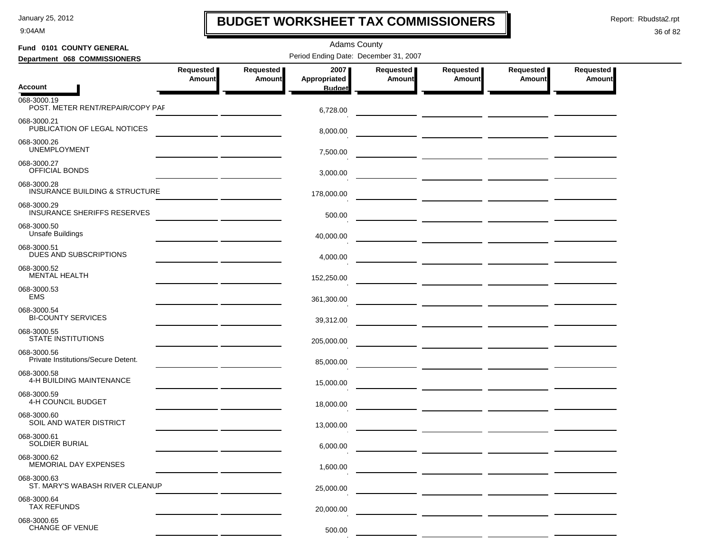9:04AM

## **BUDGET WORKSHEET TAX COMMISSIONERS**

Report: Rbudsta2.rpt

 $\mathbf I$ 

### 36 of 82

| Fund 0101 COUNTY GENERAL                           |                                                                                       | <b>Adams County</b>                   |                      |                     |                     |                            |                     |  |  |  |
|----------------------------------------------------|---------------------------------------------------------------------------------------|---------------------------------------|----------------------|---------------------|---------------------|----------------------------|---------------------|--|--|--|
| Department 068 COMMISSIONERS                       |                                                                                       | Period Ending Date: December 31, 2007 |                      |                     |                     |                            |                     |  |  |  |
|                                                    | Requested<br>Amount                                                                   | Requested<br>Amount                   | 2007<br>Appropriated | Requested<br>Amount | Requested<br>Amount | Requested<br><b>Amount</b> | Requested<br>Amount |  |  |  |
| <b>Account</b>                                     |                                                                                       |                                       | <b>Budget</b>        |                     |                     |                            |                     |  |  |  |
| 068-3000.19<br>POST. METER RENT/REPAIR/COPY PAF    |                                                                                       |                                       | 6,728.00             |                     |                     |                            |                     |  |  |  |
| 068-3000.21<br>PUBLICATION OF LEGAL NOTICES        |                                                                                       |                                       | 8,000.00             |                     |                     |                            |                     |  |  |  |
| 068-3000.26<br><b>UNEMPLOYMENT</b>                 |                                                                                       |                                       | 7,500.00             |                     |                     |                            |                     |  |  |  |
| 068-3000.27<br>OFFICIAL BONDS                      |                                                                                       |                                       | 3,000.00             |                     |                     |                            |                     |  |  |  |
| 068-3000.28<br>INSURANCE BUILDING & STRUCTURE      |                                                                                       |                                       | 178,000.00           |                     |                     |                            |                     |  |  |  |
| 068-3000.29<br><b>INSURANCE SHERIFFS RESERVES</b>  |                                                                                       |                                       | 500.00               |                     |                     |                            |                     |  |  |  |
| 068-3000.50<br><b>Unsafe Buildings</b>             |                                                                                       |                                       | 40,000.00            |                     |                     |                            |                     |  |  |  |
| 068-3000.51<br><b>DUES AND SUBSCRIPTIONS</b>       | <u> 1989 - Johann Barnett, fransk kongresu</u>                                        |                                       | 4,000.00             |                     |                     |                            |                     |  |  |  |
| 068-3000.52<br><b>MENTAL HEALTH</b>                |                                                                                       |                                       | 152,250.00           |                     |                     |                            |                     |  |  |  |
| 068-3000.53<br><b>EMS</b>                          | <u> 1980 - Johann John Stone, mars et al. 1980 - John Stone Barnett, fransk konge</u> |                                       | 361,300.00           |                     |                     |                            |                     |  |  |  |
| 068-3000.54<br><b>BI-COUNTY SERVICES</b>           |                                                                                       |                                       | 39,312.00            |                     |                     |                            |                     |  |  |  |
| 068-3000.55<br>STATE INSTITUTIONS                  |                                                                                       |                                       | 205,000.00           |                     |                     |                            |                     |  |  |  |
| 068-3000.56<br>Private Institutions/Secure Detent. |                                                                                       |                                       | 85,000.00            |                     |                     |                            |                     |  |  |  |
| 068-3000.58<br>4-H BUILDING MAINTENANCE            |                                                                                       |                                       | 15,000.00            |                     |                     |                            |                     |  |  |  |
| 068-3000.59<br>4-H COUNCIL BUDGET                  |                                                                                       |                                       | 18.000.00            |                     |                     |                            |                     |  |  |  |
| 068-3000.60<br>SOIL AND WATER DISTRICT             |                                                                                       |                                       | 13,000.00            |                     |                     |                            |                     |  |  |  |
| 068-3000.61<br>SOLDIER BURIAL                      |                                                                                       |                                       | 6,000.00             |                     |                     |                            |                     |  |  |  |
| 068-3000.62<br>MEMORIAL DAY EXPENSES               |                                                                                       |                                       | 1,600.00             |                     |                     |                            |                     |  |  |  |
| 068-3000.63<br>ST. MARY'S WABASH RIVER CLEANUP     |                                                                                       |                                       | 25,000.00            |                     |                     |                            |                     |  |  |  |
| 068-3000.64<br><b>TAX REFUNDS</b>                  |                                                                                       |                                       | 20,000.00            |                     |                     |                            |                     |  |  |  |
| 068-3000.65<br>CHANGE OF VENUE                     |                                                                                       |                                       | 500.00               |                     |                     |                            |                     |  |  |  |

 $\alpha$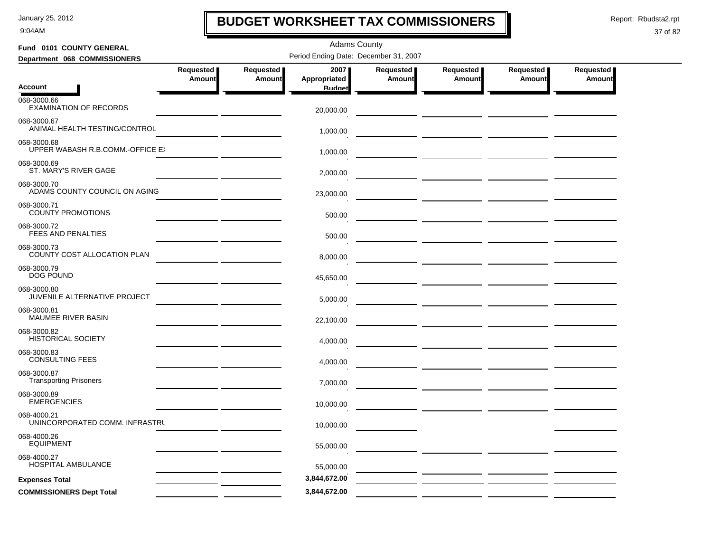9:04AM

### **BUDGET WORKSHEET TAX COMMISSIONERS**

Report: Rbudsta2.rpt

 $\mathbf l$ 

| Fund 0101 COUNTY GENERAL                        |           |           | <b>Adams County</b>                   |               |                                                                                                                             |           |           |
|-------------------------------------------------|-----------|-----------|---------------------------------------|---------------|-----------------------------------------------------------------------------------------------------------------------------|-----------|-----------|
| Department 068 COMMISSIONERS                    |           |           | Period Ending Date: December 31, 2007 |               |                                                                                                                             |           |           |
|                                                 | Requested | Requested | 2007                                  | Requested     | Requested                                                                                                                   | Requested | Requested |
| <b>Account</b>                                  | Amount    | Amount    | Appropriated<br><b>Budget</b>         | <b>Amount</b> | <b>Amount</b>                                                                                                               | Amount    | Amount    |
| 068-3000.66<br><b>EXAMINATION OF RECORDS</b>    |           |           | 20,000.00                             |               |                                                                                                                             |           |           |
| 068-3000.67<br>ANIMAL HEALTH TESTING/CONTROL    |           |           |                                       |               |                                                                                                                             |           |           |
| 068-3000.68<br>UPPER WABASH R.B.COMM.-OFFICE E. |           |           | 1,000.00                              |               |                                                                                                                             |           |           |
| 068-3000.69                                     |           |           | 1,000.00                              |               |                                                                                                                             |           |           |
| ST. MARY'S RIVER GAGE                           |           |           | 2,000.00                              |               |                                                                                                                             |           |           |
| 068-3000.70<br>ADAMS COUNTY COUNCIL ON AGING    |           |           | 23,000.00                             |               |                                                                                                                             |           |           |
| 068-3000.71<br><b>COUNTY PROMOTIONS</b>         |           |           | 500.00                                |               |                                                                                                                             |           |           |
| 068-3000.72<br><b>FEES AND PENALTIES</b>        |           |           | 500.00                                |               |                                                                                                                             |           |           |
| 068-3000.73<br>COUNTY COST ALLOCATION PLAN      |           |           | 8,000.00                              |               |                                                                                                                             |           |           |
| 068-3000.79<br><b>DOG POUND</b>                 |           |           |                                       |               |                                                                                                                             |           |           |
| 068-3000.80                                     |           |           | 45,650.00                             |               |                                                                                                                             |           |           |
| JUVENILE ALTERNATIVE PROJECT                    |           |           | 5,000.00                              |               | <u> 1989 - Johann John Stone, mars eta industrial eta industrial eta industrial eta industrial eta industrial eta</u>       |           |           |
| 068-3000.81<br>MAUMEE RIVER BASIN               |           |           | 22,100.00                             |               |                                                                                                                             |           |           |
| 068-3000.82<br><b>HISTORICAL SOCIETY</b>        |           |           | 4,000.00                              |               |                                                                                                                             |           |           |
| 068-3000.83<br><b>CONSULTING FEES</b>           |           |           | 4,000.00                              |               |                                                                                                                             |           |           |
| 068-3000.87<br><b>Transporting Prisoners</b>    |           |           | 7,000.00                              |               |                                                                                                                             |           |           |
| 068-3000.89<br><b>EMERGENCIES</b>               |           |           |                                       |               |                                                                                                                             |           |           |
|                                                 |           |           | 10.000.00                             |               |                                                                                                                             |           |           |
| 068-4000.21<br>UNINCORPORATED COMM. INFRASTRU   |           |           | 10,000.00                             |               | <u> 1989 - Andrea Station Barbara, amerikan personal personal personal personal personal personal personal personal per</u> |           |           |
| 068-4000.26<br><b>EQUIPMENT</b>                 |           |           | 55,000.00                             |               |                                                                                                                             |           |           |
| 068-4000.27<br>HOSPITAL AMBULANCE               |           |           | 55,000.00                             |               |                                                                                                                             |           |           |
| <b>Expenses Total</b>                           |           |           | 3,844,672.00                          |               |                                                                                                                             |           |           |
| <b>COMMISSIONERS Dept Total</b>                 |           |           | 3,844,672.00                          |               |                                                                                                                             |           |           |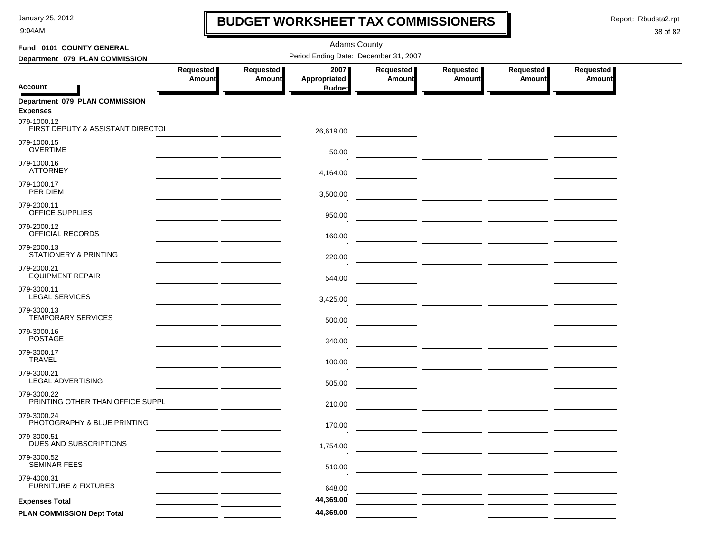9:04AM

### **BUDGET WORKSHEET TAX COMMISSIONERS**

Report: Rbudsta2.rpt

 $\mathbf l$ 

| Fund 0101 COUNTY GENERAL                          | <b>Adams County</b> |                            |                                       |                            |                                                                                                                                                                                                                                      |                                                                                                                      |                            |  |  |  |
|---------------------------------------------------|---------------------|----------------------------|---------------------------------------|----------------------------|--------------------------------------------------------------------------------------------------------------------------------------------------------------------------------------------------------------------------------------|----------------------------------------------------------------------------------------------------------------------|----------------------------|--|--|--|
| Department 079 PLAN COMMISSION                    |                     |                            | Period Ending Date: December 31, 2007 |                            |                                                                                                                                                                                                                                      |                                                                                                                      |                            |  |  |  |
|                                                   | Requested<br>Amount | Requested<br><b>Amount</b> | 2007<br>Appropriated                  | Requested<br><b>Amount</b> | Requested<br><b>Amount</b>                                                                                                                                                                                                           | Requested<br>Amount                                                                                                  | Requested<br><b>Amount</b> |  |  |  |
| <b>Account</b>                                    |                     |                            | <b>Budget</b>                         |                            |                                                                                                                                                                                                                                      |                                                                                                                      |                            |  |  |  |
| Department 079 PLAN COMMISSION<br><b>Expenses</b> |                     |                            |                                       |                            |                                                                                                                                                                                                                                      |                                                                                                                      |                            |  |  |  |
| 079-1000.12<br>FIRST DEPUTY & ASSISTANT DIRECTOL  |                     |                            | 26,619.00                             |                            |                                                                                                                                                                                                                                      |                                                                                                                      |                            |  |  |  |
| 079-1000.15<br><b>OVERTIME</b>                    |                     |                            | 50.00                                 |                            |                                                                                                                                                                                                                                      |                                                                                                                      |                            |  |  |  |
| 079-1000.16<br><b>ATTORNEY</b>                    |                     |                            | 4,164.00                              |                            | <u> The Common State Common State Common State Common State Common State Common State Common State Common State Common State Common State Common State Common State Common State Common State Common State Common State Common S</u> |                                                                                                                      |                            |  |  |  |
| 079-1000.17<br>PER DIEM                           |                     |                            | 3,500.00                              |                            | <u> 1999 - Johann Harry Harry Harry Harry Harry Harry Harry Harry Harry Harry Harry Harry Harry Harry Harry Harry</u>                                                                                                                |                                                                                                                      |                            |  |  |  |
| 079-2000.11<br>OFFICE SUPPLIES                    |                     |                            | 950.00                                |                            |                                                                                                                                                                                                                                      |                                                                                                                      |                            |  |  |  |
| 079-2000.12<br>OFFICIAL RECORDS                   |                     |                            | 160.00                                |                            |                                                                                                                                                                                                                                      |                                                                                                                      |                            |  |  |  |
| 079-2000.13<br>STATIONERY & PRINTING              |                     |                            | 220.00                                |                            |                                                                                                                                                                                                                                      |                                                                                                                      |                            |  |  |  |
| 079-2000.21<br><b>EQUIPMENT REPAIR</b>            |                     |                            | 544.00                                |                            |                                                                                                                                                                                                                                      |                                                                                                                      |                            |  |  |  |
| 079-3000.11<br><b>LEGAL SERVICES</b>              |                     |                            | 3,425.00                              |                            |                                                                                                                                                                                                                                      | <u> 2000 - 2000 - 2000 - 2000 - 2000 - 2000 - 2000 - 2000 - 2000 - 2000 - 2000 - 2000 - 2000 - 2000 - 2000 - 200</u> |                            |  |  |  |
| 079-3000.13<br><b>TEMPORARY SERVICES</b>          |                     |                            | 500.00                                |                            |                                                                                                                                                                                                                                      |                                                                                                                      |                            |  |  |  |
| 079-3000.16<br><b>POSTAGE</b>                     |                     |                            | 340.00                                |                            |                                                                                                                                                                                                                                      |                                                                                                                      |                            |  |  |  |
| 079-3000.17<br><b>TRAVEL</b>                      |                     |                            | 100.00                                |                            | <u> La Carlo Carlo Carlo Carlo Carlo Carlo Carlo Ca</u>                                                                                                                                                                              |                                                                                                                      |                            |  |  |  |
| 079-3000.21<br>LEGAL ADVERTISING                  |                     |                            | 505.00                                |                            |                                                                                                                                                                                                                                      |                                                                                                                      |                            |  |  |  |
| 079-3000.22<br>PRINTING OTHER THAN OFFICE SUPPL   |                     |                            | 210.00                                |                            |                                                                                                                                                                                                                                      |                                                                                                                      |                            |  |  |  |
| 079-3000.24<br>PHOTOGRAPHY & BLUE PRINTING        |                     |                            | 170.00                                |                            |                                                                                                                                                                                                                                      |                                                                                                                      |                            |  |  |  |
| 079-3000.51<br>DUES AND SUBSCRIPTIONS             |                     |                            | 1,754.00                              |                            |                                                                                                                                                                                                                                      |                                                                                                                      |                            |  |  |  |
| 079-3000.52<br>SEMINAR FEES                       |                     |                            | 510.00                                |                            |                                                                                                                                                                                                                                      |                                                                                                                      |                            |  |  |  |
| 079-4000.31<br><b>FURNITURE &amp; FIXTURES</b>    |                     |                            | 648.00                                |                            |                                                                                                                                                                                                                                      |                                                                                                                      |                            |  |  |  |
| <b>Expenses Total</b>                             |                     |                            | 44,369.00                             |                            |                                                                                                                                                                                                                                      |                                                                                                                      |                            |  |  |  |
| PLAN COMMISSION Dept Total                        |                     |                            | 44,369.00                             |                            |                                                                                                                                                                                                                                      |                                                                                                                      |                            |  |  |  |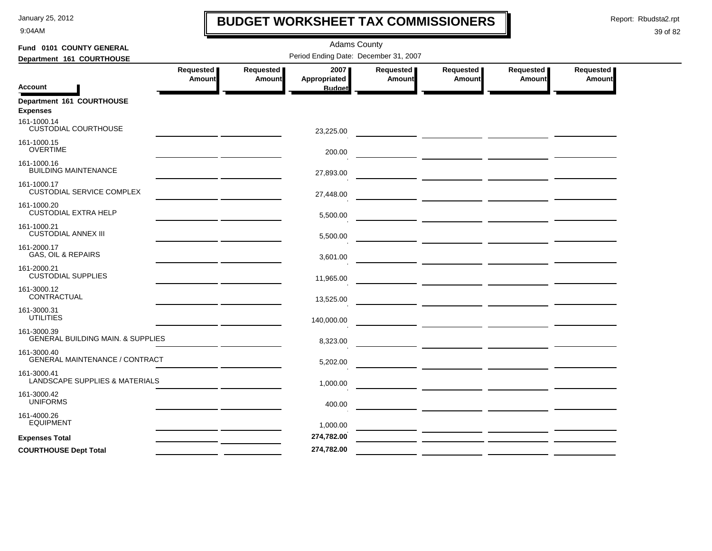9:04AM

### **BUDGET WORKSHEET TAX COMMISSIONERS**

Report: Rbudsta2.rpt

 $\mathbf l$ 

| Fund 0101 COUNTY GENERAL                                    |                                                                                                                       |               | <b>Adams County</b> |                  |                                                                  |           |                  |  |  |  |
|-------------------------------------------------------------|-----------------------------------------------------------------------------------------------------------------------|---------------|---------------------|------------------|------------------------------------------------------------------|-----------|------------------|--|--|--|
| Department 161 COURTHOUSE                                   | Period Ending Date: December 31, 2007                                                                                 |               |                     |                  |                                                                  |           |                  |  |  |  |
|                                                             | Requested                                                                                                             | Requested     | 2007                | <b>Requested</b> | <b>Requested</b>                                                 | Requested | <b>Requested</b> |  |  |  |
|                                                             | Amount                                                                                                                | <b>Amount</b> | Appropriated        | <b>Amount</b>    | Amount                                                           | Amount    | Amount           |  |  |  |
| <b>Account</b>                                              |                                                                                                                       |               | <b>Budget</b>       |                  |                                                                  |           |                  |  |  |  |
| Department 161 COURTHOUSE<br><b>Expenses</b>                |                                                                                                                       |               |                     |                  |                                                                  |           |                  |  |  |  |
| 161-1000.14<br><b>CUSTODIAL COURTHOUSE</b>                  |                                                                                                                       |               | 23,225.00           |                  |                                                                  |           |                  |  |  |  |
| 161-1000.15<br><b>OVERTIME</b>                              | <u> 1980 - John Harry Harry Harry Harry Harry Harry Harry Harry Harry Harry Harry Harry Harry Harry Harry Harry H</u> |               | 200.00              |                  |                                                                  |           |                  |  |  |  |
| 161-1000.16<br><b>BUILDING MAINTENANCE</b>                  |                                                                                                                       |               | 27,893.00           |                  |                                                                  |           |                  |  |  |  |
| 161-1000.17<br><b>CUSTODIAL SERVICE COMPLEX</b>             |                                                                                                                       |               | 27,448.00           |                  |                                                                  |           |                  |  |  |  |
| 161-1000.20<br><b>CUSTODIAL EXTRA HELP</b>                  |                                                                                                                       |               | 5,500.00            |                  |                                                                  |           |                  |  |  |  |
| 161-1000.21<br><b>CUSTODIAL ANNEX III</b>                   |                                                                                                                       |               | 5,500.00            |                  |                                                                  |           |                  |  |  |  |
| 161-2000.17<br><b>GAS, OIL &amp; REPAIRS</b>                |                                                                                                                       |               | 3,601.00            |                  |                                                                  |           |                  |  |  |  |
| 161-2000.21<br><b>CUSTODIAL SUPPLIES</b>                    |                                                                                                                       |               | 11,965.00           |                  | <u> 1989 - Johann John Stone, mars eta industrial (h. 1989).</u> |           |                  |  |  |  |
| 161-3000.12<br>CONTRACTUAL                                  | <u> 1989 - Jan Barbara Barbara, politik a primeira politik (</u>                                                      |               | 13,525.00           |                  |                                                                  |           |                  |  |  |  |
| 161-3000.31<br><b>UTILITIES</b>                             | <u> 1990 - John Harry Barn, amerikan bisa per</u>                                                                     |               | 140,000.00          |                  |                                                                  |           |                  |  |  |  |
| 161-3000.39<br><b>GENERAL BUILDING MAIN. &amp; SUPPLIES</b> |                                                                                                                       |               | 8,323.00            |                  |                                                                  |           |                  |  |  |  |
| 161-3000.40<br>GENERAL MAINTENANCE / CONTRACT               |                                                                                                                       |               | 5,202.00            |                  |                                                                  |           |                  |  |  |  |
| 161-3000.41<br>LANDSCAPE SUPPLIES & MATERIALS               |                                                                                                                       |               | 1,000.00            |                  |                                                                  |           |                  |  |  |  |
| 161-3000.42<br><b>UNIFORMS</b>                              |                                                                                                                       |               | 400.00              |                  |                                                                  |           |                  |  |  |  |
| 161-4000.26<br><b>EQUIPMENT</b>                             |                                                                                                                       |               | 1,000.00            |                  |                                                                  |           |                  |  |  |  |
| <b>Expenses Total</b>                                       |                                                                                                                       |               | 274,782.00          |                  |                                                                  |           |                  |  |  |  |
| <b>COURTHOUSE Dept Total</b>                                |                                                                                                                       |               | 274,782.00          |                  |                                                                  |           |                  |  |  |  |
|                                                             |                                                                                                                       |               |                     |                  |                                                                  |           |                  |  |  |  |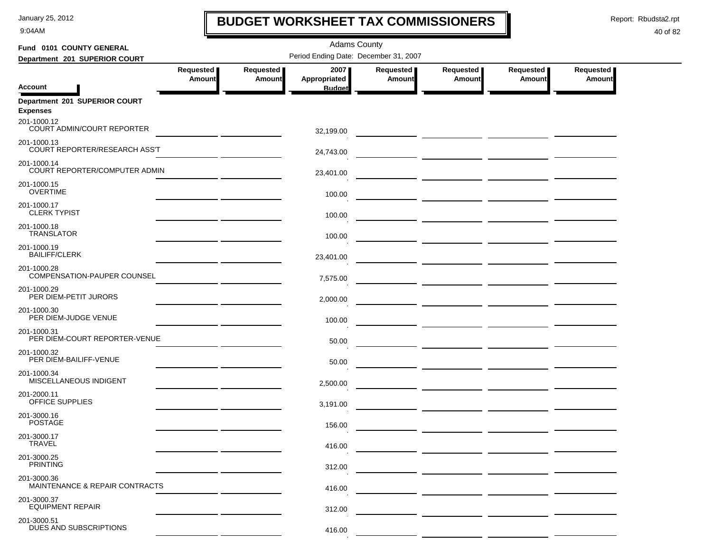9:04AM

### **BUDGET WORKSHEET TAX COMMISSIONERS**

Report: Rbudsta2.rpt

 $\mathbf I$ 

| Fund 0101 COUNTY GENERAL                          |                                                      |                              | <b>Adams County</b>                   |                            |                     |                     |                                   |
|---------------------------------------------------|------------------------------------------------------|------------------------------|---------------------------------------|----------------------------|---------------------|---------------------|-----------------------------------|
| Department 201 SUPERIOR COURT                     |                                                      |                              | Period Ending Date: December 31, 2007 |                            |                     |                     |                                   |
|                                                   | Requested<br><b>Amount</b>                           | Requested  <br><b>Amount</b> | 2007<br>Appropriated                  | Requested<br><b>Amount</b> | Requested<br>Amount | Requested<br>Amount | <b>Requested</b><br><b>Amount</b> |
| <b>Account</b>                                    |                                                      |                              | <b>Budget</b>                         |                            |                     |                     |                                   |
| Department 201 SUPERIOR COURT<br><b>Expenses</b>  |                                                      |                              |                                       |                            |                     |                     |                                   |
| 201-1000.12<br>COURT ADMIN/COURT REPORTER         |                                                      |                              | 32,199.00                             |                            |                     |                     |                                   |
| 201-1000.13<br>COURT REPORTER/RESEARCH ASS'T      |                                                      |                              | 24,743.00                             |                            |                     |                     |                                   |
| 201-1000.14<br>COURT REPORTER/COMPUTER ADMIN      |                                                      |                              | 23,401.00                             |                            |                     |                     |                                   |
| 201-1000.15<br><b>OVERTIME</b>                    |                                                      |                              | 100.00                                |                            |                     |                     |                                   |
| 201-1000.17<br><b>CLERK TYPIST</b>                |                                                      |                              | 100.00                                |                            |                     |                     |                                   |
| 201-1000.18<br><b>TRANSLATOR</b>                  |                                                      |                              | 100.00                                |                            |                     |                     |                                   |
| 201-1000.19<br><b>BAILIFF/CLERK</b>               |                                                      |                              | 23,401.00                             |                            |                     |                     |                                   |
| 201-1000.28<br><b>COMPENSATION-PAUPER COUNSEL</b> |                                                      |                              | 7,575.00                              |                            |                     |                     |                                   |
| 201-1000.29<br>PER DIEM-PETIT JURORS              |                                                      |                              | 2,000.00                              |                            |                     |                     |                                   |
| 201-1000.30<br>PER DIEM-JUDGE VENUE               | <u> 1999 - Johann John Stone, markin samti som s</u> |                              | 100.00                                |                            |                     |                     |                                   |
| 201-1000.31<br>PER DIEM-COURT REPORTER-VENUE      |                                                      |                              | 50.00                                 |                            |                     |                     |                                   |
| 201-1000.32<br>PER DIEM-BAILIFF-VENUE             |                                                      |                              | 50.00                                 |                            |                     |                     |                                   |
| 201-1000.34<br>MISCELLANEOUS INDIGENT             |                                                      |                              | 2,500.00                              |                            |                     |                     |                                   |
| 201-2000.11<br>OFFICE SUPPLIES                    |                                                      |                              | 3,191.00                              |                            |                     |                     |                                   |
| 201-3000.16<br><b>POSTAGE</b>                     |                                                      |                              | 156.00                                |                            |                     |                     |                                   |
| 201-3000.17<br><b>TRAVEL</b>                      |                                                      |                              | 416.00                                |                            |                     |                     |                                   |
| 201-3000.25<br><b>PRINTING</b>                    |                                                      |                              | 312.00                                |                            |                     |                     |                                   |
| 201-3000.36<br>MAINTENANCE & REPAIR CONTRACTS     |                                                      |                              | 416.00                                |                            |                     |                     |                                   |
| 201-3000.37<br><b>EQUIPMENT REPAIR</b>            |                                                      |                              | 312.00                                |                            |                     |                     |                                   |
| 201-3000.51<br>DUES AND SUBSCRIPTIONS             |                                                      |                              | 416.00                                |                            |                     |                     |                                   |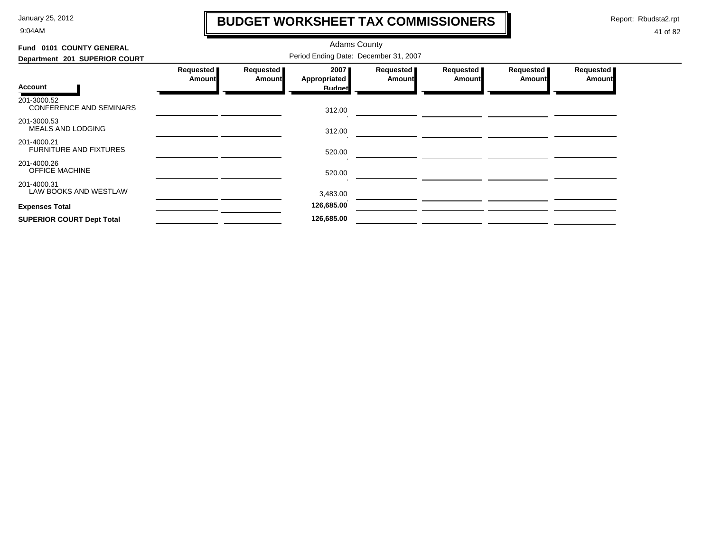9:04AM

### **BUDGET WORKSHEET TAX COMMISSIONERS**

Report: Rbudsta2.rpt

 $\mathbf l$ 

| Fund 0101 COUNTY GENERAL                      |                                       |                                   | <b>Adams County</b>  |                            |                     |                       |                              |  |
|-----------------------------------------------|---------------------------------------|-----------------------------------|----------------------|----------------------------|---------------------|-----------------------|------------------------------|--|
| Department 201 SUPERIOR COURT                 | Period Ending Date: December 31, 2007 |                                   |                      |                            |                     |                       |                              |  |
|                                               | Requested<br><b>Amount</b>            | <b>Requested</b><br><b>Amount</b> | 2007<br>Appropriated | Requested<br><b>Amount</b> | Requested<br>Amount | Requested  <br>Amount | Requested  <br><b>Amount</b> |  |
| <b>Account</b>                                |                                       |                                   | <b>Budget</b>        |                            |                     |                       |                              |  |
| 201-3000.52<br><b>CONFERENCE AND SEMINARS</b> |                                       |                                   | 312.00               |                            |                     |                       |                              |  |
| 201-3000.53<br>MEALS AND LODGING              |                                       |                                   | 312.00               |                            |                     |                       |                              |  |
| 201-4000.21<br><b>FURNITURE AND FIXTURES</b>  |                                       |                                   | 520.00               |                            |                     |                       |                              |  |
| 201-4000.26<br><b>OFFICE MACHINE</b>          |                                       |                                   | 520.00               |                            |                     |                       |                              |  |
| 201-4000.31<br>LAW BOOKS AND WESTLAW          |                                       |                                   | 3,483.00             |                            |                     |                       |                              |  |
| <b>Expenses Total</b>                         |                                       |                                   | 126,685.00           |                            |                     |                       |                              |  |
| <b>SUPERIOR COURT Dept Total</b>              |                                       |                                   | 126,685.00           |                            |                     |                       |                              |  |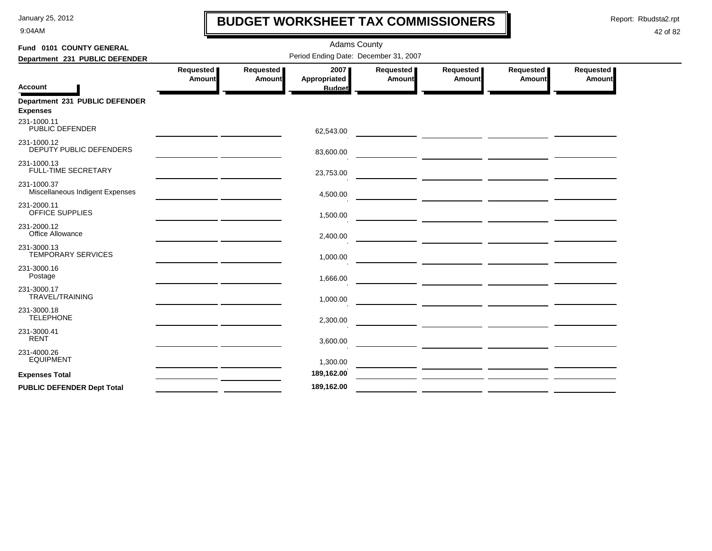9:04AM

### **BUDGET WORKSHEET TAX COMMISSIONERS**

Report: Rbudsta2.rpt

 $\mathbf l$ 

| Fund 0101 COUNTY GENERAL                          |                            |                     | <b>Adams County</b>                   |                            |                                                                                                                     |                     |                     |
|---------------------------------------------------|----------------------------|---------------------|---------------------------------------|----------------------------|---------------------------------------------------------------------------------------------------------------------|---------------------|---------------------|
| Department 231 PUBLIC DEFENDER                    |                            |                     | Period Ending Date: December 31, 2007 |                            |                                                                                                                     |                     |                     |
| <b>Account</b>                                    | Requested<br><b>Amount</b> | Requested<br>Amount | 2007<br>Appropriated<br><b>Budget</b> | Requested<br><b>Amount</b> | Requested<br>Amount                                                                                                 | Requested<br>Amount | Requested<br>Amount |
| Department 231 PUBLIC DEFENDER<br><b>Expenses</b> |                            |                     |                                       |                            |                                                                                                                     |                     |                     |
| 231-1000.11<br>PUBLIC DEFENDER                    |                            |                     | 62,543.00                             |                            |                                                                                                                     |                     |                     |
| 231-1000.12<br>DEPUTY PUBLIC DEFENDERS            |                            |                     | 83,600.00                             |                            |                                                                                                                     |                     |                     |
| 231-1000.13<br><b>FULL-TIME SECRETARY</b>         |                            |                     | 23,753.00                             |                            |                                                                                                                     |                     |                     |
| 231-1000.37<br>Miscellaneous Indigent Expenses    |                            |                     | 4,500.00                              |                            | <u> 1989 - Johann Marie Barn, mars eta inperiodor eta inperiodor eta inperiodor eta inperiodor eta inperiodor e</u> |                     |                     |
| 231-2000.11<br>OFFICE SUPPLIES                    |                            |                     | 1,500.00                              |                            |                                                                                                                     |                     |                     |
| 231-2000.12<br>Office Allowance                   |                            |                     | 2,400.00                              |                            |                                                                                                                     |                     |                     |
| 231-3000.13<br><b>TEMPORARY SERVICES</b>          |                            |                     | 1,000.00                              |                            |                                                                                                                     |                     |                     |
| 231-3000.16<br>Postage                            |                            |                     | 1,666.00                              |                            | <u> 1989 - Johann Stein, syntynysk politiker († 1908)</u>                                                           |                     |                     |
| 231-3000.17<br><b>TRAVEL/TRAINING</b>             |                            |                     | 1,000.00                              |                            |                                                                                                                     |                     |                     |
| 231-3000.18<br><b>TELEPHONE</b>                   |                            |                     | 2,300.00                              |                            |                                                                                                                     |                     |                     |
| 231-3000.41<br><b>RENT</b>                        |                            |                     | 3,600.00                              |                            |                                                                                                                     |                     |                     |
| 231-4000.26<br><b>EQUIPMENT</b>                   |                            |                     | 1,300.00                              |                            |                                                                                                                     |                     |                     |
| <b>Expenses Total</b>                             |                            |                     | 189,162.00                            |                            |                                                                                                                     |                     |                     |
| <b>PUBLIC DEFENDER Dept Total</b>                 |                            |                     | 189,162.00                            |                            |                                                                                                                     |                     |                     |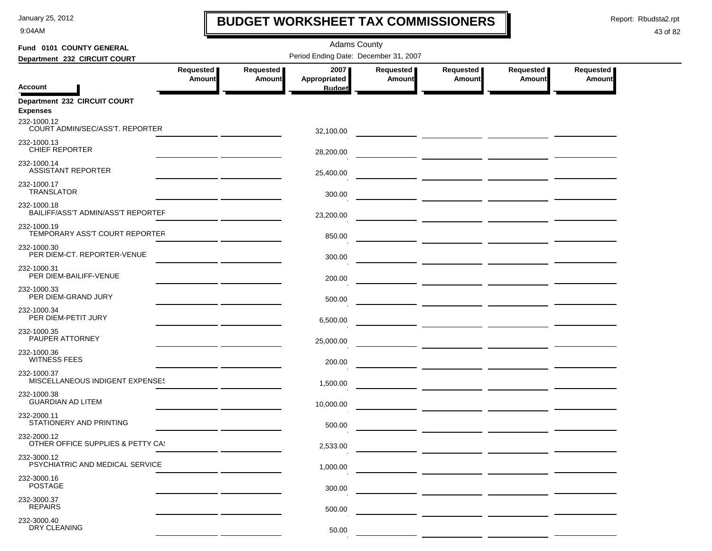9:04AM

### **BUDGET WORKSHEET TAX COMMISSIONERS**

Report: Rbudsta2.rpt

 $\mathbf I$ 

| Fund 0101 COUNTY GENERAL                          |                                   |                     | <b>Adams County</b>                   |                            |                                                                                                                       |                            |                            |  |
|---------------------------------------------------|-----------------------------------|---------------------|---------------------------------------|----------------------------|-----------------------------------------------------------------------------------------------------------------------|----------------------------|----------------------------|--|
| Department 232 CIRCUIT COURT                      |                                   |                     | Period Ending Date: December 31, 2007 |                            |                                                                                                                       |                            |                            |  |
|                                                   | <b>Requested</b><br><b>Amount</b> | Requested<br>Amount | 2007<br>Appropriated                  | Requested<br><b>Amount</b> | Requested<br>Amount                                                                                                   | Requested<br><b>Amount</b> | Requested<br><b>Amount</b> |  |
| <b>Account</b>                                    |                                   |                     | <b>Budget</b>                         |                            |                                                                                                                       |                            |                            |  |
| Department 232 CIRCUIT COURT<br><b>Expenses</b>   |                                   |                     |                                       |                            |                                                                                                                       |                            |                            |  |
| 232-1000.12<br>COURT ADMIN/SEC/ASS'T. REPORTER    |                                   |                     | 32,100.00                             |                            |                                                                                                                       |                            |                            |  |
| 232-1000.13<br><b>CHIEF REPORTER</b>              |                                   |                     | 28,200.00                             |                            |                                                                                                                       |                            |                            |  |
| 232-1000.14<br><b>ASSISTANT REPORTER</b>          |                                   |                     | 25,400.00                             |                            |                                                                                                                       |                            |                            |  |
| 232-1000.17<br><b>TRANSLATOR</b>                  |                                   |                     | 300.00                                |                            |                                                                                                                       |                            |                            |  |
| 232-1000.18<br>BAILIFF/ASS'T ADMIN/ASS'T REPORTEF |                                   |                     | 23,200.00                             |                            |                                                                                                                       |                            |                            |  |
| 232-1000.19<br>TEMPORARY ASS'T COURT REPORTER     |                                   |                     | 850.00                                |                            | — <u>— — — — — — — — — — — — — —</u>                                                                                  |                            |                            |  |
| 232-1000.30<br>PER DIEM-CT. REPORTER-VENUE        |                                   |                     | 300.00                                |                            |                                                                                                                       |                            |                            |  |
| 232-1000.31<br>PER DIEM-BAILIFF-VENUE             |                                   |                     | 200.00                                |                            |                                                                                                                       |                            |                            |  |
| 232-1000.33<br>PER DIEM-GRAND JURY                |                                   |                     | 500.00                                |                            |                                                                                                                       |                            |                            |  |
| 232-1000.34<br>PER DIEM-PETIT JURY                |                                   |                     | 6,500.00                              |                            |                                                                                                                       |                            |                            |  |
| 232-1000.35<br>PAUPER ATTORNEY                    |                                   |                     | 25,000.00                             |                            |                                                                                                                       |                            |                            |  |
| 232-1000.36<br><b>WITNESS FEES</b>                |                                   |                     | 200.00                                |                            |                                                                                                                       |                            |                            |  |
| 232-1000.37<br>MISCELLANEOUS INDIGENT EXPENSES    |                                   |                     | 1,500.00                              |                            | ___ ______________ ______________                                                                                     |                            |                            |  |
| 232-1000.38<br><b>GUARDIAN AD LITEM</b>           |                                   |                     | 10,000.00                             |                            |                                                                                                                       |                            |                            |  |
| 232-2000.11<br>STATIONERY AND PRINTING            |                                   |                     | 500.00                                |                            | <u> La provincia de la contrada de la provincia de la provincia de la provincia de la provincia de la provincia d</u> |                            |                            |  |
| 232-2000.12<br>OTHER OFFICE SUPPLIES & PETTY CA!  |                                   |                     | 2,533.00                              |                            |                                                                                                                       |                            |                            |  |
| 232-3000.12<br>PSYCHIATRIC AND MEDICAL SERVICE    |                                   |                     | 1,000.00                              |                            |                                                                                                                       |                            |                            |  |
| 232-3000.16<br><b>POSTAGE</b>                     |                                   |                     | 300.00                                |                            |                                                                                                                       |                            |                            |  |
| 232-3000.37<br><b>REPAIRS</b>                     |                                   |                     | 500.00                                |                            |                                                                                                                       |                            |                            |  |
| 232-3000.40<br>DRY CLEANING                       |                                   |                     | 50.00                                 |                            |                                                                                                                       |                            |                            |  |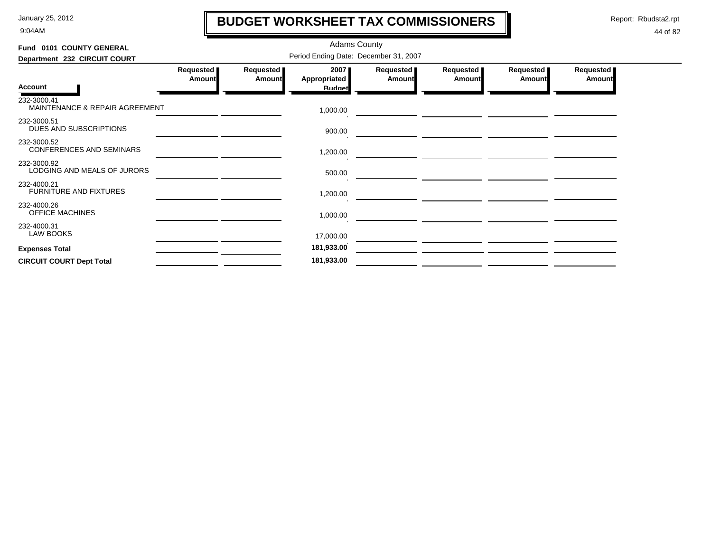9:04AM

### **BUDGET WORKSHEET TAX COMMISSIONERS**

Report: Rbudsta2.rpt

 $\mathbf l$ 

| Fund 0101 COUNTY GENERAL                      |                                       |                            | <b>Adams County</b>  |                              |                            |                       |                     |  |  |  |
|-----------------------------------------------|---------------------------------------|----------------------------|----------------------|------------------------------|----------------------------|-----------------------|---------------------|--|--|--|
| Department 232 CIRCUIT COURT                  | Period Ending Date: December 31, 2007 |                            |                      |                              |                            |                       |                     |  |  |  |
|                                               | Requested<br><b>Amount</b>            | Requested<br><b>Amount</b> | 2007<br>Appropriated | Requested  <br><b>Amount</b> | Requested<br><b>Amount</b> | Requested  <br>Amount | Requested<br>Amount |  |  |  |
| <b>Account</b>                                |                                       |                            | <b>Budget</b>        |                              |                            |                       |                     |  |  |  |
| 232-3000.41<br>MAINTENANCE & REPAIR AGREEMENT |                                       |                            | 1,000.00             |                              |                            |                       |                     |  |  |  |
| 232-3000.51<br>DUES AND SUBSCRIPTIONS         |                                       |                            | 900.00               |                              |                            |                       |                     |  |  |  |
| 232-3000.52<br>CONFERENCES AND SEMINARS       |                                       |                            | 1,200.00             |                              |                            |                       |                     |  |  |  |
| 232-3000.92<br>LODGING AND MEALS OF JURORS    |                                       |                            | 500.00               |                              |                            |                       |                     |  |  |  |
| 232-4000.21<br><b>FURNITURE AND FIXTURES</b>  |                                       |                            | 1,200.00             |                              |                            |                       |                     |  |  |  |
| 232-4000.26<br>OFFICE MACHINES                |                                       |                            | 1,000.00             |                              |                            |                       |                     |  |  |  |
| 232-4000.31<br><b>LAW BOOKS</b>               |                                       |                            | 17,000.00            |                              |                            |                       |                     |  |  |  |
| <b>Expenses Total</b>                         |                                       |                            | 181,933.00           |                              |                            |                       |                     |  |  |  |
| <b>CIRCUIT COURT Dept Total</b>               |                                       |                            | 181,933.00           |                              |                            |                       |                     |  |  |  |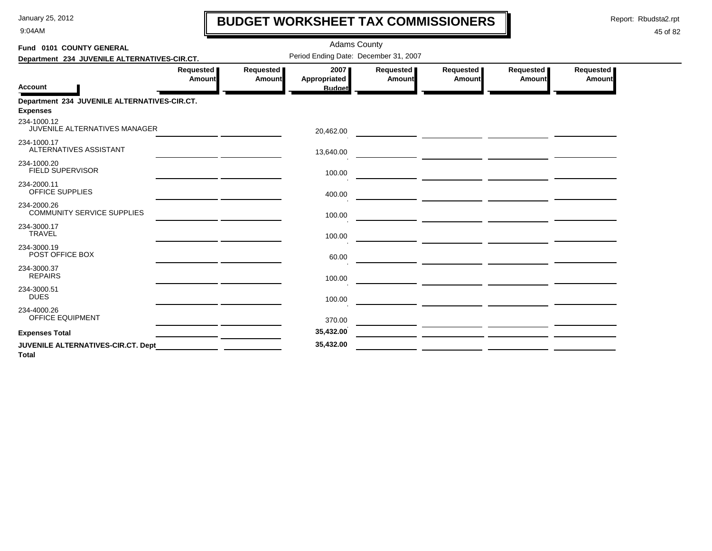9:04AM

### **BUDGET WORKSHEET TAX COMMISSIONERS**

Report: Rbudsta2.rpt

 $\mathbf l$ 

| Fund 0101 COUNTY GENERAL                                        |                     |                     | <b>Adams County</b>                   |                     |                     |                     |                     |
|-----------------------------------------------------------------|---------------------|---------------------|---------------------------------------|---------------------|---------------------|---------------------|---------------------|
| Department 234 JUVENILE ALTERNATIVES-CIR.CT.                    |                     |                     | Period Ending Date: December 31, 2007 |                     |                     |                     |                     |
| <b>Account</b>                                                  | Requested<br>Amount | Requested<br>Amount | 2007<br>Appropriated<br><b>Budget</b> | Requested<br>Amount | Requested<br>Amount | Requested<br>Amount | Requested<br>Amount |
| Department 234 JUVENILE ALTERNATIVES-CIR.CT.<br><b>Expenses</b> |                     |                     |                                       |                     |                     |                     |                     |
| 234-1000.12<br>JUVENILE ALTERNATIVES MANAGER                    |                     |                     | 20,462.00                             |                     |                     |                     |                     |
| 234-1000.17<br>ALTERNATIVES ASSISTANT                           |                     |                     | 13,640.00                             |                     |                     |                     |                     |
| 234-1000.20<br>FIELD SUPERVISOR                                 |                     |                     | 100.00                                |                     |                     |                     |                     |
| 234-2000.11<br>OFFICE SUPPLIES                                  |                     |                     | 400.00                                |                     |                     |                     |                     |
| 234-2000.26<br><b>COMMUNITY SERVICE SUPPLIES</b>                |                     |                     | 100.00                                |                     |                     |                     |                     |
| 234-3000.17<br><b>TRAVEL</b>                                    |                     |                     | 100.00                                |                     |                     |                     |                     |
| 234-3000.19<br>POST OFFICE BOX                                  |                     |                     | 60.00                                 |                     |                     |                     |                     |
| 234-3000.37<br><b>REPAIRS</b>                                   |                     |                     | 100.00                                |                     |                     |                     |                     |
| 234-3000.51<br><b>DUES</b>                                      |                     |                     | 100.00                                |                     |                     |                     |                     |
| 234-4000.26<br><b>OFFICE EQUIPMENT</b>                          |                     |                     | 370.00                                |                     |                     |                     |                     |
| <b>Expenses Total</b>                                           |                     |                     | 35,432.00                             |                     |                     |                     |                     |
| JUVENILE ALTERNATIVES-CIR.CT. Dept<br><b>Total</b>              |                     |                     | 35,432.00                             |                     |                     |                     |                     |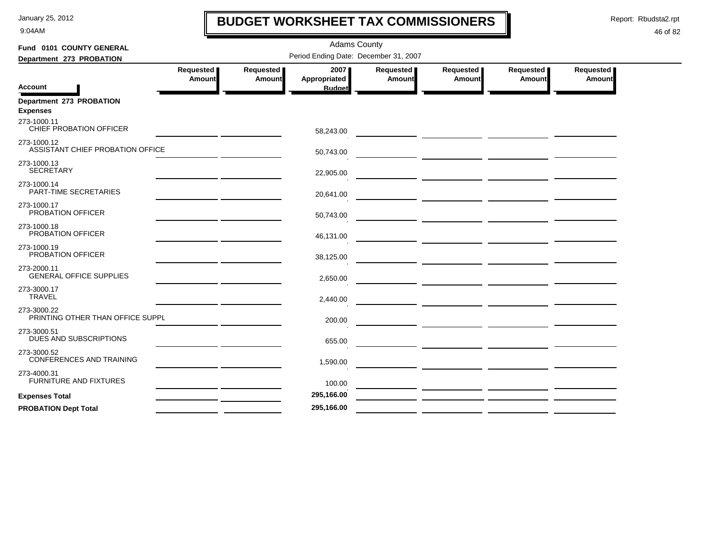9:04AM

### **BUDGET WORKSHEET TAX COMMISSIONERS**

Report: Rbudsta2.rpt

 $\mathbf l$ 

| Fund 0101 COUNTY GENERAL                        | <b>Adams County</b>                             |                     |                                       |                     |                                                                                                                       |                                                                                                                        |                                   |  |  |  |
|-------------------------------------------------|-------------------------------------------------|---------------------|---------------------------------------|---------------------|-----------------------------------------------------------------------------------------------------------------------|------------------------------------------------------------------------------------------------------------------------|-----------------------------------|--|--|--|
| Department 273 PROBATION                        |                                                 |                     | Period Ending Date: December 31, 2007 |                     |                                                                                                                       |                                                                                                                        |                                   |  |  |  |
|                                                 | Requested<br>Amount                             | Requested<br>Amount | 2007<br><b>Appropriated</b>           | Requested<br>Amount | Requested<br>Amount                                                                                                   | Requested<br>Amount                                                                                                    | <b>Requested</b><br><b>Amount</b> |  |  |  |
| <b>Account</b>                                  |                                                 |                     | <b>Budget</b>                         |                     |                                                                                                                       |                                                                                                                        |                                   |  |  |  |
| Department 273 PROBATION<br><b>Expenses</b>     |                                                 |                     |                                       |                     |                                                                                                                       |                                                                                                                        |                                   |  |  |  |
| 273-1000.11<br>CHIEF PROBATION OFFICER          |                                                 |                     | 58,243.00                             |                     | <u> 1989 - John Stein, amerikansk politiker (d. 1989)</u>                                                             |                                                                                                                        |                                   |  |  |  |
| 273-1000.12<br>ASSISTANT CHIEF PROBATION OFFICE |                                                 |                     | 50,743.00                             |                     |                                                                                                                       |                                                                                                                        |                                   |  |  |  |
| 273-1000.13<br><b>SECRETARY</b>                 |                                                 |                     | 22,905.00                             |                     |                                                                                                                       |                                                                                                                        |                                   |  |  |  |
| 273-1000.14<br>PART-TIME SECRETARIES            |                                                 |                     | 20,641.00                             |                     | <u> De Carlos de Carlos de la contrada de la contrada de la contrada de la contrada de la contrada de la contrada</u> |                                                                                                                        |                                   |  |  |  |
| 273-1000.17<br>PROBATION OFFICER                |                                                 |                     | 50,743.00                             |                     |                                                                                                                       |                                                                                                                        |                                   |  |  |  |
| 273-1000.18<br>PROBATION OFFICER                |                                                 |                     | 46,131.00                             |                     |                                                                                                                       |                                                                                                                        |                                   |  |  |  |
| 273-1000.19<br>PROBATION OFFICER                |                                                 |                     | 38,125.00                             |                     |                                                                                                                       | — <u>— — — — — — — — — — — — — —</u>                                                                                   |                                   |  |  |  |
| 273-2000.11<br><b>GENERAL OFFICE SUPPLIES</b>   |                                                 |                     | 2,650.00                              |                     |                                                                                                                       |                                                                                                                        |                                   |  |  |  |
| 273-3000.17<br><b>TRAVEL</b>                    |                                                 |                     | 2,440.00                              |                     |                                                                                                                       |                                                                                                                        |                                   |  |  |  |
| 273-3000.22<br>PRINTING OTHER THAN OFFICE SUPPL |                                                 |                     | 200.00                                |                     |                                                                                                                       |                                                                                                                        |                                   |  |  |  |
| 273-3000.51<br>DUES AND SUBSCRIPTIONS           |                                                 |                     | 655.00                                |                     | <u> Alexandria de la contrada de la contrada de la contrada de la contrada de la contrada de la contrada de la c</u>  |                                                                                                                        |                                   |  |  |  |
| 273-3000.52<br>CONFERENCES AND TRAINING         |                                                 |                     | 1,590.00                              |                     |                                                                                                                       |                                                                                                                        |                                   |  |  |  |
| 273-4000.31<br><b>FURNITURE AND FIXTURES</b>    |                                                 |                     | 100.00                                |                     | <u>and the state of the state of the state</u>                                                                        |                                                                                                                        |                                   |  |  |  |
| <b>Expenses Total</b>                           | <u> 1989 - Johann Barnett, fransk politik (</u> |                     | 295,166.00                            |                     |                                                                                                                       | <u> The Common State of the Common State of the Common State of the Common State of the Common State of the Common</u> |                                   |  |  |  |
| <b>PROBATION Dept Total</b>                     |                                                 |                     | 295,166.00                            |                     |                                                                                                                       |                                                                                                                        |                                   |  |  |  |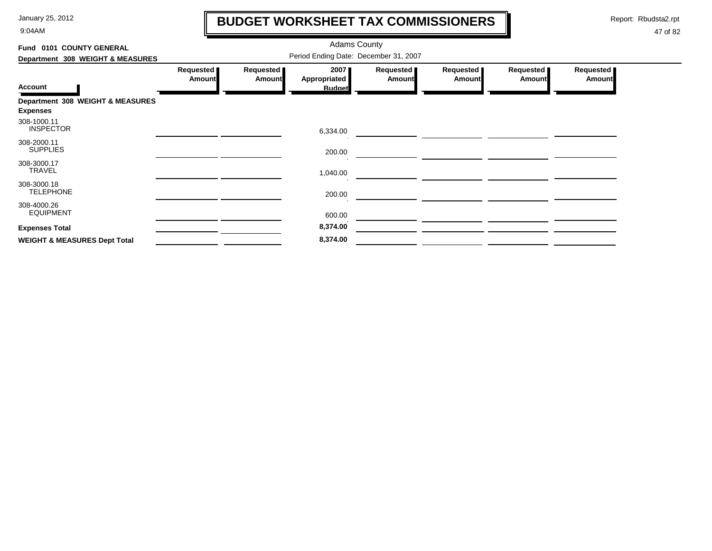9:04AM

### **BUDGET WORKSHEET TAX COMMISSIONERS**

Report: Rbudsta2.rpt

 $\mathbf \mathbf I$ 

| Fund 0101 COUNTY GENERAL                            |                     |                            | <b>Adams County</b>                   |                            |                            |                            |                       |
|-----------------------------------------------------|---------------------|----------------------------|---------------------------------------|----------------------------|----------------------------|----------------------------|-----------------------|
| Department 308 WEIGHT & MEASURES                    |                     |                            |                                       |                            |                            |                            |                       |
| <b>Account</b>                                      | Requested<br>Amount | Requested<br><b>Amount</b> | 2007<br>Appropriated<br><b>Budget</b> | Requested<br><b>Amount</b> | Requested<br><b>Amount</b> | Requested<br><b>Amount</b> | Requested  <br>Amount |
| Department 308 WEIGHT & MEASURES<br><b>Expenses</b> |                     |                            |                                       |                            |                            |                            |                       |
| 308-1000.11<br><b>INSPECTOR</b>                     |                     |                            | 6,334.00                              |                            |                            |                            |                       |
| 308-2000.11<br><b>SUPPLIES</b>                      |                     |                            | 200.00                                |                            |                            |                            |                       |
| 308-3000.17<br>TRAVEL                               |                     |                            | 1,040.00                              |                            |                            |                            |                       |
| 308-3000.18<br><b>TELEPHONE</b>                     |                     |                            | 200.00                                |                            |                            |                            |                       |
| 308-4000.26<br><b>EQUIPMENT</b>                     |                     |                            | 600.00                                |                            |                            |                            |                       |
| <b>Expenses Total</b>                               |                     |                            | 8,374.00                              |                            |                            |                            |                       |
| <b>WEIGHT &amp; MEASURES Dept Total</b>             |                     |                            | 8,374.00                              |                            |                            |                            |                       |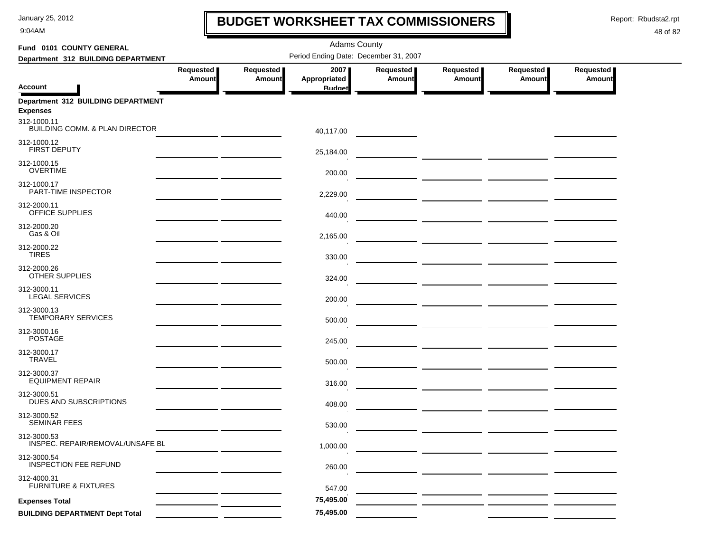9:04AM

### **BUDGET WORKSHEET TAX COMMISSIONERS**

Report: Rbudsta2.rpt

 $\mathbf l$ 

| Fund 0101 COUNTY GENERAL                                 |                            |                            | <b>Adams County</b>                   |                     |                                                                   |                            |                            |
|----------------------------------------------------------|----------------------------|----------------------------|---------------------------------------|---------------------|-------------------------------------------------------------------|----------------------------|----------------------------|
| Department 312 BUILDING DEPARTMENT                       |                            |                            | Period Ending Date: December 31, 2007 |                     |                                                                   |                            |                            |
| <b>Account</b>                                           | Requested<br><b>Amount</b> | Requested<br><b>Amount</b> | 2007<br>Appropriated<br><b>Budget</b> | Requested<br>Amount | Requested<br><b>Amount</b>                                        | Requested<br><b>Amount</b> | Requested<br><b>Amount</b> |
| Department 312 BUILDING DEPARTMENT<br><b>Expenses</b>    |                            |                            |                                       |                     |                                                                   |                            |                            |
| 312-1000.11<br><b>BUILDING COMM. &amp; PLAN DIRECTOR</b> |                            |                            | 40,117.00                             |                     |                                                                   |                            |                            |
| 312-1000.12<br>FIRST DEPUTY                              |                            |                            | 25,184.00                             |                     |                                                                   |                            |                            |
| 312-1000.15<br><b>OVERTIME</b>                           |                            |                            | 200.00                                |                     |                                                                   |                            |                            |
| 312-1000.17<br>PART-TIME INSPECTOR                       |                            |                            | 2,229.00                              |                     |                                                                   |                            |                            |
| 312-2000.11<br>OFFICE SUPPLIES                           |                            |                            | 440.00                                |                     | <u> The Common School (1999) and the Common School (1999) and</u> |                            |                            |
| 312-2000.20<br>Gas & Oil                                 |                            |                            | 2,165.00                              |                     |                                                                   |                            |                            |
| 312-2000.22<br><b>TIRES</b>                              |                            |                            | 330.00                                |                     |                                                                   |                            |                            |
| 312-2000.26<br><b>OTHER SUPPLIES</b>                     |                            |                            | 324.00                                |                     |                                                                   |                            |                            |
| 312-3000.11<br><b>LEGAL SERVICES</b>                     |                            |                            | 200.00                                |                     |                                                                   |                            |                            |
| 312-3000.13<br><b>TEMPORARY SERVICES</b>                 |                            |                            | 500.00                                |                     |                                                                   |                            |                            |
| 312-3000.16<br><b>POSTAGE</b>                            |                            |                            | 245.00                                |                     |                                                                   |                            |                            |
| 312-3000.17<br><b>TRAVEL</b>                             |                            |                            | 500.00                                |                     |                                                                   |                            |                            |
| 312-3000.37<br><b>EQUIPMENT REPAIR</b>                   |                            |                            | 316.00                                |                     | — <u>— — — — — — — — — — — — —</u>                                |                            |                            |
| 312-3000.51<br>DUES AND SUBSCRIPTIONS                    |                            |                            | 408.00                                |                     |                                                                   |                            |                            |
| 312-3000.52<br><b>SEMINAR FEES</b>                       |                            |                            | 530.00                                |                     |                                                                   |                            |                            |
| 312-3000.53<br>INSPEC. REPAIR/REMOVAL/UNSAFE BL          |                            |                            | 1,000.00                              |                     |                                                                   |                            |                            |
| 312-3000.54<br><b>INSPECTION FEE REFUND</b>              |                            |                            | 260.00                                |                     |                                                                   |                            |                            |
| 312-4000.31<br><b>FURNITURE &amp; FIXTURES</b>           |                            |                            | 547.00                                |                     |                                                                   |                            |                            |
| <b>Expenses Total</b>                                    |                            |                            | 75,495.00                             |                     |                                                                   |                            |                            |
| <b>BUILDING DEPARTMENT Dept Total</b>                    |                            |                            | 75,495.00                             |                     |                                                                   |                            |                            |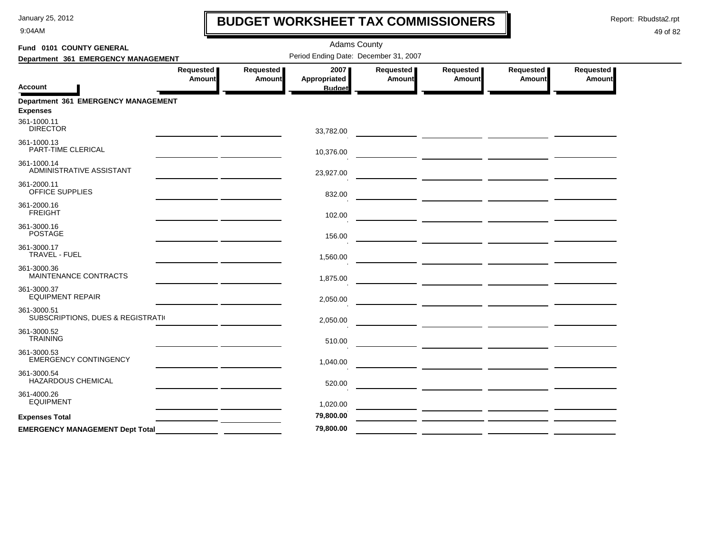9:04AM

### **BUDGET WORKSHEET TAX COMMISSIONERS**

Report: Rbudsta2.rpt

 $\mathbf l$ 

| Fund 0101 COUNTY GENERAL                               |                            |                            | <b>Adams County</b>                   |                     |                                                                                                                      |                     |                            |
|--------------------------------------------------------|----------------------------|----------------------------|---------------------------------------|---------------------|----------------------------------------------------------------------------------------------------------------------|---------------------|----------------------------|
| Department 361 EMERGENCY MANAGEMENT                    |                            |                            | Period Ending Date: December 31, 2007 |                     |                                                                                                                      |                     |                            |
| Account                                                | Requested<br><b>Amount</b> | Requested<br><b>Amount</b> | 2007<br>Appropriated<br><b>Budget</b> | Requested<br>Amount | Requested<br>Amount                                                                                                  | Requested<br>Amount | Requested<br><b>Amount</b> |
| Department 361 EMERGENCY MANAGEMENT<br><b>Expenses</b> |                            |                            |                                       |                     |                                                                                                                      |                     |                            |
| 361-1000.11<br><b>DIRECTOR</b>                         |                            |                            | 33,782.00                             |                     |                                                                                                                      |                     |                            |
| 361-1000.13<br>PART-TIME CLERICAL                      |                            |                            | 10,376.00                             |                     |                                                                                                                      |                     |                            |
| 361-1000.14<br>ADMINISTRATIVE ASSISTANT                |                            |                            | 23,927.00                             |                     | <u> Andreas Andreas Andreas Andreas Andreas Andreas Andreas Andreas Andreas Andreas Andreas Andreas Andreas Andr</u> |                     |                            |
| 361-2000.11<br>OFFICE SUPPLIES                         |                            |                            | 832.00                                |                     |                                                                                                                      |                     |                            |
| 361-2000.16<br><b>FREIGHT</b>                          |                            |                            | 102.00                                |                     |                                                                                                                      |                     |                            |
| 361-3000.16<br><b>POSTAGE</b>                          |                            |                            | 156.00                                |                     |                                                                                                                      |                     |                            |
| 361-3000.17<br><b>TRAVEL - FUEL</b>                    |                            |                            | 1,560.00                              |                     |                                                                                                                      |                     |                            |
| 361-3000.36<br>MAINTENANCE CONTRACTS                   |                            |                            | 1,875.00                              |                     |                                                                                                                      |                     |                            |
| 361-3000.37<br><b>EQUIPMENT REPAIR</b>                 |                            |                            | 2,050.00                              |                     |                                                                                                                      |                     |                            |
| 361-3000.51<br>SUBSCRIPTIONS, DUES & REGISTRATI        |                            |                            | 2,050.00                              |                     |                                                                                                                      |                     |                            |
| 361-3000.52<br><b>TRAINING</b>                         |                            |                            | 510.00                                |                     |                                                                                                                      |                     |                            |
| 361-3000.53<br><b>EMERGENCY CONTINGENCY</b>            |                            |                            | 1,040.00                              |                     |                                                                                                                      |                     |                            |
| 361-3000.54<br><b>HAZARDOUS CHEMICAL</b>               |                            |                            | 520.00                                |                     |                                                                                                                      |                     |                            |
| 361-4000.26<br><b>EQUIPMENT</b>                        |                            |                            | 1,020.00                              |                     |                                                                                                                      |                     |                            |
| <b>Expenses Total</b>                                  |                            |                            | 79,800.00                             |                     |                                                                                                                      |                     |                            |
| <b>EMERGENCY MANAGEMENT Dept Total</b>                 |                            |                            | 79,800.00                             |                     |                                                                                                                      |                     |                            |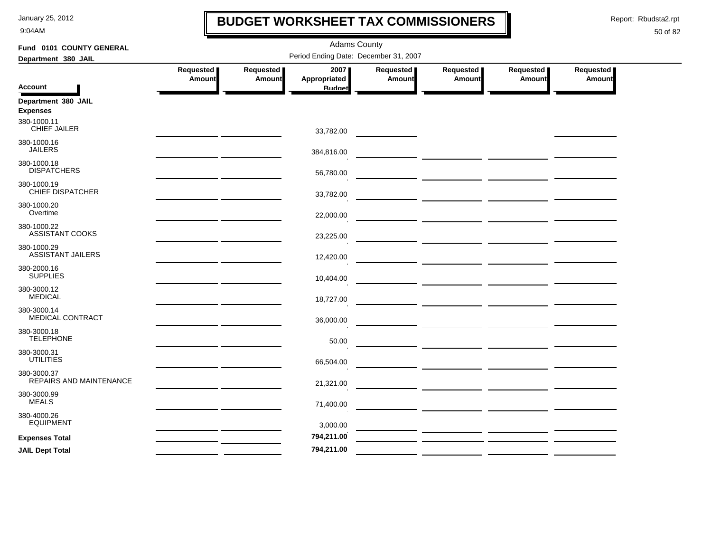9:04AM

### **BUDGET WORKSHEET TAX COMMISSIONERS**

Report: Rbudsta2.rpt

 $\mathbf l$ 

| Fund 0101 COUNTY GENERAL                | <b>Adams County</b>                          |           |                                       |                                                                                                                                                                                                                                      |                                                                                                                                                                                                                                      |               |               |  |  |  |
|-----------------------------------------|----------------------------------------------|-----------|---------------------------------------|--------------------------------------------------------------------------------------------------------------------------------------------------------------------------------------------------------------------------------------|--------------------------------------------------------------------------------------------------------------------------------------------------------------------------------------------------------------------------------------|---------------|---------------|--|--|--|
| Department 380 JAIL                     |                                              |           | Period Ending Date: December 31, 2007 |                                                                                                                                                                                                                                      |                                                                                                                                                                                                                                      |               |               |  |  |  |
|                                         | Requested                                    | Requested | 2007                                  | Requested                                                                                                                                                                                                                            | Requested                                                                                                                                                                                                                            | Requested     | Requested     |  |  |  |
| <b>Account</b>                          | Amount                                       | Amount    | Appropriated<br><b>Budget</b>         | <b>Amount</b>                                                                                                                                                                                                                        | <b>Amount</b>                                                                                                                                                                                                                        | <b>Amount</b> | <b>Amount</b> |  |  |  |
| Department 380 JAIL<br><b>Expenses</b>  |                                              |           |                                       |                                                                                                                                                                                                                                      |                                                                                                                                                                                                                                      |               |               |  |  |  |
| 380-1000.11<br><b>CHIEF JAILER</b>      |                                              |           | 33,782.00                             |                                                                                                                                                                                                                                      |                                                                                                                                                                                                                                      |               |               |  |  |  |
| 380-1000.16<br><b>JAILERS</b>           |                                              |           | 384,816.00                            |                                                                                                                                                                                                                                      |                                                                                                                                                                                                                                      |               |               |  |  |  |
| 380-1000.18<br><b>DISPATCHERS</b>       |                                              |           | 56,780.00                             |                                                                                                                                                                                                                                      |                                                                                                                                                                                                                                      |               |               |  |  |  |
| 380-1000.19<br><b>CHIEF DISPATCHER</b>  |                                              |           | 33,782.00                             |                                                                                                                                                                                                                                      |                                                                                                                                                                                                                                      |               |               |  |  |  |
| 380-1000.20<br>Overtime                 |                                              |           | 22,000.00                             |                                                                                                                                                                                                                                      | — <u>— — — — — — — — — — — — — —</u>                                                                                                                                                                                                 |               |               |  |  |  |
| 380-1000.22<br><b>ASSISTANT COOKS</b>   |                                              |           | 23,225.00                             |                                                                                                                                                                                                                                      |                                                                                                                                                                                                                                      |               |               |  |  |  |
| 380-1000.29<br><b>ASSISTANT JAILERS</b> |                                              |           | 12,420.00                             |                                                                                                                                                                                                                                      |                                                                                                                                                                                                                                      |               |               |  |  |  |
| 380-2000.16<br><b>SUPPLIES</b>          |                                              |           | 10,404.00                             |                                                                                                                                                                                                                                      | <u> 1990 - John Harry Harry Harry Harry Harry Harry Harry Harry Harry Harry Harry Harry Harry Harry Harry Harry H</u>                                                                                                                |               |               |  |  |  |
| 380-3000.12<br><b>MEDICAL</b>           |                                              |           | 18,727.00                             |                                                                                                                                                                                                                                      |                                                                                                                                                                                                                                      |               |               |  |  |  |
| 380-3000.14<br><b>MEDICAL CONTRACT</b>  | the control of the control of the control of |           | 36,000.00                             |                                                                                                                                                                                                                                      | — ————— ————— — <del>—————</del>                                                                                                                                                                                                     |               |               |  |  |  |
| 380-3000.18<br><b>TELEPHONE</b>         |                                              |           | 50.00                                 |                                                                                                                                                                                                                                      |                                                                                                                                                                                                                                      |               |               |  |  |  |
| 380-3000.31<br><b>UTILITIES</b>         |                                              |           | 66,504.00                             |                                                                                                                                                                                                                                      | <u> The Common State of the Common State of the Common State of the Common State of the Common State of the Common State of the Common State of the Common State of the Common State of the Common State of the Common State of </u> |               |               |  |  |  |
| 380-3000.37<br>REPAIRS AND MAINTENANCE  |                                              |           | 21,321.00                             |                                                                                                                                                                                                                                      |                                                                                                                                                                                                                                      |               |               |  |  |  |
| 380-3000.99<br><b>MEALS</b>             |                                              |           | 71,400.00                             |                                                                                                                                                                                                                                      |                                                                                                                                                                                                                                      |               |               |  |  |  |
| 380-4000.26<br><b>EQUIPMENT</b>         |                                              |           | 3,000.00                              |                                                                                                                                                                                                                                      | — <u>— — — — — — — — — — — — — — —</u>                                                                                                                                                                                               |               |               |  |  |  |
| <b>Expenses Total</b>                   |                                              |           | 794,211.00                            |                                                                                                                                                                                                                                      |                                                                                                                                                                                                                                      |               |               |  |  |  |
| <b>JAIL Dept Total</b>                  |                                              |           | 794,211.00                            | <u>and the state of the state of the state of the state of the state of the state of the state of the state of the state of the state of the state of the state of the state of the state of the state of the state of the state</u> |                                                                                                                                                                                                                                      |               |               |  |  |  |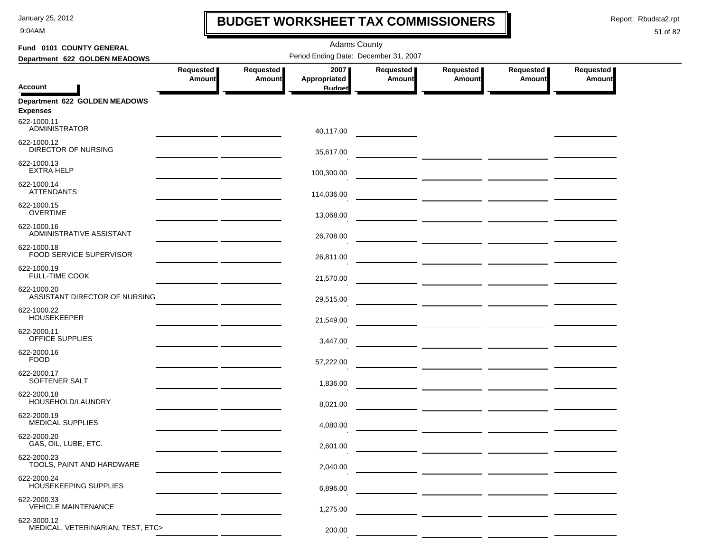9:04AM

### **BUDGET WORKSHEET TAX COMMISSIONERS**

Report: Rbudsta2.rpt

 $\mathbf I$ 

| Fund 0101 COUNTY GENERAL                         |                                                                                                                       |                            |                      |                     |                     |                     |                            |  |
|--------------------------------------------------|-----------------------------------------------------------------------------------------------------------------------|----------------------------|----------------------|---------------------|---------------------|---------------------|----------------------------|--|
| Department 622 GOLDEN MEADOWS                    | Period Ending Date: December 31, 2007                                                                                 |                            |                      |                     |                     |                     |                            |  |
|                                                  | Requested<br><b>Amount</b>                                                                                            | Requested<br><b>Amount</b> | 2007<br>Appropriated | Requested<br>Amount | Requested<br>Amount | Requested<br>Amount | Requested<br><b>Amount</b> |  |
| <b>Account</b>                                   |                                                                                                                       |                            | <b>Budget</b>        |                     |                     |                     |                            |  |
| Department 622 GOLDEN MEADOWS<br><b>Expenses</b> |                                                                                                                       |                            |                      |                     |                     |                     |                            |  |
| 622-1000.11<br><b>ADMINISTRATOR</b>              |                                                                                                                       |                            | 40,117.00            |                     |                     |                     |                            |  |
| 622-1000.12<br><b>DIRECTOR OF NURSING</b>        |                                                                                                                       |                            | 35,617.00            |                     |                     |                     |                            |  |
| 622-1000.13<br><b>EXTRA HELP</b>                 |                                                                                                                       |                            | 100,300.00           |                     |                     |                     |                            |  |
| 622-1000.14<br><b>ATTENDANTS</b>                 |                                                                                                                       |                            | 114,036.00           |                     |                     |                     |                            |  |
| 622-1000.15<br><b>OVERTIME</b>                   |                                                                                                                       |                            | 13,068.00            |                     |                     |                     |                            |  |
| 622-1000.16<br>ADMINISTRATIVE ASSISTANT          |                                                                                                                       |                            | 26,708.00            |                     |                     |                     |                            |  |
| 622-1000.18<br>FOOD SERVICE SUPERVISOR           | <u> 1989 - Alexandr Alexandr III, poet</u>                                                                            |                            | 26,811.00            |                     |                     |                     |                            |  |
| 622-1000.19<br><b>FULL-TIME COOK</b>             | <u> 1980 - John Harry Barn, mars and de Branch and de Branch and de Branch and de Branch and de Branch and de Bra</u> |                            | 21,570.00            |                     |                     |                     |                            |  |
| 622-1000.20<br>ASSISTANT DIRECTOR OF NURSING     |                                                                                                                       |                            | 29,515.00            |                     |                     |                     |                            |  |
| 622-1000.22<br><b>HOUSEKEEPER</b>                |                                                                                                                       |                            | 21,549.00            |                     |                     |                     |                            |  |
| 622-2000.11<br>OFFICE SUPPLIES                   |                                                                                                                       |                            | 3,447.00             |                     |                     |                     |                            |  |
| 622-2000.16<br><b>FOOD</b>                       |                                                                                                                       |                            | 57,222.00            |                     |                     |                     |                            |  |
| 622-2000.17<br>SOFTENER SALT                     |                                                                                                                       |                            | 1,836.00             |                     |                     |                     |                            |  |
| 622-2000.18<br>HOUSEHOLD/LAUNDRY                 |                                                                                                                       |                            | 8,021.00             |                     |                     |                     |                            |  |
| 622-2000.19<br><b>MEDICAL SUPPLIES</b>           |                                                                                                                       |                            | 4,080.00             |                     |                     |                     |                            |  |
| 622-2000.20<br>GAS, OIL, LUBE, ETC.              |                                                                                                                       |                            | 2,601.00             |                     |                     |                     |                            |  |
| 622-2000.23<br>TOOLS, PAINT AND HARDWARE         |                                                                                                                       |                            | 2,040.00             |                     |                     |                     |                            |  |
| 622-2000.24<br>HOUSEKEEPING SUPPLIES             |                                                                                                                       |                            | 6,896.00             |                     |                     |                     |                            |  |
| 622-2000.33<br><b>VEHICLE MAINTENANCE</b>        |                                                                                                                       |                            | 1,275.00             |                     |                     |                     |                            |  |
| 622-3000.12                                      |                                                                                                                       |                            |                      |                     |                     |                     |                            |  |
| MEDICAL, VETERINARIAN, TEST, ETC>                |                                                                                                                       |                            | 200.00               |                     |                     |                     |                            |  |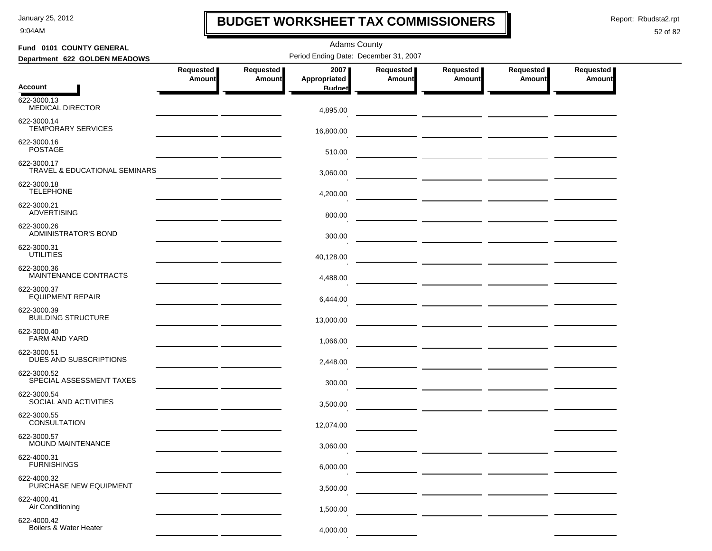9:04AM

### **BUDGET WORKSHEET TAX COMMISSIONERS**

Report: Rbudsta2.rpt

 $\mathbf I$ 

 $-$ 

### 52 of 82

| Fund 0101 COUNTY GENERAL                                | <b>Adams County</b>                          |                     |                                       |                            |                            |                       |                     |  |  |  |
|---------------------------------------------------------|----------------------------------------------|---------------------|---------------------------------------|----------------------------|----------------------------|-----------------------|---------------------|--|--|--|
| Department 622 GOLDEN MEADOWS                           |                                              |                     | Period Ending Date: December 31, 2007 |                            |                            |                       |                     |  |  |  |
|                                                         | Requested<br>Amount                          | Requested<br>Amount | 20071<br>Appropriated                 | <b>Requested</b><br>Amount | Requested<br><b>Amount</b> | Requested  <br>Amount | Requested<br>Amount |  |  |  |
| <b>Account</b>                                          |                                              |                     | <b>Budget</b>                         |                            |                            |                       |                     |  |  |  |
| 622-3000.13<br><b>MEDICAL DIRECTOR</b>                  |                                              |                     | 4,895.00                              |                            |                            |                       |                     |  |  |  |
| 622-3000.14<br><b>TEMPORARY SERVICES</b>                |                                              |                     | 16,800.00                             |                            |                            |                       |                     |  |  |  |
| 622-3000.16<br><b>POSTAGE</b>                           |                                              |                     | 510.00                                |                            |                            |                       |                     |  |  |  |
| 622-3000.17<br><b>TRAVEL &amp; EDUCATIONAL SEMINARS</b> |                                              |                     | 3,060.00                              |                            |                            |                       |                     |  |  |  |
| 622-3000.18<br><b>TELEPHONE</b>                         |                                              |                     | 4,200.00                              |                            |                            |                       |                     |  |  |  |
| 622-3000.21<br><b>ADVERTISING</b>                       |                                              |                     | 800.00                                |                            |                            |                       |                     |  |  |  |
| 622-3000.26<br><b>ADMINISTRATOR'S BOND</b>              |                                              |                     | 300.00                                |                            |                            |                       |                     |  |  |  |
| 622-3000.31<br><b>UTILITIES</b>                         |                                              |                     | 40,128.00                             |                            |                            |                       |                     |  |  |  |
| 622-3000.36<br>MAINTENANCE CONTRACTS                    | the control of the control of the control of |                     | 4,488.00                              |                            |                            |                       |                     |  |  |  |
| 622-3000.37<br><b>EQUIPMENT REPAIR</b>                  |                                              |                     | 6,444.00                              |                            |                            |                       |                     |  |  |  |
| 622-3000.39<br><b>BUILDING STRUCTURE</b>                |                                              |                     | 13,000.00                             |                            |                            |                       |                     |  |  |  |
| 622-3000.40<br>FARM AND YARD                            |                                              |                     | 1,066.00                              |                            |                            |                       |                     |  |  |  |
| 622-3000.51<br>DUES AND SUBSCRIPTIONS                   |                                              |                     | 2,448.00                              |                            |                            |                       |                     |  |  |  |
| 622-3000.52<br>SPECIAL ASSESSMENT TAXES                 |                                              |                     | 300.00                                |                            |                            |                       |                     |  |  |  |
| 622-3000.54<br>SOCIAL AND ACTIVITIES                    |                                              |                     | 3,500.00                              |                            |                            |                       |                     |  |  |  |
| 622-3000.55<br><b>CONSULTATION</b>                      |                                              |                     | 12,074.00                             |                            |                            |                       |                     |  |  |  |
| 622-3000.57<br>MOUND MAINTENANCE                        |                                              |                     | 3,060.00                              |                            |                            |                       |                     |  |  |  |
| 622-4000.31<br><b>FURNISHINGS</b>                       |                                              |                     | 6,000.00                              |                            |                            |                       |                     |  |  |  |
| 622-4000.32<br>PURCHASE NEW EQUIPMENT                   |                                              |                     | 3,500.00                              |                            |                            |                       |                     |  |  |  |
| 622-4000.41<br>Air Conditioning                         |                                              |                     | 1,500.00                              |                            |                            |                       |                     |  |  |  |
| 622-4000.42<br>Boilers & Water Heater                   |                                              |                     | 4,000.00                              |                            |                            |                       |                     |  |  |  |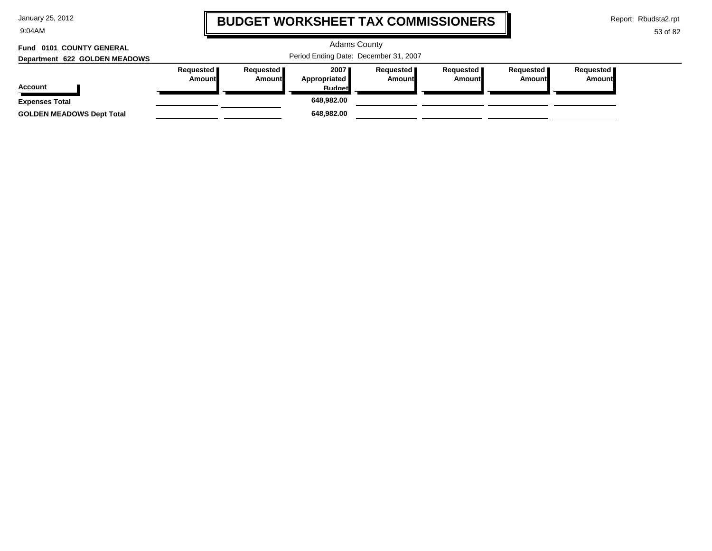9:04AM

### **BUDGET WORKSHEET TAX COMMISSIONERS**

Report: Rbudsta2.rpt

 $\mathbf \mathbf I$ 

| Fund 0101 COUNTY GENERAL<br>Department 622 GOLDEN MEADOWS |                              | <b>Adams County</b><br>Period Ending Date: December 31, 2007 |                                         |                                     |                       |                       |                              |  |  |
|-----------------------------------------------------------|------------------------------|--------------------------------------------------------------|-----------------------------------------|-------------------------------------|-----------------------|-----------------------|------------------------------|--|--|
| <b>Account</b>                                            | Requested  <br><b>Amount</b> | Requested <b>I</b><br>Amount                                 | 2007<br>Appropriated  <br><b>Budget</b> | Reauested <b>I</b><br><b>Amount</b> | Requested  <br>Amount | Requested  <br>Amount | Requested  <br><b>Amount</b> |  |  |
| <b>Expenses Total</b>                                     |                              |                                                              | 648,982.00                              |                                     |                       |                       |                              |  |  |
| <b>GOLDEN MEADOWS Dept Total</b>                          |                              |                                                              | 648,982.00                              |                                     |                       |                       |                              |  |  |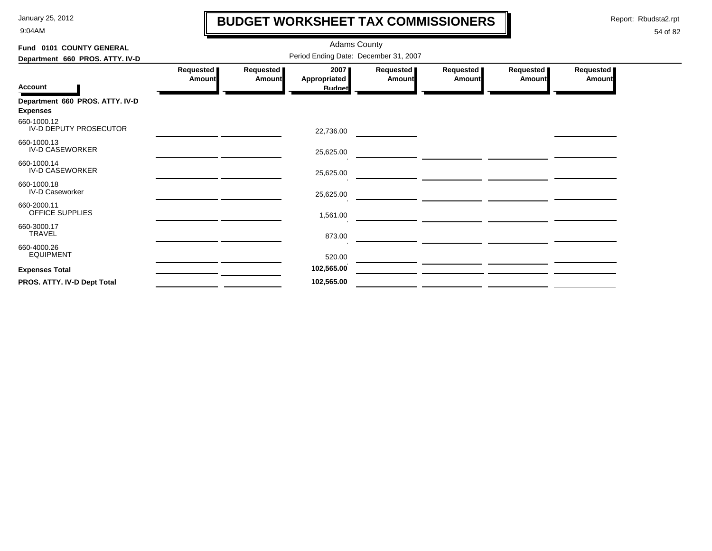9:04AM

### **BUDGET WORKSHEET TAX COMMISSIONERS**

Report: Rbudsta2.rpt

 $\mathbf \mathbf I$ 

| Fund 0101 COUNTY GENERAL                           |                                       | <b>Adams County</b>          |                                              |                       |                     |                     |                     |  |  |  |
|----------------------------------------------------|---------------------------------------|------------------------------|----------------------------------------------|-----------------------|---------------------|---------------------|---------------------|--|--|--|
| Department 660 PROS. ATTY. IV-D                    | Period Ending Date: December 31, 2007 |                              |                                              |                       |                     |                     |                     |  |  |  |
| <b>Account</b>                                     | Requested<br>Amount                   | Requested  <br><b>Amount</b> | 2007<br><b>Appropriated</b><br><b>Budget</b> | Requested  <br>Amount | Requested<br>Amount | Requested<br>Amount | Requested<br>Amount |  |  |  |
| Department 660 PROS. ATTY. IV-D<br><b>Expenses</b> |                                       |                              |                                              |                       |                     |                     |                     |  |  |  |
| 660-1000.12<br>IV-D DEPUTY PROSECUTOR              |                                       |                              | 22,736.00                                    |                       |                     |                     |                     |  |  |  |
| 660-1000.13<br><b>IV-D CASEWORKER</b>              |                                       |                              | 25,625.00                                    |                       |                     |                     |                     |  |  |  |
| 660-1000.14<br><b>IV-D CASEWORKER</b>              |                                       |                              | 25,625.00                                    |                       |                     |                     |                     |  |  |  |
| 660-1000.18<br><b>IV-D Caseworker</b>              |                                       |                              | 25,625.00                                    |                       |                     |                     |                     |  |  |  |
| 660-2000.11<br>OFFICE SUPPLIES                     |                                       |                              | 1,561.00                                     |                       |                     |                     |                     |  |  |  |
| 660-3000.17<br>TRAVEL                              |                                       |                              | 873.00                                       |                       |                     |                     |                     |  |  |  |
| 660-4000.26<br><b>EQUIPMENT</b>                    |                                       |                              | 520.00                                       |                       |                     |                     |                     |  |  |  |
| <b>Expenses Total</b>                              |                                       |                              | 102,565.00                                   |                       |                     |                     |                     |  |  |  |
| PROS. ATTY. IV-D Dept Total                        |                                       |                              | 102,565.00                                   |                       |                     |                     |                     |  |  |  |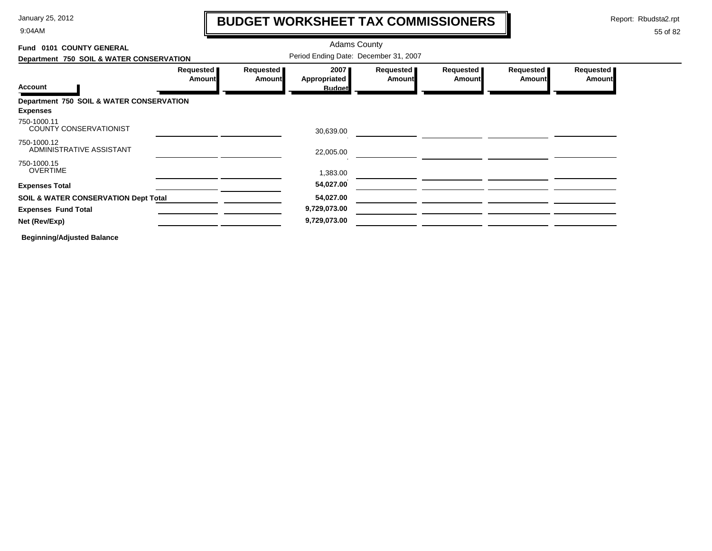9:04AM

### **BUDGET WORKSHEET TAX COMMISSIONERS**

Report: Rbudsta2.rpt

 $\mathbf l$ 

#### 55 of 82

| Requested<br><b>Amount</b> |
|----------------------------|
|                            |
|                            |
|                            |
|                            |
|                            |
|                            |
|                            |
|                            |
|                            |
|                            |
|                            |
|                            |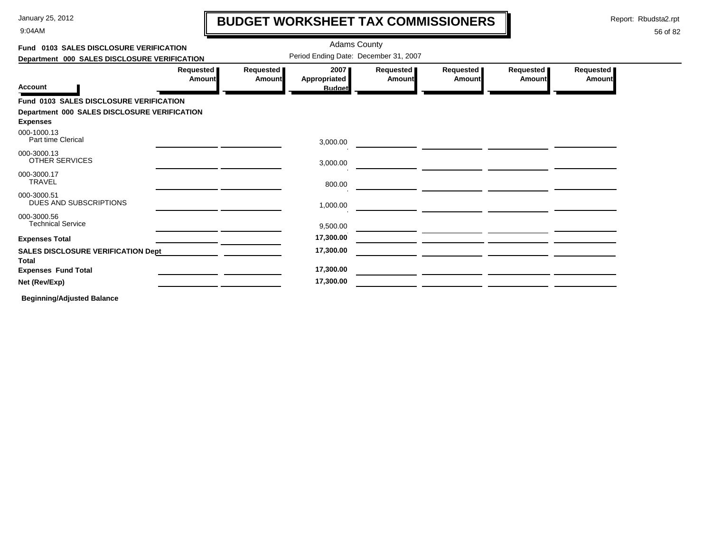9:04AM

# **BUDGET WORKSHEET TAX COMMISSIONERS**

Report: Rbudsta2.rpt

 $\mathbf l$ 

### 56 of 82

| Fund 0103 SALES DISCLOSURE VERIFICATION                   |                              | <b>Adams County</b>                   |                     |                       |                       |                            |
|-----------------------------------------------------------|------------------------------|---------------------------------------|---------------------|-----------------------|-----------------------|----------------------------|
| Department 000 SALES DISCLOSURE VERIFICATION              |                              | Period Ending Date: December 31, 2007 |                     |                       |                       |                            |
| Requested  <br>Amount                                     | <b>Requested</b> ■<br>Amount | 2007<br>Appropriated                  | Requested<br>Amount | Requested  <br>Amount | Requested  <br>Amount | Requested<br><b>Amount</b> |
| <b>Account</b>                                            |                              | <b>Budget</b>                         |                     |                       |                       |                            |
| <b>Fund 0103 SALES DISCLOSURE VERIFICATION</b>            |                              |                                       |                     |                       |                       |                            |
| Department 000 SALES DISCLOSURE VERIFICATION              |                              |                                       |                     |                       |                       |                            |
| <b>Expenses</b>                                           |                              |                                       |                     |                       |                       |                            |
| 000-1000.13<br>Part time Clerical                         |                              | 3,000.00                              |                     |                       |                       |                            |
| 000-3000.13<br>OTHER SERVICES                             |                              | 3,000.00                              |                     |                       |                       |                            |
| 000-3000.17<br><b>TRAVEL</b>                              |                              | 800.00                                |                     |                       |                       |                            |
| 000-3000.51<br>DUES AND SUBSCRIPTIONS                     |                              | 1,000.00                              |                     |                       |                       |                            |
| 000-3000.56<br><b>Technical Service</b>                   |                              | 9,500.00                              |                     |                       |                       |                            |
| <b>Expenses Total</b>                                     |                              | 17,300.00                             |                     |                       |                       |                            |
| <b>SALES DISCLOSURE VERIFICATION Dept</b><br><b>Total</b> |                              | 17,300.00                             |                     |                       |                       |                            |
| <b>Expenses Fund Total</b>                                |                              | 17,300.00                             |                     |                       |                       |                            |
| Net (Rev/Exp)                                             |                              | 17,300.00                             |                     |                       |                       |                            |
| _                                                         |                              |                                       |                     |                       |                       |                            |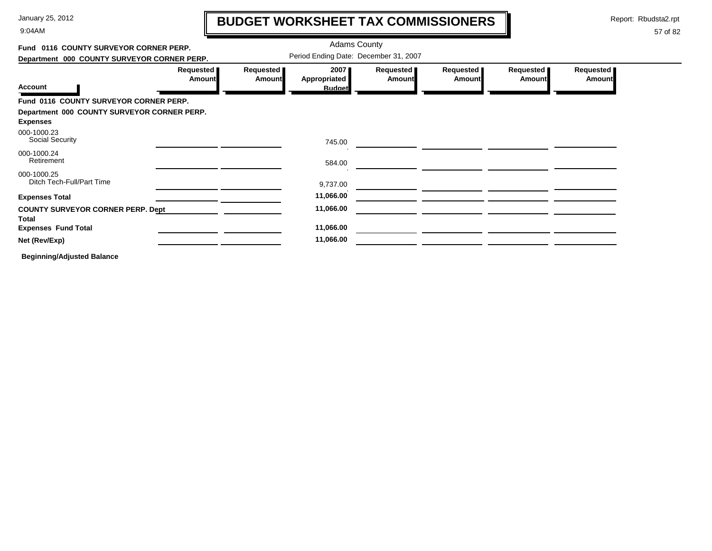9:04AM

# **BUDGET WORKSHEET TAX COMMISSIONERS**

Report: Rbudsta2.rpt

57 of 82

#### Adams County **Fund 0116 COUNTY SURVEYOR CORNER PERP.**Period Ending Date: December 31, 2007 **Department 000 COUNTY SURVEYOR CORNER PERP. Requested Requested Requested Requested Requested Requested 2007 AmountAmountAppropriated AmountAmount Amount Amount Account Budget Fund 0116 COUNTY SURVEYOR CORNER PERP. Department 000 COUNTY SURVEYOR CORNER PERP. Expenses** Social Security 000-1000.23 745.00000-1000.24Retirement 584.00 000-1000.25Ditch Tech-Full/Part Time 9,737.00  $\overline{\phantom{a}}$  , and the set of  $\overline{\phantom{a}}$ **Expenses Total 11,066.00 COUNTY SURVEYOR CORNER PERP. Dept 11,066.00 TotalExpenses Fund Total 11,066.00 Net (Rev/Exp) 11,066.00**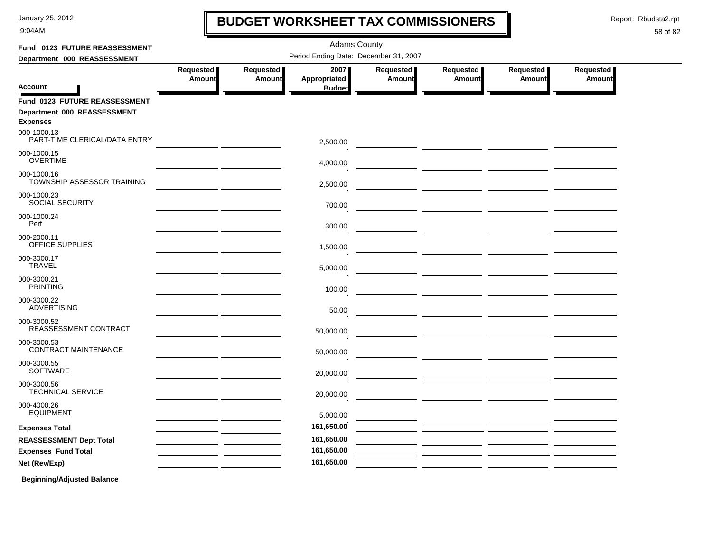9:04AM

### **BUDGET WORKSHEET TAX COMMISSIONERS**

Report: Rbudsta2.rpt

 $\mathbf l$ 

| Fund 0123 FUTURE REASSESSMENT                  |                     |                            | <b>Adams County</b>                   |                     |                                                                                                                      |                            |                            |
|------------------------------------------------|---------------------|----------------------------|---------------------------------------|---------------------|----------------------------------------------------------------------------------------------------------------------|----------------------------|----------------------------|
| Department 000 REASSESSMENT                    |                     |                            | Period Ending Date: December 31, 2007 |                     |                                                                                                                      |                            |                            |
| <b>Account</b>                                 | Requested<br>Amount | Requested<br><b>Amount</b> | 2007<br>Appropriated<br><b>Budget</b> | Requested<br>Amount | Requested<br><b>Amount</b>                                                                                           | Requested<br><b>Amount</b> | <b>Requested</b><br>Amount |
| Fund 0123 FUTURE REASSESSMENT                  |                     |                            |                                       |                     |                                                                                                                      |                            |                            |
| Department 000 REASSESSMENT<br><b>Expenses</b> |                     |                            |                                       |                     |                                                                                                                      |                            |                            |
| 000-1000.13<br>PART-TIME CLERICAL/DATA ENTRY   |                     |                            | 2,500.00                              |                     |                                                                                                                      |                            |                            |
| 000-1000.15<br><b>OVERTIME</b>                 |                     |                            | 4,000.00                              |                     |                                                                                                                      |                            |                            |
| 000-1000.16<br>TOWNSHIP ASSESSOR TRAINING      |                     |                            | 2,500.00                              |                     |                                                                                                                      |                            |                            |
| 000-1000.23<br>SOCIAL SECURITY                 |                     |                            | 700.00                                |                     |                                                                                                                      |                            |                            |
| 000-1000.24<br>Perf                            |                     |                            | 300.00                                |                     |                                                                                                                      |                            |                            |
| 000-2000.11<br>OFFICE SUPPLIES                 |                     |                            | 1,500.00                              |                     | <u> 1989 - Johann John Harry Harry Harry Harry Harry Harry Harry Harry Harry Harry Harry Harry Harry Harry Harry</u> |                            |                            |
| 000-3000.17<br><b>TRAVEL</b>                   |                     |                            | 5,000.00                              |                     |                                                                                                                      |                            |                            |
| 000-3000.21<br><b>PRINTING</b>                 |                     |                            | 100.00                                |                     |                                                                                                                      |                            |                            |
| 000-3000.22<br><b>ADVERTISING</b>              |                     |                            | 50.00                                 |                     |                                                                                                                      |                            |                            |
| 000-3000.52<br>REASSESSMENT CONTRACT           |                     |                            | 50,000.00                             |                     |                                                                                                                      |                            |                            |
| 000-3000.53<br>CONTRACT MAINTENANCE            |                     |                            | 50,000.00                             |                     |                                                                                                                      |                            |                            |
| 000-3000.55<br><b>SOFTWARE</b>                 |                     |                            | 20,000.00                             |                     |                                                                                                                      |                            |                            |
| 000-3000.56<br><b>TECHNICAL SERVICE</b>        |                     |                            | 20,000.00                             |                     |                                                                                                                      |                            |                            |
| 000-4000.26<br><b>EQUIPMENT</b>                |                     |                            | 5,000.00                              |                     |                                                                                                                      |                            |                            |
| <b>Expenses Total</b>                          |                     |                            | 161,650.00                            |                     |                                                                                                                      |                            |                            |
| <b>REASSESSMENT Dept Total</b>                 |                     |                            | 161,650.00                            |                     |                                                                                                                      |                            |                            |
| <b>Expenses Fund Total</b>                     |                     |                            | 161,650.00                            |                     |                                                                                                                      |                            |                            |
| Net (Rev/Exp)                                  |                     |                            | 161,650.00                            |                     |                                                                                                                      |                            |                            |
| <b>Beginning/Adjusted Balance</b>              |                     |                            |                                       |                     |                                                                                                                      |                            |                            |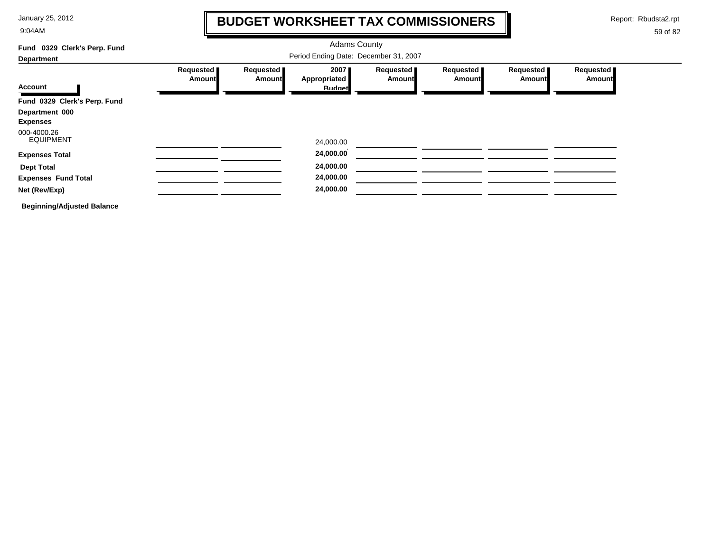9:04AM

### **BUDGET WORKSHEET TAX COMMISSIONERS**

Report: Rbudsta2.rpt

 $\mathbf l$ 

| Fund 0329 Clerk's Perp. Fund      |                                       |                              | <b>Adams County</b>  |                            |                     |                            |                     |  |  |
|-----------------------------------|---------------------------------------|------------------------------|----------------------|----------------------------|---------------------|----------------------------|---------------------|--|--|
| <b>Department</b>                 | Period Ending Date: December 31, 2007 |                              |                      |                            |                     |                            |                     |  |  |
| <b>Account</b>                    | Requested<br><b>Amount</b>            | Requested  <br><b>Amount</b> | 2007<br>Appropriated | Requested<br><b>Amount</b> | Requested<br>Amount | Requested<br><b>Amount</b> | Requested<br>Amount |  |  |
|                                   |                                       |                              | <b>Budget</b>        |                            |                     |                            |                     |  |  |
| Fund 0329 Clerk's Perp. Fund      |                                       |                              |                      |                            |                     |                            |                     |  |  |
| Department 000                    |                                       |                              |                      |                            |                     |                            |                     |  |  |
| <b>Expenses</b>                   |                                       |                              |                      |                            |                     |                            |                     |  |  |
| 000-4000.26<br><b>EQUIPMENT</b>   |                                       |                              | 24,000.00            |                            |                     |                            |                     |  |  |
| <b>Expenses Total</b>             |                                       |                              | 24,000.00            |                            |                     |                            |                     |  |  |
| <b>Dept Total</b>                 |                                       |                              | 24,000.00            |                            |                     |                            |                     |  |  |
| <b>Expenses Fund Total</b>        |                                       |                              | 24,000.00            |                            |                     |                            |                     |  |  |
| Net (Rev/Exp)                     |                                       |                              | 24,000.00            |                            |                     |                            |                     |  |  |
| <b>Beginning/Adjusted Balance</b> |                                       |                              |                      |                            |                     |                            |                     |  |  |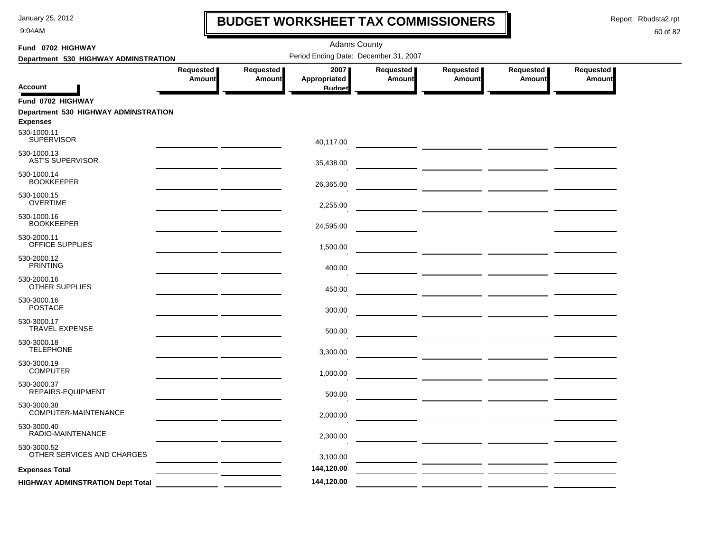9:04AM

### **BUDGET WORKSHEET TAX COMMISSIONERS**

Report: Rbudsta2.rpt

 $\mathbf l$ 

| Fund 0702 HIGHWAY                                       |                            |                     | <b>Adams County</b>                   |                            |                            |                            |                     |
|---------------------------------------------------------|----------------------------|---------------------|---------------------------------------|----------------------------|----------------------------|----------------------------|---------------------|
| Department 530 HIGHWAY ADMINSTRATION                    |                            |                     | Period Ending Date: December 31, 2007 |                            |                            |                            |                     |
| <b>Account</b>                                          | Requested<br><b>Amount</b> | Requested<br>Amount | 2007<br>Appropriated<br><b>Budget</b> | Requested<br><b>Amount</b> | Requested<br><b>Amount</b> | Requested<br><b>Amount</b> | Requested<br>Amount |
| Fund 0702 HIGHWAY                                       |                            |                     |                                       |                            |                            |                            |                     |
| Department 530 HIGHWAY ADMINSTRATION<br><b>Expenses</b> |                            |                     |                                       |                            |                            |                            |                     |
| 530-1000.11<br><b>SUPERVISOR</b>                        |                            |                     | 40,117.00                             |                            |                            |                            |                     |
| 530-1000.13<br><b>AST'S SUPERVISOR</b>                  |                            |                     | 35,438.00                             |                            |                            |                            |                     |
| 530-1000.14<br><b>BOOKKEEPER</b>                        |                            |                     | 26,365.00                             |                            |                            |                            |                     |
| 530-1000.15<br><b>OVERTIME</b>                          |                            |                     | 2,255.00                              |                            |                            |                            |                     |
| 530-1000.16<br><b>BOOKKEEPER</b>                        |                            |                     | 24,595.00                             |                            |                            |                            |                     |
| 530-2000.11<br>OFFICE SUPPLIES                          |                            |                     | 1,500.00                              |                            |                            |                            |                     |
| 530-2000.12<br><b>PRINTING</b>                          |                            |                     | 400.00                                |                            |                            |                            |                     |
| 530-2000.16<br><b>OTHER SUPPLIES</b>                    |                            |                     | 450.00                                |                            |                            |                            |                     |
| 530-3000.16<br><b>POSTAGE</b>                           |                            |                     | 300.00                                |                            |                            |                            |                     |
| 530-3000.17<br><b>TRAVEL EXPENSE</b>                    |                            |                     | 500.00                                |                            |                            |                            |                     |
| 530-3000.18<br><b>TELEPHONE</b>                         |                            |                     | 3,300.00                              |                            |                            |                            |                     |
| 530-3000.19<br><b>COMPUTER</b>                          |                            |                     | 1,000.00                              |                            |                            |                            |                     |
| 530-3000.37<br>REPAIRS-EQUIPMENT                        |                            |                     | 500.00                                |                            |                            |                            |                     |
| 530-3000.38<br>COMPUTER-MAINTENANCE                     |                            |                     | 2,000.00                              |                            |                            |                            |                     |
| 530-3000.40<br>RADIO-MAINTENANCE                        |                            |                     | 2,300.00                              |                            |                            |                            |                     |
| 530-3000.52<br>OTHER SERVICES AND CHARGES               |                            |                     | 3,100.00                              |                            |                            |                            |                     |
| <b>Expenses Total</b>                                   |                            |                     | 144,120.00                            |                            |                            |                            |                     |
| <b>HIGHWAY ADMINSTRATION Dept Total</b>                 |                            |                     | 144,120.00                            |                            |                            |                            |                     |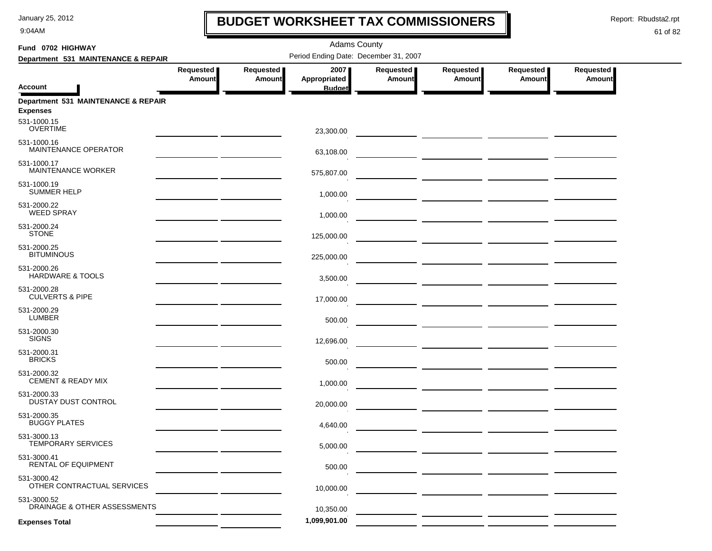9:04AM

### **BUDGET WORKSHEET TAX COMMISSIONERS**

Report: Rbudsta2.rpt

 $\mathbf I$ 

| Fund 0702 HIGHWAY                                      |                                                                       |                            |                                       |                              |                                                                                                                       |                            |                            |  |
|--------------------------------------------------------|-----------------------------------------------------------------------|----------------------------|---------------------------------------|------------------------------|-----------------------------------------------------------------------------------------------------------------------|----------------------------|----------------------------|--|
| Department 531 MAINTENANCE & REPAIR                    |                                                                       |                            | Period Ending Date: December 31, 2007 |                              |                                                                                                                       |                            |                            |  |
| <b>Account</b>                                         | Requested<br><b>Amount</b>                                            | Requested<br><b>Amount</b> | 2007<br>Appropriated<br><b>Budget</b> | Requested  <br><b>Amount</b> | Requested<br><b>Amount</b>                                                                                            | Requested<br><b>Amount</b> | Requested<br><b>Amount</b> |  |
|                                                        |                                                                       |                            |                                       |                              |                                                                                                                       |                            |                            |  |
| Department 531 MAINTENANCE & REPAIR<br><b>Expenses</b> |                                                                       |                            |                                       |                              |                                                                                                                       |                            |                            |  |
| 531-1000.15<br><b>OVERTIME</b>                         |                                                                       |                            | 23,300.00                             |                              |                                                                                                                       |                            |                            |  |
| 531-1000.16<br>MAINTENANCE OPERATOR                    |                                                                       |                            | 63,108.00                             |                              | <u> The Common Section of the Common Section of the Common Section of the Common Section of the Common Section of</u> |                            |                            |  |
| 531-1000.17<br>MAINTENANCE WORKER                      |                                                                       |                            | 575,807.00                            |                              |                                                                                                                       |                            |                            |  |
| 531-1000.19<br><b>SUMMER HELP</b>                      |                                                                       |                            | 1,000.00                              |                              |                                                                                                                       |                            |                            |  |
| 531-2000.22<br><b>WEED SPRAY</b>                       |                                                                       |                            | 1,000.00                              |                              |                                                                                                                       |                            |                            |  |
| 531-2000.24<br><b>STONE</b>                            |                                                                       |                            | 125,000.00                            |                              |                                                                                                                       |                            |                            |  |
| 531-2000.25<br><b>BITUMINOUS</b>                       |                                                                       |                            | 225,000.00                            |                              |                                                                                                                       |                            |                            |  |
| 531-2000.26<br>HARDWARE & TOOLS                        | <u> 1989 - Johann Harry Barn, mars an t-Amerikaansk kommunister (</u> |                            | 3,500.00                              |                              |                                                                                                                       |                            |                            |  |
| 531-2000.28<br><b>CULVERTS &amp; PIPE</b>              |                                                                       |                            | 17,000.00                             |                              |                                                                                                                       |                            |                            |  |
| 531-2000.29<br><b>LUMBER</b>                           |                                                                       |                            | 500.00                                |                              |                                                                                                                       |                            |                            |  |
| 531-2000.30<br><b>SIGNS</b>                            |                                                                       |                            | 12,696.00                             |                              |                                                                                                                       |                            |                            |  |
| 531-2000.31<br><b>BRICKS</b>                           |                                                                       |                            | 500.00                                |                              |                                                                                                                       |                            |                            |  |
| 531-2000.32<br><b>CEMENT &amp; READY MIX</b>           |                                                                       |                            | 1,000.00                              |                              |                                                                                                                       |                            |                            |  |
| 531-2000.33<br>DUSTAY DUST CONTROL                     |                                                                       |                            | 20,000.00                             |                              |                                                                                                                       |                            |                            |  |
| 531-2000.35<br><b>BUGGY PLATES</b>                     |                                                                       |                            | 4,640.00                              |                              |                                                                                                                       |                            |                            |  |
| 531-3000.13<br>TEMPORARY SERVICES                      |                                                                       |                            | 5,000.00                              |                              |                                                                                                                       |                            |                            |  |
| 531-3000.41<br>RENTAL OF EQUIPMENT                     |                                                                       |                            | 500.00                                |                              |                                                                                                                       |                            |                            |  |
| 531-3000.42<br>OTHER CONTRACTUAL SERVICES              |                                                                       |                            | 10,000.00                             |                              |                                                                                                                       |                            |                            |  |
| 531-3000.52<br>DRAINAGE & OTHER ASSESSMENTS            |                                                                       |                            | 10,350.00                             |                              |                                                                                                                       |                            |                            |  |
| <b>Expenses Total</b>                                  |                                                                       |                            | 1,099,901.00                          |                              |                                                                                                                       |                            |                            |  |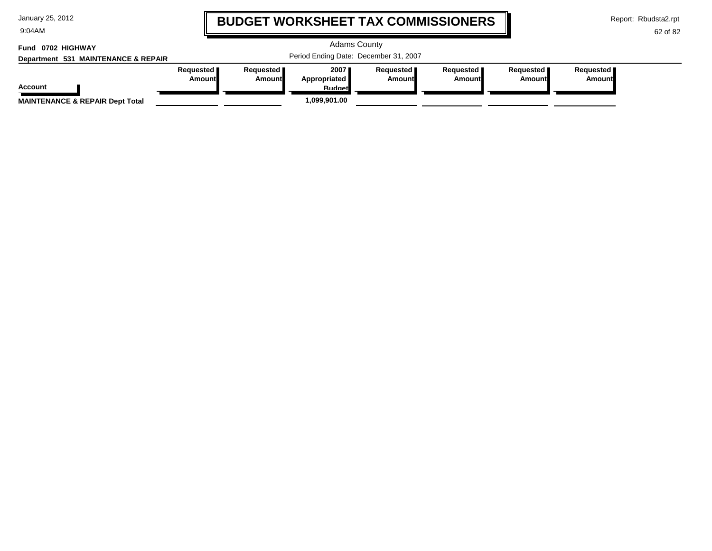9:04AM

### **BUDGET WORKSHEET TAX COMMISSIONERS**

Report: Rbudsta2.rpt

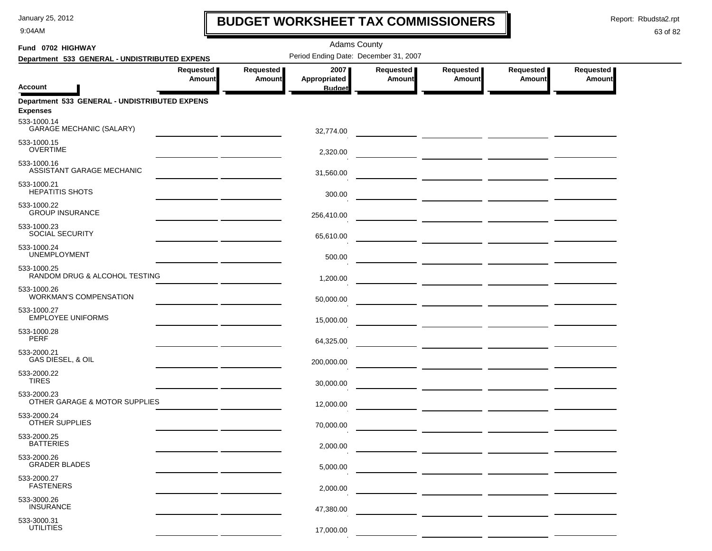9:04AM

### **BUDGET WORKSHEET TAX COMMISSIONERS**

Report: Rbudsta2.rpt

 $\mathbf \mathbf I$ 

| Fund 0702 HIGHWAY                                                               |                            |                     | <b>Adams County</b>                   |                     |                                                                                                                                                                                                                                      |                            |                            |
|---------------------------------------------------------------------------------|----------------------------|---------------------|---------------------------------------|---------------------|--------------------------------------------------------------------------------------------------------------------------------------------------------------------------------------------------------------------------------------|----------------------------|----------------------------|
| Department 533 GENERAL - UNDISTRIBUTED EXPENS                                   |                            |                     | Period Ending Date: December 31, 2007 |                     |                                                                                                                                                                                                                                      |                            |                            |
|                                                                                 | Requested<br><b>Amount</b> | Requested<br>Amount | 2007<br>Appropriated                  | Requested<br>Amount | Requested<br>Amount                                                                                                                                                                                                                  | Requested<br><b>Amount</b> | Requested<br><b>Amount</b> |
| <b>Account</b>                                                                  |                            |                     | <b>Budget</b>                         |                     |                                                                                                                                                                                                                                      |                            |                            |
| Department 533 GENERAL - UNDISTRIBUTED EXPENS<br><b>Expenses</b><br>533-1000.14 |                            |                     |                                       |                     |                                                                                                                                                                                                                                      |                            |                            |
| <b>GARAGE MECHANIC (SALARY)</b>                                                 |                            |                     | 32,774.00                             |                     |                                                                                                                                                                                                                                      |                            |                            |
| 533-1000.15<br><b>OVERTIME</b>                                                  |                            |                     | 2,320.00                              |                     |                                                                                                                                                                                                                                      |                            |                            |
| 533-1000.16<br>ASSISTANT GARAGE MECHANIC                                        |                            |                     | 31,560.00                             |                     | <u> 1989 - Jan Stein Harry Harry Harry Harry Harry Harry Harry Harry Harry Harry Harry Harry Harry Harry Harry H</u>                                                                                                                 |                            |                            |
| 533-1000.21<br><b>HEPATITIS SHOTS</b>                                           |                            |                     | 300.00                                |                     |                                                                                                                                                                                                                                      |                            |                            |
| 533-1000.22<br><b>GROUP INSURANCE</b>                                           |                            |                     | 256,410.00                            |                     |                                                                                                                                                                                                                                      |                            |                            |
| 533-1000.23<br><b>SOCIAL SECURITY</b>                                           |                            |                     | 65,610.00                             |                     |                                                                                                                                                                                                                                      |                            |                            |
| 533-1000.24<br><b>UNEMPLOYMENT</b>                                              |                            |                     | 500.00                                |                     | <u> 1990 - Johann John Harry Harry Harry Harry Harry Harry Harry Harry Harry Harry Harry Harry Harry Harry Harry</u>                                                                                                                 |                            |                            |
| 533-1000.25<br>RANDOM DRUG & ALCOHOL TESTING                                    |                            |                     | 1,200.00                              |                     |                                                                                                                                                                                                                                      |                            |                            |
| 533-1000.26<br><b>WORKMAN'S COMPENSATION</b>                                    |                            |                     | 50,000.00                             |                     |                                                                                                                                                                                                                                      |                            |                            |
| 533-1000.27<br><b>EMPLOYEE UNIFORMS</b>                                         |                            |                     | 15,000.00                             |                     |                                                                                                                                                                                                                                      |                            |                            |
| 533-1000.28<br><b>PERF</b>                                                      |                            |                     | 64,325.00                             |                     | <u> The Common State of the Common State of the Common State of the Common State of the Common State of the Common State of the Common State of the Common State of the Common State of the Common State of the Common State of </u> |                            |                            |
| 533-2000.21<br>GAS DIESEL, & OIL                                                |                            |                     | 200,000.00                            |                     |                                                                                                                                                                                                                                      |                            |                            |
| 533-2000.22<br><b>TIRES</b>                                                     |                            |                     | 30,000.00                             |                     |                                                                                                                                                                                                                                      |                            |                            |
| 533-2000.23<br>OTHER GARAGE & MOTOR SUPPLIES                                    |                            |                     | 12,000.00                             |                     |                                                                                                                                                                                                                                      |                            |                            |
| 533-2000.24<br>OTHER SUPPLIES                                                   |                            |                     | 70,000.00                             |                     |                                                                                                                                                                                                                                      |                            |                            |
| 533-2000.25<br><b>BATTERIES</b>                                                 |                            |                     | 2,000.00                              |                     |                                                                                                                                                                                                                                      |                            |                            |
| 533-2000.26<br><b>GRADER BLADES</b>                                             |                            |                     | 5,000.00                              |                     |                                                                                                                                                                                                                                      |                            |                            |
| 533-2000.27<br><b>FASTENERS</b>                                                 |                            |                     | 2,000.00                              |                     |                                                                                                                                                                                                                                      |                            |                            |
| 533-3000.26<br><b>INSURANCE</b>                                                 |                            |                     | 47,380.00                             |                     |                                                                                                                                                                                                                                      |                            |                            |
| 533-3000.31<br><b>UTILITIES</b>                                                 |                            |                     | 17,000.00                             |                     |                                                                                                                                                                                                                                      |                            |                            |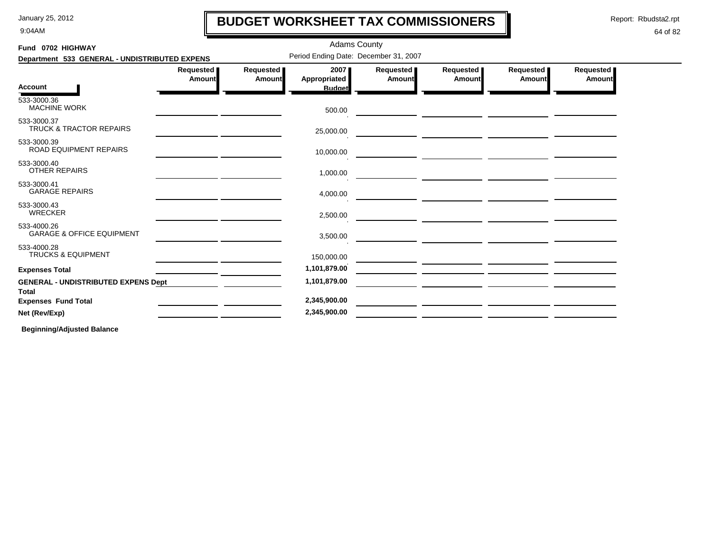9:04AM

### **BUDGET WORKSHEET TAX COMMISSIONERS**

Report: Rbudsta2.rpt

I

### 64 of 82

| Fund 0702 HIGHWAY                                          |                                       |                            | <b>Adams County</b>                          |                     |                            |                     |                                   |  |
|------------------------------------------------------------|---------------------------------------|----------------------------|----------------------------------------------|---------------------|----------------------------|---------------------|-----------------------------------|--|
| Department 533 GENERAL - UNDISTRIBUTED EXPENS              | Period Ending Date: December 31, 2007 |                            |                                              |                     |                            |                     |                                   |  |
| <b>Account</b>                                             | Requested<br>Amount                   | <b>Requested</b><br>Amount | 2007<br><b>Appropriated</b><br><b>Budget</b> | Requested<br>Amount | <b>Requested</b><br>Amount | Requested<br>Amount | <b>Requested</b><br><b>Amount</b> |  |
| 533-3000.36<br><b>MACHINE WORK</b>                         |                                       |                            | 500.00                                       |                     |                            |                     |                                   |  |
| 533-3000.37<br>TRUCK & TRACTOR REPAIRS                     |                                       |                            | 25,000.00                                    |                     |                            |                     |                                   |  |
| 533-3000.39<br>ROAD EQUIPMENT REPAIRS                      |                                       |                            | 10,000.00                                    |                     |                            |                     |                                   |  |
| 533-3000.40<br><b>OTHER REPAIRS</b>                        |                                       |                            | 1,000.00                                     |                     |                            |                     |                                   |  |
| 533-3000.41<br><b>GARAGE REPAIRS</b>                       |                                       |                            | 4,000.00                                     |                     |                            |                     |                                   |  |
| 533-3000.43<br><b>WRECKER</b>                              |                                       |                            | 2,500.00                                     |                     |                            |                     |                                   |  |
| 533-4000.26<br><b>GARAGE &amp; OFFICE EQUIPMENT</b>        |                                       |                            | 3,500.00                                     |                     |                            |                     |                                   |  |
| 533-4000.28<br><b>TRUCKS &amp; EQUIPMENT</b>               |                                       |                            | 150,000.00                                   |                     |                            |                     |                                   |  |
| <b>Expenses Total</b>                                      |                                       |                            | 1,101,879.00                                 |                     |                            |                     |                                   |  |
| <b>GENERAL - UNDISTRIBUTED EXPENS Dept</b><br><b>Total</b> |                                       |                            | 1,101,879.00                                 |                     |                            |                     |                                   |  |
| <b>Expenses Fund Total</b>                                 |                                       |                            | 2,345,900.00                                 |                     |                            |                     |                                   |  |
| Net (Rev/Exp)                                              |                                       |                            | 2,345,900.00                                 |                     |                            |                     |                                   |  |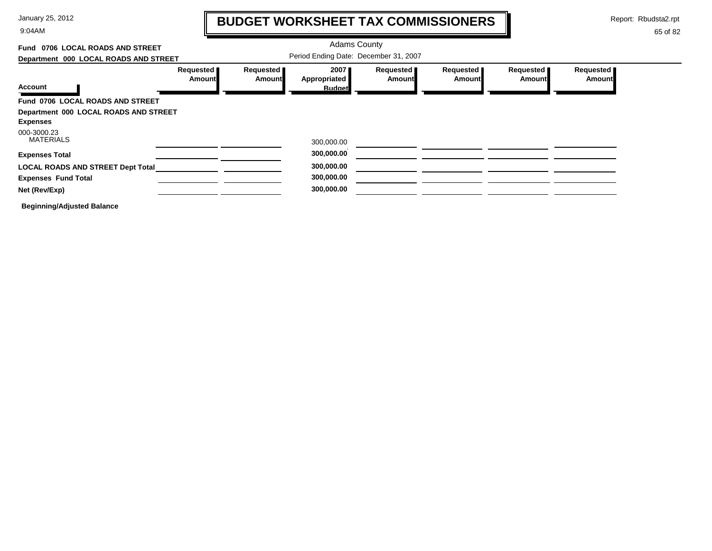9:04AM

# **BUDGET WORKSHEET TAX COMMISSIONERS**

Report: Rbudsta2.rpt

 $\mathbf l$ 

| Fund 0706 LOCAL ROADS AND STREET                         |                            |                            | <b>Adams County</b>                   |                     |                              |                     |                            |
|----------------------------------------------------------|----------------------------|----------------------------|---------------------------------------|---------------------|------------------------------|---------------------|----------------------------|
| Department 000 LOCAL ROADS AND STREET                    |                            |                            | Period Ending Date: December 31, 2007 |                     |                              |                     |                            |
|                                                          | Requested<br><b>Amount</b> | Requested<br><b>Amount</b> | 2007<br>Appropriated                  | Requested<br>Amount | Requested  <br><b>Amount</b> | Requested<br>Amount | Requested<br><b>Amount</b> |
| <b>Account</b>                                           |                            |                            | <b>Budget</b>                         |                     |                              |                     |                            |
| Fund 0706 LOCAL ROADS AND STREET                         |                            |                            |                                       |                     |                              |                     |                            |
| Department 000 LOCAL ROADS AND STREET<br><b>Expenses</b> |                            |                            |                                       |                     |                              |                     |                            |
| 000-3000.23<br><b>MATERIALS</b>                          |                            |                            | 300,000.00                            |                     |                              |                     |                            |
| <b>Expenses Total</b>                                    |                            |                            | 300,000.00                            |                     |                              |                     |                            |
| <b>LOCAL ROADS AND STREET Dept Total</b>                 |                            |                            | 300,000.00                            |                     |                              |                     |                            |
| <b>Expenses Fund Total</b>                               |                            |                            | 300,000.00                            |                     |                              |                     |                            |
| Net (Rev/Exp)                                            |                            |                            | 300,000.00                            |                     |                              |                     |                            |
| <b>Beginning/Adjusted Balance</b>                        |                            |                            |                                       |                     |                              |                     |                            |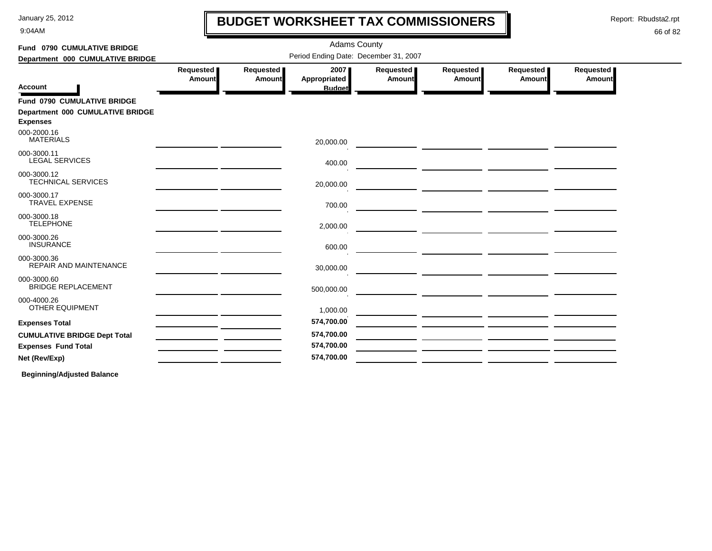9:04AM

# **BUDGET WORKSHEET TAX COMMISSIONERS**

Report: Rbudsta2.rpt

 $\mathbf l$ 

#### 66 of 82

| Fund 0790 CUMULATIVE BRIDGE                         |                     |                     | <b>Adams County</b>                   |                       |                                                                                                                       |                     |                     |  |
|-----------------------------------------------------|---------------------|---------------------|---------------------------------------|-----------------------|-----------------------------------------------------------------------------------------------------------------------|---------------------|---------------------|--|
| Department 000 CUMULATIVE BRIDGE                    |                     |                     | Period Ending Date: December 31, 2007 |                       |                                                                                                                       |                     |                     |  |
|                                                     | Requested<br>Amount | Requested<br>Amount | 2007<br>Appropriated                  | Requested  <br>Amount | Requested<br><b>Amount</b>                                                                                            | Requested<br>Amount | Requested<br>Amount |  |
| <b>Account</b>                                      |                     |                     | <b>Budget</b>                         |                       |                                                                                                                       |                     |                     |  |
| Fund 0790 CUMULATIVE BRIDGE                         |                     |                     |                                       |                       |                                                                                                                       |                     |                     |  |
| Department 000 CUMULATIVE BRIDGE<br><b>Expenses</b> |                     |                     |                                       |                       |                                                                                                                       |                     |                     |  |
| 000-2000.16<br><b>MATERIALS</b>                     |                     |                     | 20,000.00                             |                       |                                                                                                                       |                     |                     |  |
| 000-3000.11<br><b>LEGAL SERVICES</b>                |                     |                     | 400.00                                |                       |                                                                                                                       |                     |                     |  |
| 000-3000.12<br><b>TECHNICAL SERVICES</b>            |                     |                     | 20,000.00                             |                       |                                                                                                                       |                     |                     |  |
| 000-3000.17<br><b>TRAVEL EXPENSE</b>                |                     |                     | 700.00                                |                       | <u> 1989 - Johann John Stein, mars et al. (</u>                                                                       |                     |                     |  |
| 000-3000.18<br><b>TELEPHONE</b>                     |                     |                     | 2,000.00                              |                       |                                                                                                                       |                     |                     |  |
| 000-3000.26<br><b>INSURANCE</b>                     |                     |                     | 600.00                                |                       |                                                                                                                       |                     |                     |  |
| 000-3000.36<br><b>REPAIR AND MAINTENANCE</b>        |                     |                     | 30,000.00                             |                       |                                                                                                                       |                     |                     |  |
| 000-3000.60<br><b>BRIDGE REPLACEMENT</b>            |                     |                     | 500,000.00                            |                       | <u> 1980 - Johann Harry Harry Harry Harry Harry Harry Harry Harry Harry Harry Harry Harry Harry Harry Harry Harry</u> |                     |                     |  |
| 000-4000.26<br>OTHER EQUIPMENT                      |                     |                     | 1,000.00                              |                       |                                                                                                                       |                     |                     |  |
| <b>Expenses Total</b>                               |                     |                     | 574,700.00                            |                       |                                                                                                                       |                     |                     |  |
| <b>CUMULATIVE BRIDGE Dept Total</b>                 |                     |                     | 574,700.00                            |                       |                                                                                                                       |                     |                     |  |
| <b>Expenses Fund Total</b>                          |                     |                     | 574,700.00                            |                       |                                                                                                                       |                     |                     |  |
| Net (Rev/Exp)                                       |                     |                     | 574,700.00                            |                       |                                                                                                                       |                     |                     |  |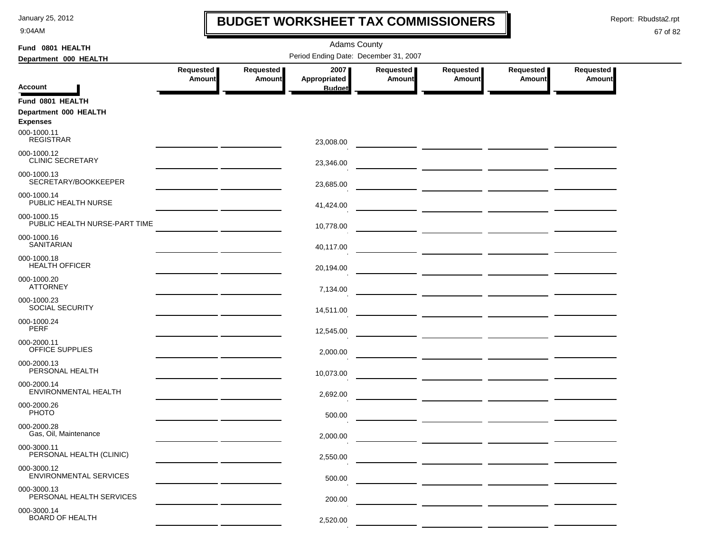9:04AM

### **BUDGET WORKSHEET TAX COMMISSIONERS**

Report: Rbudsta2.rpt

 $\mathbf l$ 

| Fund 0801 HEALTH                             |                                                                                                                                                                                                                                      |                              | <b>Adams County</b>  |                       |                       |                       |                     |
|----------------------------------------------|--------------------------------------------------------------------------------------------------------------------------------------------------------------------------------------------------------------------------------------|------------------------------|----------------------|-----------------------|-----------------------|-----------------------|---------------------|
| Department 000 HEALTH                        |                                                                                                                                                                                                                                      |                              |                      |                       |                       |                       |                     |
|                                              | Requested  <br><b>Amount</b>                                                                                                                                                                                                         | Requested  <br><b>Amount</b> | 2007<br>Appropriated | Requested  <br>Amount | Requested  <br>Amount | Requested  <br>Amount | Requested<br>Amount |
| <b>Account</b>                               |                                                                                                                                                                                                                                      |                              | <b>Budget</b>        |                       |                       |                       |                     |
| Fund 0801 HEALTH                             |                                                                                                                                                                                                                                      |                              |                      |                       |                       |                       |                     |
| Department 000 HEALTH<br><b>Expenses</b>     |                                                                                                                                                                                                                                      |                              |                      |                       |                       |                       |                     |
| 000-1000.11<br><b>REGISTRAR</b>              |                                                                                                                                                                                                                                      |                              | 23,008.00            |                       |                       |                       |                     |
| 000-1000.12<br><b>CLINIC SECRETARY</b>       |                                                                                                                                                                                                                                      |                              | 23,346.00            |                       |                       |                       |                     |
| 000-1000.13<br>SECRETARY/BOOKKEEPER          |                                                                                                                                                                                                                                      |                              | 23,685.00            |                       |                       |                       |                     |
| 000-1000.14<br>PUBLIC HEALTH NURSE           |                                                                                                                                                                                                                                      |                              | 41,424.00            |                       |                       |                       |                     |
| 000-1000.15<br>PUBLIC HEALTH NURSE-PART TIME |                                                                                                                                                                                                                                      |                              | 10,778.00            |                       |                       |                       |                     |
| 000-1000.16<br><b>SANITARIAN</b>             |                                                                                                                                                                                                                                      |                              | 40,117.00            |                       |                       |                       |                     |
| 000-1000.18<br><b>HEALTH OFFICER</b>         |                                                                                                                                                                                                                                      |                              | 20,194.00            |                       |                       |                       |                     |
| 000-1000.20<br><b>ATTORNEY</b>               |                                                                                                                                                                                                                                      |                              | 7,134.00             |                       |                       |                       |                     |
| 000-1000.23<br>SOCIAL SECURITY               | <u> 1989 - Johann Harry Communication (b. 1989)</u>                                                                                                                                                                                  |                              | 14,511.00            |                       |                       |                       |                     |
| 000-1000.24<br><b>PERF</b>                   |                                                                                                                                                                                                                                      |                              | 12,545.00            |                       |                       |                       |                     |
| 000-2000.11<br>OFFICE SUPPLIES               | <u> 1989 - Jan Stein Stein Stein Stein Stein Stein Stein Stein Stein Stein Stein Stein Stein Stein Stein Stein Stein Stein Stein Stein Stein Stein Stein Stein Stein Stein Stein Stein Stein Stein Stein Stein Stein Stein Stein</u> |                              | 2,000.00             |                       |                       |                       |                     |
| 000-2000.13<br>PERSONAL HEALTH               |                                                                                                                                                                                                                                      |                              | 10,073.00            |                       |                       |                       |                     |
| 000-2000.14<br>ENVIRONMENTAL HEALTH          |                                                                                                                                                                                                                                      |                              | 2,692.00             |                       |                       |                       |                     |
| 000-2000.26<br>PHOTO                         |                                                                                                                                                                                                                                      |                              | 500.00               |                       |                       |                       |                     |
| 000-2000.28<br>Gas, Oil, Maintenance         |                                                                                                                                                                                                                                      |                              | 2,000.00             |                       |                       |                       |                     |
| 000-3000.11<br>PERSONAL HEALTH (CLINIC)      |                                                                                                                                                                                                                                      |                              | 2,550.00             |                       |                       |                       |                     |
| 000-3000.12<br><b>ENVIRONMENTAL SERVICES</b> |                                                                                                                                                                                                                                      |                              | 500.00               |                       |                       |                       |                     |
| 000-3000.13<br>PERSONAL HEALTH SERVICES      |                                                                                                                                                                                                                                      |                              | 200.00               |                       |                       |                       |                     |
| 000-3000.14<br><b>BOARD OF HEALTH</b>        |                                                                                                                                                                                                                                      |                              | 2,520.00             |                       |                       |                       |                     |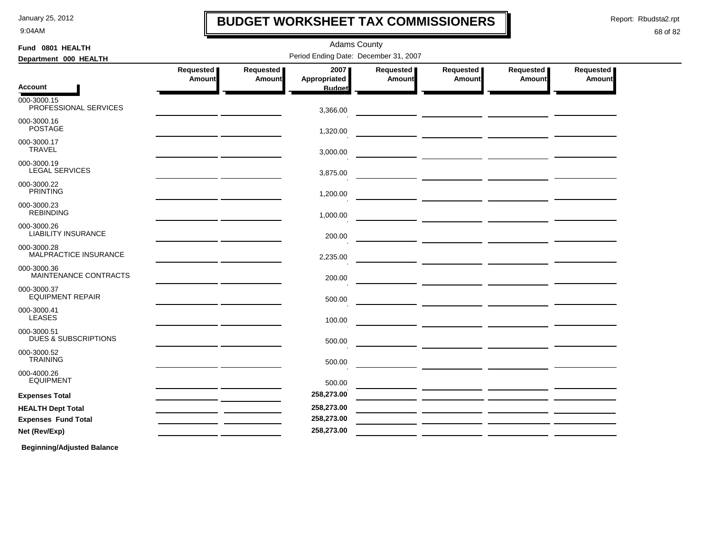9:04AM

### **BUDGET WORKSHEET TAX COMMISSIONERS**

Adams County

Report: Rbudsta2.rpt

I

#### 68 of 82

| Fund 0801 HEALTH                               | <b>Adams County</b>                   |                     |                      |                     |                     |                     |                            |  |
|------------------------------------------------|---------------------------------------|---------------------|----------------------|---------------------|---------------------|---------------------|----------------------------|--|
| Department 000 HEALTH                          | Period Ending Date: December 31, 2007 |                     |                      |                     |                     |                     |                            |  |
|                                                | Requested<br>Amount                   | Requested<br>Amount | 2007<br>Appropriated | Requested<br>Amount | Requested<br>Amount | Requested<br>Amount | <b>Requested</b><br>Amount |  |
| Account                                        |                                       |                     | <b>Budget</b>        |                     |                     |                     |                            |  |
| 000-3000.15<br>PROFESSIONAL SERVICES           |                                       |                     | 3,366.00             |                     |                     |                     |                            |  |
| 000-3000.16<br><b>POSTAGE</b>                  |                                       |                     | 1,320.00             |                     |                     |                     |                            |  |
| 000-3000.17<br><b>TRAVEL</b>                   |                                       |                     | 3,000.00             |                     |                     |                     |                            |  |
| 000-3000.19<br><b>LEGAL SERVICES</b>           |                                       |                     | 3,875.00             |                     |                     |                     |                            |  |
| 000-3000.22<br><b>PRINTING</b>                 |                                       |                     | 1,200.00             |                     |                     |                     |                            |  |
| 000-3000.23<br><b>REBINDING</b>                |                                       |                     | 1,000.00             |                     |                     |                     |                            |  |
| 000-3000.26<br><b>LIABILITY INSURANCE</b>      |                                       |                     | 200.00               |                     |                     |                     |                            |  |
| 000-3000.28<br>MALPRACTICE INSURANCE           |                                       |                     | 2,235.00             |                     |                     |                     |                            |  |
| 000-3000.36<br>MAINTENANCE CONTRACTS           |                                       |                     | 200.00               |                     |                     |                     |                            |  |
| 000-3000.37<br><b>EQUIPMENT REPAIR</b>         |                                       |                     | 500.00               |                     |                     |                     |                            |  |
| 000-3000.41<br><b>LEASES</b>                   |                                       |                     | 100.00               |                     |                     |                     |                            |  |
| 000-3000.51<br><b>DUES &amp; SUBSCRIPTIONS</b> |                                       |                     | 500.00               |                     |                     |                     |                            |  |
| 000-3000.52<br><b>TRAINING</b>                 |                                       |                     | 500.00               |                     |                     |                     |                            |  |
| 000-4000.26<br><b>EQUIPMENT</b>                |                                       |                     | 500.00               |                     |                     |                     |                            |  |
| <b>Expenses Total</b>                          |                                       |                     | 258,273.00           |                     |                     |                     |                            |  |
| <b>HEALTH Dept Total</b>                       |                                       |                     | 258,273.00           |                     |                     |                     |                            |  |
| <b>Expenses Fund Total</b>                     |                                       |                     | 258,273.00           |                     |                     |                     |                            |  |
| Net (Rev/Exp)                                  |                                       |                     | 258,273.00           |                     |                     |                     |                            |  |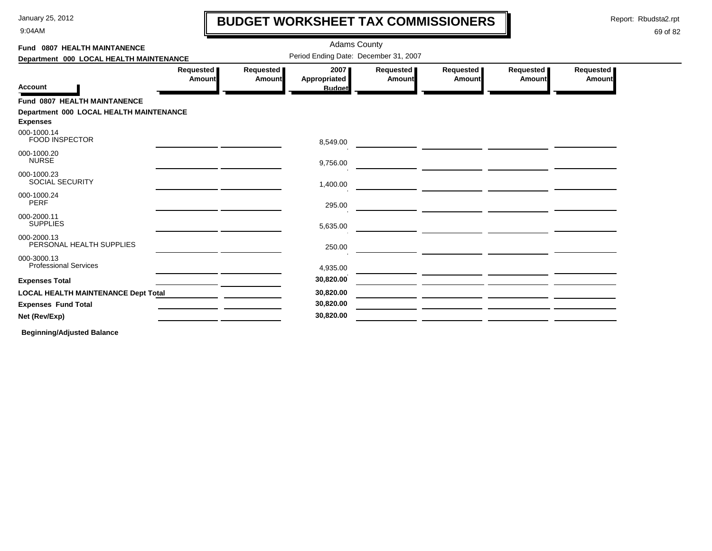9:04AM

## **BUDGET WORKSHEET TAX COMMISSIONERS**

Report: Rbudsta2.rpt

 $\mathbf l$ 

### 69 of 82

| Fund 0807 HEALTH MAINTANENCE                |                     |                     | <b>Adams County</b>                   |                     |                       |                     |                     |
|---------------------------------------------|---------------------|---------------------|---------------------------------------|---------------------|-----------------------|---------------------|---------------------|
| Department 000 LOCAL HEALTH MAINTENANCE     |                     |                     | Period Ending Date: December 31, 2007 |                     |                       |                     |                     |
|                                             | Requested<br>Amount | Requested<br>Amount | 2007<br><b>Appropriated</b>           | Requested<br>Amount | Requested  <br>Amount | Requested<br>Amount | Requested<br>Amount |
| <b>Account</b>                              |                     |                     | <b>Budget</b>                         |                     |                       |                     |                     |
| Fund 0807 HEALTH MAINTANENCE                |                     |                     |                                       |                     |                       |                     |                     |
| Department 000 LOCAL HEALTH MAINTENANCE     |                     |                     |                                       |                     |                       |                     |                     |
| <b>Expenses</b><br>000-1000.14              |                     |                     |                                       |                     |                       |                     |                     |
| <b>FOOD INSPECTOR</b>                       |                     |                     | 8,549.00                              |                     |                       |                     |                     |
| 000-1000.20<br><b>NURSE</b>                 |                     |                     | 9,756.00                              |                     |                       |                     |                     |
| 000-1000.23<br>SOCIAL SECURITY              |                     |                     | 1,400.00                              |                     |                       |                     |                     |
| 000-1000.24<br><b>PERF</b>                  |                     |                     | 295.00                                |                     |                       |                     |                     |
| 000-2000.11<br><b>SUPPLIES</b>              |                     |                     | 5,635.00                              |                     |                       |                     |                     |
| 000-2000.13<br>PERSONAL HEALTH SUPPLIES     |                     |                     | 250.00                                |                     |                       |                     |                     |
| 000-3000.13<br><b>Professional Services</b> |                     |                     | 4,935.00                              |                     |                       |                     |                     |
| <b>Expenses Total</b>                       |                     |                     | 30,820.00                             |                     |                       |                     |                     |
| <b>LOCAL HEALTH MAINTENANCE Dept Total</b>  |                     |                     | 30,820.00                             |                     |                       |                     |                     |
| <b>Expenses Fund Total</b>                  |                     |                     | 30,820.00                             |                     |                       |                     |                     |
| Net (Rev/Exp)                               |                     |                     | 30,820.00                             |                     |                       |                     |                     |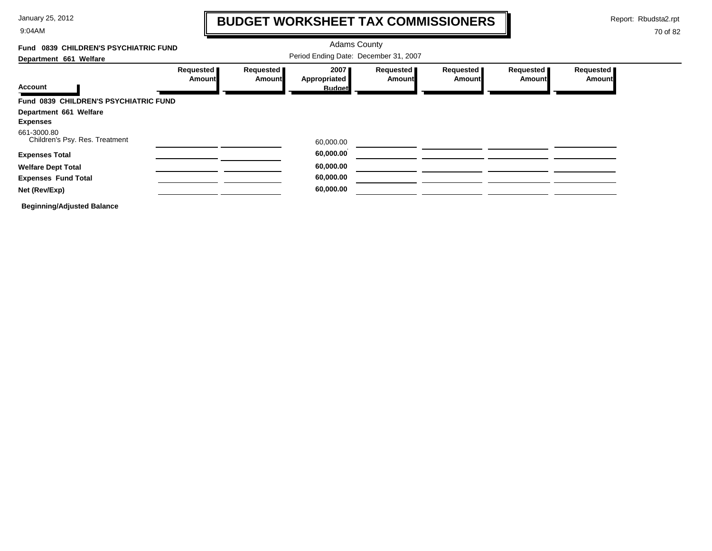9:04AM

# **BUDGET WORKSHEET TAX COMMISSIONERS**

Report: Rbudsta2.rpt

 $\mathbf l$ 

| Fund 0839 CHILDREN'S PSYCHIATRIC FUND         |                                     | <b>Adams County</b>                   |                                       |                            |                            |                            |                            |  |  |
|-----------------------------------------------|-------------------------------------|---------------------------------------|---------------------------------------|----------------------------|----------------------------|----------------------------|----------------------------|--|--|
| Department 661 Welfare                        |                                     | Period Ending Date: December 31, 2007 |                                       |                            |                            |                            |                            |  |  |
| <b>Account</b>                                | <b>Requested</b> ∎<br><b>Amount</b> | Requested<br>Amount                   | 2007<br>Appropriated<br><b>Budget</b> | Requested<br><b>Amount</b> | Requested<br><b>Amount</b> | Requested<br><b>Amount</b> | Requested<br><b>Amount</b> |  |  |
| Fund 0839 CHILDREN'S PSYCHIATRIC FUND         |                                     |                                       |                                       |                            |                            |                            |                            |  |  |
| Department 661 Welfare<br><b>Expenses</b>     |                                     |                                       |                                       |                            |                            |                            |                            |  |  |
| 661-3000.80<br>Children's Psy. Res. Treatment |                                     |                                       | 60,000.00                             |                            |                            |                            |                            |  |  |
| <b>Expenses Total</b>                         |                                     |                                       | 60,000.00                             |                            |                            |                            |                            |  |  |
| <b>Welfare Dept Total</b>                     |                                     |                                       | 60,000.00                             |                            |                            |                            |                            |  |  |
| <b>Expenses Fund Total</b>                    |                                     |                                       | 60,000.00                             |                            |                            |                            |                            |  |  |
| Net (Rev/Exp)                                 |                                     |                                       | 60,000.00                             |                            |                            |                            |                            |  |  |
| <b>Beginning/Adjusted Balance</b>             |                                     |                                       |                                       |                            |                            |                            |                            |  |  |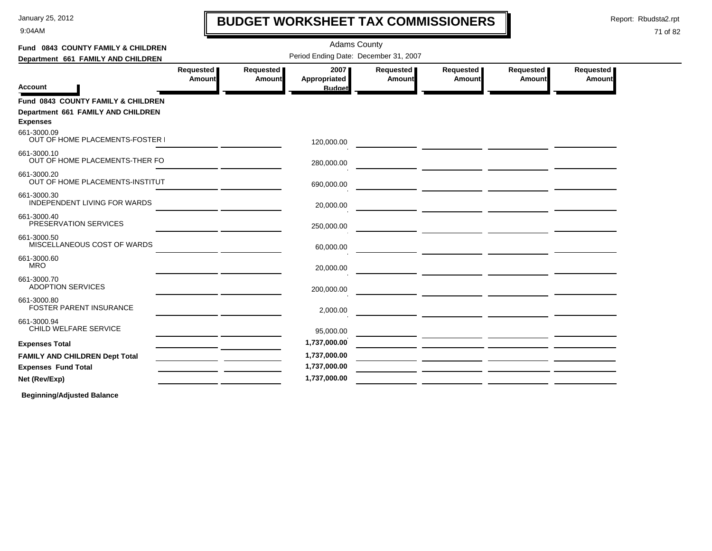9:04AM

# **BUDGET WORKSHEET TAX COMMISSIONERS**

Report: Rbudsta2.rpt

 $\blacksquare$ 

#### 71 of 82

| Fund 0843 COUNTY FAMILY & CHILDREN                                                          |                                       |                     | <b>Adams County</b>                          |                     |                                                                                                                            |                     |                     |  |  |
|---------------------------------------------------------------------------------------------|---------------------------------------|---------------------|----------------------------------------------|---------------------|----------------------------------------------------------------------------------------------------------------------------|---------------------|---------------------|--|--|
| Department 661 FAMILY AND CHILDREN                                                          | Period Ending Date: December 31, 2007 |                     |                                              |                     |                                                                                                                            |                     |                     |  |  |
| <b>Account</b>                                                                              | Requested  <br><b>Amount</b>          | Requested<br>Amount | 2007<br><b>Appropriated</b><br><b>Budget</b> | Requested<br>Amount | Requested  <br><b>Amount</b>                                                                                               | Requested<br>Amount | Requested<br>Amount |  |  |
| Fund 0843 COUNTY FAMILY & CHILDREN<br>Department 661 FAMILY AND CHILDREN<br><b>Expenses</b> |                                       |                     |                                              |                     |                                                                                                                            |                     |                     |  |  |
| 661-3000.09<br>OUT OF HOME PLACEMENTS-FOSTER I                                              |                                       |                     | 120,000.00                                   |                     |                                                                                                                            |                     |                     |  |  |
| 661-3000.10<br>OUT OF HOME PLACEMENTS-THER FO                                               |                                       |                     | 280,000.00                                   |                     |                                                                                                                            |                     |                     |  |  |
| 661-3000.20<br>OUT OF HOME PLACEMENTS-INSTITUT                                              |                                       |                     | 690,000.00                                   |                     | <u> 1989 - Andrea Stein, amerikan bizi</u>                                                                                 |                     |                     |  |  |
| 661-3000.30<br>INDEPENDENT LIVING FOR WARDS                                                 |                                       |                     | 20,000.00                                    |                     |                                                                                                                            |                     |                     |  |  |
| 661-3000.40<br>PRESERVATION SERVICES                                                        |                                       |                     | 250,000.00                                   |                     |                                                                                                                            |                     |                     |  |  |
| 661-3000.50<br>MISCELLANEOUS COST OF WARDS                                                  |                                       |                     | 60,000.00                                    |                     | <u>and</u> the contract of the contract of the contract of the contract of the contract of the contract of the contract of |                     |                     |  |  |
| 661-3000.60<br><b>MRO</b>                                                                   |                                       |                     | 20,000.00                                    |                     |                                                                                                                            |                     |                     |  |  |
| 661-3000.70<br><b>ADOPTION SERVICES</b>                                                     |                                       |                     | 200,000.00                                   |                     |                                                                                                                            |                     |                     |  |  |
| 661-3000.80<br><b>FOSTER PARENT INSURANCE</b>                                               |                                       |                     | 2,000.00                                     |                     | <u> 1989 - Johann Stein, mars et al. (1989)</u>                                                                            |                     |                     |  |  |
| 661-3000.94<br>CHILD WELFARE SERVICE                                                        |                                       |                     | 95,000.00                                    |                     |                                                                                                                            |                     |                     |  |  |
| <b>Expenses Total</b>                                                                       |                                       |                     | 1,737,000.00                                 |                     |                                                                                                                            |                     |                     |  |  |
| FAMILY AND CHILDREN Dept Total                                                              |                                       |                     | 1,737,000.00                                 |                     |                                                                                                                            |                     |                     |  |  |
| <b>Expenses Fund Total</b>                                                                  |                                       |                     | 1,737,000.00                                 |                     |                                                                                                                            |                     |                     |  |  |
| Net (Rev/Exp)                                                                               |                                       |                     | 1,737,000.00                                 |                     |                                                                                                                            |                     |                     |  |  |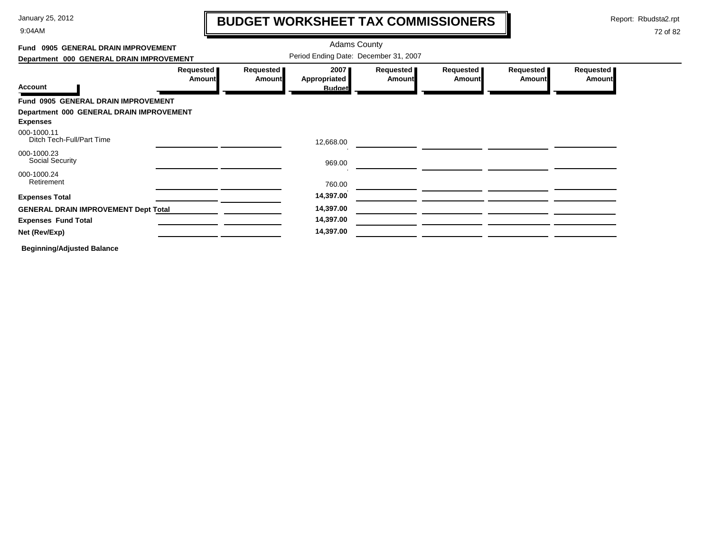9:04AM

# **BUDGET WORKSHEET TAX COMMISSIONERS**

Report: Rbudsta2.rpt

 $\mathbf l$ 

| Fund 0905 GENERAL DRAIN IMPROVEMENT                         |                              |                     | <b>Adams County</b>                   |                            |                            |                            |                     |
|-------------------------------------------------------------|------------------------------|---------------------|---------------------------------------|----------------------------|----------------------------|----------------------------|---------------------|
| Department 000 GENERAL DRAIN IMPROVEMENT                    |                              |                     | Period Ending Date: December 31, 2007 |                            |                            |                            |                     |
| <b>Account</b>                                              | Requested  <br><b>Amount</b> | Requested<br>Amount | 2007<br>Appropriated<br><b>Budget</b> | Requested<br><b>Amount</b> | Requested<br><b>Amount</b> | Requested<br><b>Amount</b> | Requested<br>Amount |
| Fund 0905 GENERAL DRAIN IMPROVEMENT                         |                              |                     |                                       |                            |                            |                            |                     |
| Department 000 GENERAL DRAIN IMPROVEMENT<br><b>Expenses</b> |                              |                     |                                       |                            |                            |                            |                     |
| 000-1000.11<br>Ditch Tech-Full/Part Time                    |                              |                     | 12,668.00                             |                            |                            |                            |                     |
| 000-1000.23<br>Social Security                              |                              |                     | 969.00                                |                            |                            |                            |                     |
| 000-1000.24<br>Retirement                                   |                              |                     | 760.00                                |                            |                            |                            |                     |
| <b>Expenses Total</b>                                       |                              |                     | 14,397.00                             |                            |                            |                            |                     |
| <b>GENERAL DRAIN IMPROVEMENT Dept Total</b>                 |                              |                     | 14,397.00                             |                            |                            |                            |                     |
| <b>Expenses Fund Total</b>                                  |                              |                     | 14,397.00                             |                            |                            |                            |                     |
| Net (Rev/Exp)                                               |                              |                     | 14,397.00                             |                            |                            |                            |                     |
| <b>Beginning/Adjusted Balance</b>                           |                              |                     |                                       |                            |                            |                            |                     |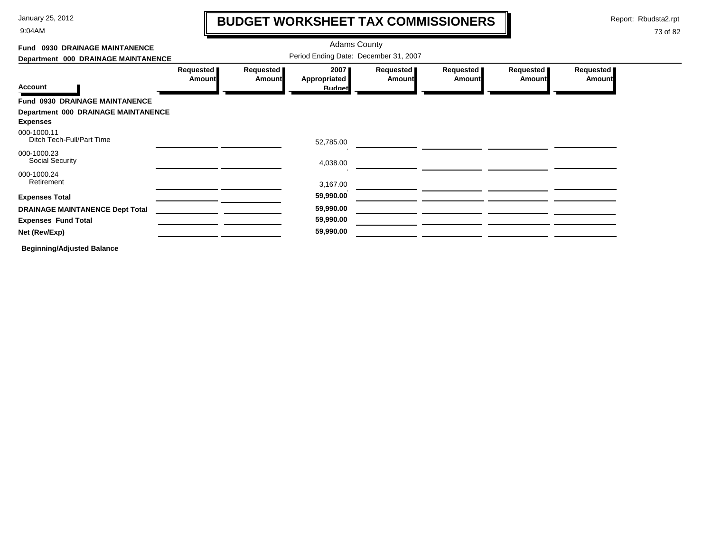9:04AM

# **BUDGET WORKSHEET TAX COMMISSIONERS**

Report: Rbudsta2.rpt

 $\mathbf l$ 

| Fund 0930 DRAINAGE MAINTANENCE                         |                                       |                     | <b>Adams County</b>                   |                       |                            |                     |                     |  |
|--------------------------------------------------------|---------------------------------------|---------------------|---------------------------------------|-----------------------|----------------------------|---------------------|---------------------|--|
| Department 000 DRAINAGE MAINTANENCE                    | Period Ending Date: December 31, 2007 |                     |                                       |                       |                            |                     |                     |  |
| <b>Account</b>                                         | Requested<br>Amount                   | Requested<br>Amount | 2007<br>Appropriated<br><b>Budget</b> | Requested  <br>Amount | Requested<br><b>Amount</b> | Requested<br>Amount | Requested<br>Amount |  |
| Fund 0930 DRAINAGE MAINTANENCE                         |                                       |                     |                                       |                       |                            |                     |                     |  |
| Department 000 DRAINAGE MAINTANENCE<br><b>Expenses</b> |                                       |                     |                                       |                       |                            |                     |                     |  |
| 000-1000.11<br>Ditch Tech-Full/Part Time               |                                       |                     | 52,785.00                             |                       |                            |                     |                     |  |
| 000-1000.23<br>Social Security                         |                                       |                     | 4,038.00                              |                       |                            |                     |                     |  |
| 000-1000.24<br>Retirement                              |                                       |                     | 3,167.00                              |                       |                            |                     |                     |  |
| <b>Expenses Total</b>                                  |                                       |                     | 59,990.00                             |                       |                            |                     |                     |  |
| <b>DRAINAGE MAINTANENCE Dept Total</b>                 |                                       |                     | 59,990.00                             |                       |                            |                     |                     |  |
| <b>Expenses Fund Total</b>                             |                                       |                     | 59,990.00                             |                       |                            |                     |                     |  |
| Net (Rev/Exp)                                          |                                       |                     | 59,990.00                             |                       |                            |                     |                     |  |
| <b>Beginning/Adjusted Balance</b>                      |                                       |                     |                                       |                       |                            |                     |                     |  |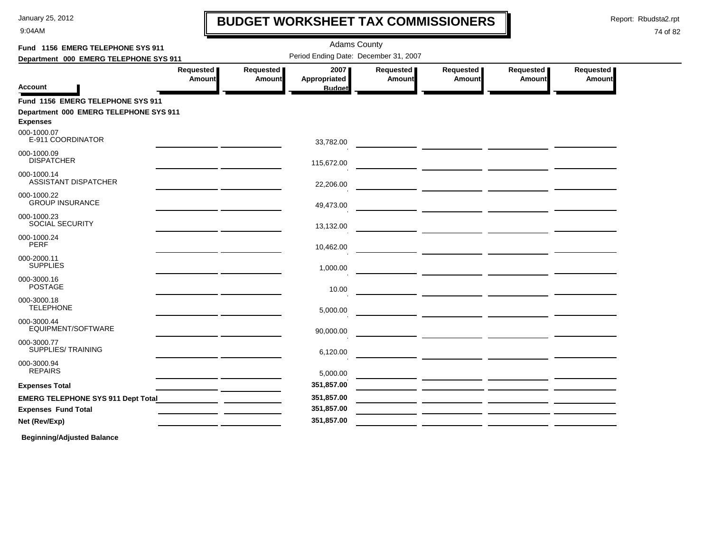9:04AM

# **BUDGET WORKSHEET TAX COMMISSIONERS**

Report: Rbudsta2.rpt

 $\mathbf l$ 

#### 74 of 82

| Fund 1156 EMERG TELEPHONE SYS 911                                                              |                                                                                                                       |                     | <b>Adams County</b>                   |                              |                                                                                                                      |                       |                            |
|------------------------------------------------------------------------------------------------|-----------------------------------------------------------------------------------------------------------------------|---------------------|---------------------------------------|------------------------------|----------------------------------------------------------------------------------------------------------------------|-----------------------|----------------------------|
| Department 000 EMERG TELEPHONE SYS 911                                                         |                                                                                                                       |                     | Period Ending Date: December 31, 2007 |                              |                                                                                                                      |                       |                            |
|                                                                                                | <b>Requested</b> ■<br>Amount                                                                                          | Requested<br>Amount | 2007<br>Appropriated                  | Requested  <br><b>Amount</b> | Requested  <br>Amount                                                                                                | Requested  <br>Amount | Requested<br><b>Amount</b> |
| Account                                                                                        |                                                                                                                       |                     | <b>Budget</b>                         |                              |                                                                                                                      |                       |                            |
| Fund 1156 EMERG TELEPHONE SYS 911<br>Department 000 EMERG TELEPHONE SYS 911<br><b>Expenses</b> |                                                                                                                       |                     |                                       |                              |                                                                                                                      |                       |                            |
| 000-1000.07<br>E-911 COORDINATOR                                                               |                                                                                                                       |                     | 33,782.00                             |                              |                                                                                                                      |                       |                            |
| 000-1000.09<br><b>DISPATCHER</b>                                                               | the contract of the contract of the contract of the contract of the contract of                                       |                     | 115,672.00                            |                              |                                                                                                                      |                       |                            |
| 000-1000.14<br><b>ASSISTANT DISPATCHER</b>                                                     |                                                                                                                       |                     | 22,206.00                             |                              |                                                                                                                      |                       |                            |
| 000-1000.22<br><b>GROUP INSURANCE</b>                                                          | <u> 1989 - Johann Harry Barn, mars and de la partie de la partie de la partie de la partie de la partie de la pa</u>  |                     | 49,473.00                             |                              |                                                                                                                      |                       |                            |
| 000-1000.23<br>SOCIAL SECURITY                                                                 | the contract of the contract of the contract of the contract of the contract of                                       |                     | 13,132.00                             |                              |                                                                                                                      |                       |                            |
| 000-1000.24<br><b>PERF</b>                                                                     | <u> 1989 - John Harry Barnett, mars ar yn y breninn y breninn y breninn y breninn y breninn y breninn y breninn y</u> |                     | 10,462.00                             |                              |                                                                                                                      |                       |                            |
| 000-2000.11<br><b>SUPPLIES</b>                                                                 |                                                                                                                       |                     | 1,000.00                              |                              |                                                                                                                      |                       |                            |
| 000-3000.16<br><b>POSTAGE</b>                                                                  |                                                                                                                       |                     | 10.00                                 |                              |                                                                                                                      |                       |                            |
| 000-3000.18<br><b>TELEPHONE</b>                                                                | <u> 1989 - John Stein, Amerikaansk politiker (</u>                                                                    |                     | 5,000.00                              |                              |                                                                                                                      |                       |                            |
| 000-3000.44<br>EQUIPMENT/SOFTWARE                                                              |                                                                                                                       |                     | 90,000.00                             |                              |                                                                                                                      |                       |                            |
| 000-3000.77<br><b>SUPPLIES/TRAINING</b>                                                        |                                                                                                                       |                     | 6,120.00                              |                              |                                                                                                                      |                       |                            |
| 000-3000.94<br><b>REPAIRS</b>                                                                  |                                                                                                                       |                     | 5,000.00                              |                              |                                                                                                                      |                       |                            |
| <b>Expenses Total</b>                                                                          | <u> 1989 - Johann Harry Barn, mars an t-Amerikaansk kommunist (</u>                                                   |                     | 351,857.00                            |                              |                                                                                                                      |                       |                            |
| <b>EMERG TELEPHONE SYS 911 Dept Total</b>                                                      |                                                                                                                       |                     | 351,857.00                            |                              | <u> 1999 - Jan James James Jan James James Jan James James Jan James James Jan James James Jan James James Jan J</u> |                       |                            |
| <b>Expenses Fund Total</b>                                                                     |                                                                                                                       |                     | 351,857.00                            |                              |                                                                                                                      |                       |                            |
| Net (Rev/Exp)                                                                                  |                                                                                                                       |                     | 351,857.00                            |                              |                                                                                                                      |                       |                            |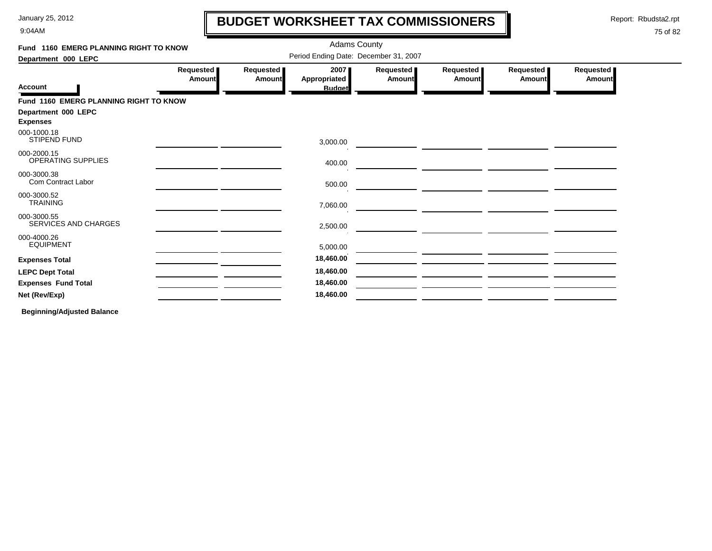9:04AM

## **BUDGET WORKSHEET TAX COMMISSIONERS**

Report: Rbudsta2.rpt

 $\mathbf l$ 

#### 75 of 82

| Fund 1160 EMERG PLANNING RIGHT TO KNOW |                     |                            | <b>Adams County</b>                   |                     |                       |                     |                            |
|----------------------------------------|---------------------|----------------------------|---------------------------------------|---------------------|-----------------------|---------------------|----------------------------|
| Department 000 LEPC                    |                     |                            | Period Ending Date: December 31, 2007 |                     |                       |                     |                            |
| <b>Account</b>                         | Requested<br>Amount | Requested<br><b>Amount</b> | 2007<br>Appropriated<br><b>Budget</b> | Requested<br>Amount | Requested  <br>Amount | Requested<br>Amount | Requested<br><b>Amount</b> |
| Fund 1160 EMERG PLANNING RIGHT TO KNOW |                     |                            |                                       |                     |                       |                     |                            |
| Department 000 LEPC<br><b>Expenses</b> |                     |                            |                                       |                     |                       |                     |                            |
| 000-1000.18<br><b>STIPEND FUND</b>     |                     |                            | 3,000.00                              |                     |                       |                     |                            |
| 000-2000.15<br>OPERATING SUPPLIES      |                     |                            | 400.00                                |                     |                       |                     |                            |
| 000-3000.38<br>Com Contract Labor      |                     |                            | 500.00                                |                     |                       |                     |                            |
| 000-3000.52<br><b>TRAINING</b>         |                     |                            | 7,060.00                              |                     |                       |                     |                            |
| 000-3000.55<br>SERVICES AND CHARGES    |                     |                            | 2,500.00                              |                     |                       |                     |                            |
| 000-4000.26<br><b>EQUIPMENT</b>        |                     |                            | 5,000.00                              |                     |                       |                     |                            |
| <b>Expenses Total</b>                  |                     |                            | 18,460.00                             |                     |                       |                     |                            |
| <b>LEPC Dept Total</b>                 |                     |                            | 18,460.00                             |                     |                       |                     |                            |
| <b>Expenses Fund Total</b>             |                     |                            | 18,460.00                             |                     |                       |                     |                            |
| Net (Rev/Exp)                          |                     |                            | 18,460.00                             |                     |                       |                     |                            |
|                                        |                     |                            |                                       |                     |                       |                     |                            |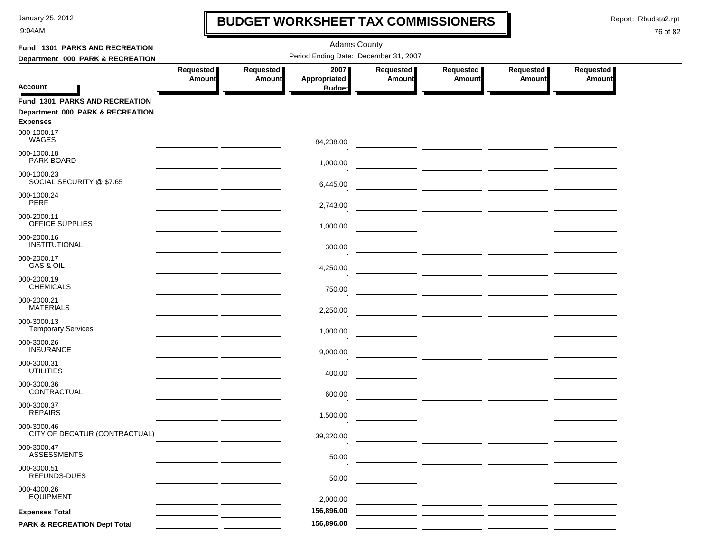9:04AM

# **BUDGET WORKSHEET TAX COMMISSIONERS**

Report: Rbudsta2.rpt

 $\mathbf \mathbf I$ 

| Fund 1301 PARKS AND RECREATION                                                               |                                       |                            | <b>Adams County</b>  |                            |                                                                                                                      |                            |                            |  |
|----------------------------------------------------------------------------------------------|---------------------------------------|----------------------------|----------------------|----------------------------|----------------------------------------------------------------------------------------------------------------------|----------------------------|----------------------------|--|
| Department 000 PARK & RECREATION                                                             | Period Ending Date: December 31, 2007 |                            |                      |                            |                                                                                                                      |                            |                            |  |
|                                                                                              | Requested<br><b>Amount</b>            | Requested<br><b>Amount</b> | 2007<br>Appropriated | Requested<br><b>Amount</b> | Requested<br><b>Amount</b>                                                                                           | Requested<br><b>Amount</b> | Requested<br><b>Amount</b> |  |
| <b>Account</b>                                                                               |                                       |                            | <b>Budget</b>        |                            |                                                                                                                      |                            |                            |  |
| <b>Fund 1301 PARKS AND RECREATION</b><br>Department 000 PARK & RECREATION<br><b>Expenses</b> |                                       |                            |                      |                            |                                                                                                                      |                            |                            |  |
| 000-1000.17<br>WAGES                                                                         |                                       |                            | 84,238.00            |                            |                                                                                                                      |                            |                            |  |
| 000-1000.18<br>PARK BOARD                                                                    |                                       |                            | 1,000.00             |                            |                                                                                                                      |                            |                            |  |
| 000-1000.23<br>SOCIAL SECURITY @ \$7.65                                                      |                                       |                            | 6,445.00             |                            |                                                                                                                      |                            |                            |  |
| 000-1000.24<br>PERF                                                                          |                                       |                            | 2,743.00             |                            |                                                                                                                      |                            |                            |  |
| 000-2000.11<br>OFFICE SUPPLIES                                                               |                                       |                            | 1,000.00             |                            |                                                                                                                      |                            |                            |  |
| 000-2000.16<br>INSTITUTIONAL                                                                 |                                       |                            | 300.00               |                            |                                                                                                                      |                            |                            |  |
| 000-2000.17<br>GAS & OIL                                                                     |                                       |                            | 4,250.00             |                            | <u> 1990 - John Harry Barn, mars and de la partie de la partie de la partie de la partie de la partie de la part</u> |                            |                            |  |
| 000-2000.19<br><b>CHEMICALS</b>                                                              |                                       |                            | 750.00               |                            |                                                                                                                      |                            |                            |  |
| 000-2000.21<br><b>MATERIALS</b>                                                              |                                       |                            | 2,250.00             |                            |                                                                                                                      |                            |                            |  |
| 000-3000.13<br><b>Temporary Services</b>                                                     |                                       |                            | 1,000.00             |                            |                                                                                                                      |                            |                            |  |
| 000-3000.26<br><b>INSURANCE</b>                                                              |                                       |                            | 9,000.00             |                            |                                                                                                                      |                            |                            |  |
| 000-3000.31<br><b>UTILITIES</b>                                                              |                                       |                            | 400.00               |                            |                                                                                                                      |                            |                            |  |
| 000-3000.36<br>CONTRACTUAL                                                                   |                                       |                            | 600.00               |                            |                                                                                                                      |                            |                            |  |
| 000-3000.37<br><b>REPAIRS</b>                                                                |                                       |                            | 1,500.00             |                            |                                                                                                                      |                            |                            |  |
| 000-3000.46<br>CITY OF DECATUR (CONTRACTUAL)                                                 |                                       |                            | 39,320.00            |                            |                                                                                                                      |                            |                            |  |
| 000-3000.47<br><b>ASSESSMENTS</b>                                                            |                                       |                            | 50.00                |                            |                                                                                                                      |                            |                            |  |
| 000-3000.51<br>REFUNDS-DUES                                                                  |                                       |                            | 50.00                |                            |                                                                                                                      |                            |                            |  |
| 000-4000.26<br><b>EQUIPMENT</b>                                                              |                                       |                            | 2,000.00             |                            |                                                                                                                      |                            |                            |  |
| <b>Expenses Total</b>                                                                        |                                       |                            | 156,896.00           |                            |                                                                                                                      |                            |                            |  |
| <b>PARK &amp; RECREATION Dept Total</b>                                                      |                                       |                            | 156,896.00           |                            |                                                                                                                      |                            |                            |  |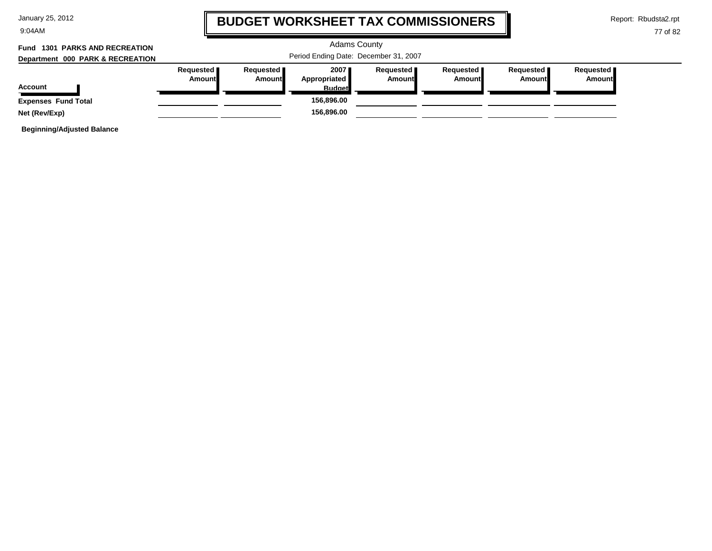| January 25, 2012 |  |  |  |
|------------------|--|--|--|
|------------------|--|--|--|

9:04AM

### **BUDGET WORKSHEET TAX COMMISSIONERS**

Report: Rbudsta2.rpt

#### 77 of 82

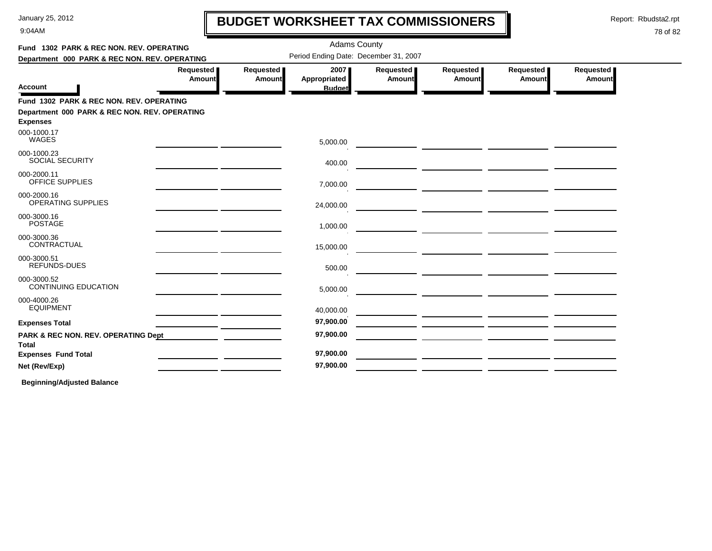9:04AM

# **BUDGET WORKSHEET TAX COMMISSIONERS**

Report: Rbudsta2.rpt

I

#### 78 of 82

| Fund 1302 PARK & REC NON. REV. OPERATING                         |                       |                     | <b>Adams County</b>                   |                            |                                                       |                     |                     |  |
|------------------------------------------------------------------|-----------------------|---------------------|---------------------------------------|----------------------------|-------------------------------------------------------|---------------------|---------------------|--|
| Department 000 PARK & REC NON. REV. OPERATING                    |                       |                     | Period Ending Date: December 31, 2007 |                            |                                                       |                     |                     |  |
| <b>Account</b>                                                   | Requested  <br>Amount | Requested<br>Amount | 2007<br>Appropriated<br><b>Budget</b> | Requested<br><b>Amount</b> | Requested<br>Amount                                   | Requested<br>Amount | Requested<br>Amount |  |
| Fund 1302 PARK & REC NON. REV. OPERATING                         |                       |                     |                                       |                            |                                                       |                     |                     |  |
| Department 000 PARK & REC NON. REV. OPERATING<br><b>Expenses</b> |                       |                     |                                       |                            |                                                       |                     |                     |  |
| 000-1000.17<br>WAGES                                             |                       |                     | 5,000.00                              |                            | <u> 1989 - Andrea Andrew Maria (h. 1976).</u>         |                     |                     |  |
| 000-1000.23<br><b>SOCIAL SECURITY</b>                            |                       |                     | 400.00                                |                            |                                                       |                     |                     |  |
| 000-2000.11<br><b>OFFICE SUPPLIES</b>                            |                       |                     | 7,000.00                              |                            | — <u>— — — — — — — — — — — — —</u>                    |                     |                     |  |
| 000-2000.16<br><b>OPERATING SUPPLIES</b>                         |                       |                     | 24,000.00                             |                            | <u> 1989 - Andrea State Barbara, poeta esperanto-</u> |                     |                     |  |
| 000-3000.16<br><b>POSTAGE</b>                                    |                       |                     | 1,000.00                              |                            |                                                       |                     |                     |  |
| 000-3000.36<br>CONTRACTUAL                                       |                       |                     | 15,000.00                             |                            |                                                       |                     |                     |  |
| 000-3000.51<br>REFUNDS-DUES                                      |                       |                     | 500.00                                |                            |                                                       |                     |                     |  |
| 000-3000.52<br><b>CONTINUING EDUCATION</b>                       |                       |                     | 5,000.00                              |                            |                                                       |                     |                     |  |
| 000-4000.26<br><b>EQUIPMENT</b>                                  |                       |                     | 40,000.00                             |                            | <u> 1989 - Andrea Andrew Maria (b. 1989)</u>          |                     |                     |  |
| <b>Expenses Total</b>                                            |                       |                     | 97,900.00                             |                            |                                                       |                     |                     |  |
| <b>PARK &amp; REC NON. REV. OPERATING Dept</b><br>Total          |                       |                     | 97,900.00                             |                            |                                                       |                     |                     |  |
| <b>Expenses Fund Total</b>                                       |                       |                     | 97,900.00                             |                            |                                                       |                     |                     |  |
| Net (Rev/Exp)                                                    |                       |                     | 97,900.00                             |                            |                                                       |                     |                     |  |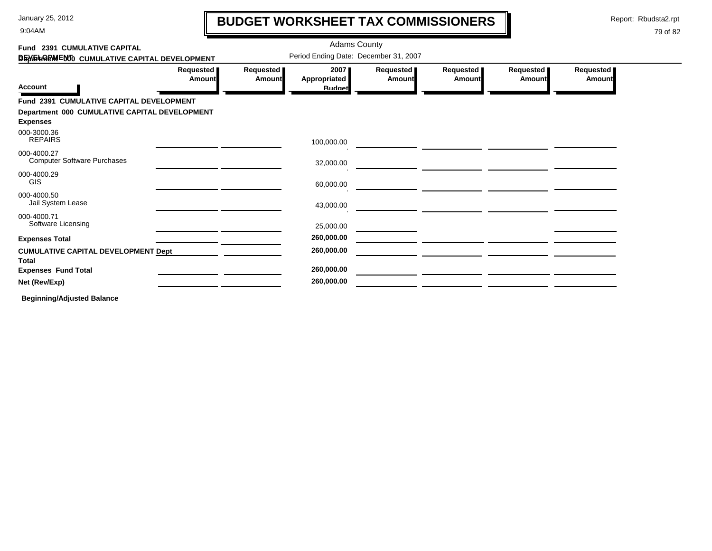9:04AM

# **BUDGET WORKSHEET TAX COMMISSIONERS**

Report: Rbudsta2.rpt

 $\mathbf l$ 

| Fund 2391 CUMULATIVE CAPITAL                               |                     |                                       | <b>Adams County</b>  |                     |                              |                            |                            |
|------------------------------------------------------------|---------------------|---------------------------------------|----------------------|---------------------|------------------------------|----------------------------|----------------------------|
| DEVELOPMENTO CUMULATIVE CAPITAL DEVELOPMENT                |                     | Period Ending Date: December 31, 2007 |                      |                     |                              |                            |                            |
|                                                            | Requested<br>Amount | Requested<br><b>Amount</b>            | 2007<br>Appropriated | Requested<br>Amount | Requested  <br><b>Amount</b> | Requested<br><b>Amount</b> | Requested<br><b>Amount</b> |
| <b>Account</b>                                             |                     |                                       | <b>Budget</b>        |                     |                              |                            |                            |
| Fund 2391 CUMULATIVE CAPITAL DEVELOPMENT                   |                     |                                       |                      |                     |                              |                            |                            |
| Department 000 CUMULATIVE CAPITAL DEVELOPMENT              |                     |                                       |                      |                     |                              |                            |                            |
| <b>Expenses</b>                                            |                     |                                       |                      |                     |                              |                            |                            |
| 000-3000.36<br><b>REPAIRS</b>                              |                     |                                       | 100,000.00           |                     |                              |                            |                            |
| 000-4000.27<br><b>Computer Software Purchases</b>          |                     |                                       | 32,000.00            |                     |                              |                            |                            |
| 000-4000.29<br><b>GIS</b>                                  |                     |                                       | 60,000.00            |                     |                              |                            |                            |
| 000-4000.50<br>Jail System Lease                           |                     |                                       | 43,000.00            |                     |                              |                            |                            |
| 000-4000.71<br>Software Licensing                          |                     |                                       |                      |                     |                              |                            |                            |
|                                                            |                     |                                       | 25,000.00            |                     |                              |                            |                            |
| <b>Expenses Total</b>                                      |                     |                                       | 260,000.00           |                     |                              |                            |                            |
| <b>CUMULATIVE CAPITAL DEVELOPMENT Dept</b><br><b>Total</b> |                     |                                       | 260,000.00           |                     |                              |                            |                            |
| <b>Expenses Fund Total</b>                                 |                     |                                       | 260,000.00           |                     |                              |                            |                            |
| Net (Rev/Exp)                                              |                     |                                       | 260,000.00           |                     |                              |                            |                            |
| <b>Beginning/Adjusted Balance</b>                          |                     |                                       |                      |                     |                              |                            |                            |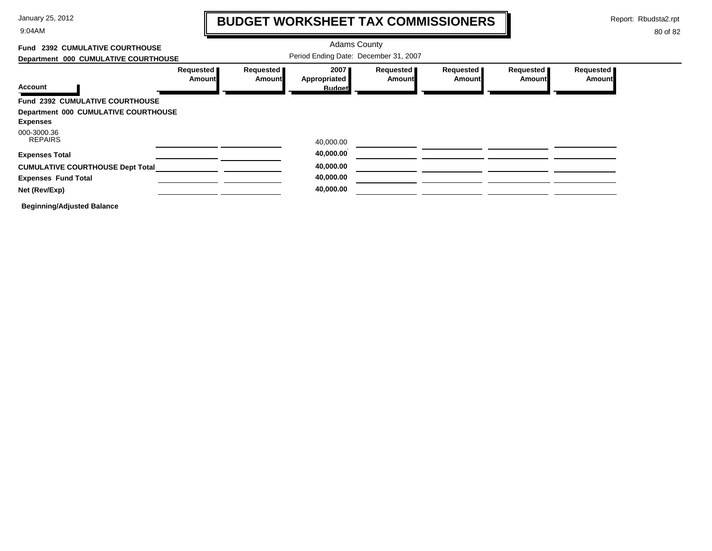9:04AM

# **BUDGET WORKSHEET TAX COMMISSIONERS**

Report: Rbudsta2.rpt

 $\mathbf l$ 

| Fund 2392 CUMULATIVE COURTHOUSE         |                            |                            | <b>Adams County</b>                     |                     |                              |                            |                            |
|-----------------------------------------|----------------------------|----------------------------|-----------------------------------------|---------------------|------------------------------|----------------------------|----------------------------|
| Department 000 CUMULATIVE COURTHOUSE    |                            |                            | Period Ending Date: December 31, 2007   |                     |                              |                            |                            |
| <b>Account</b>                          | Requested<br><b>Amount</b> | Requested<br><b>Amount</b> | ا 2007<br>Appropriated<br><b>Budget</b> | Requested<br>Amount | Requested  <br><b>Amount</b> | Requested<br><b>Amount</b> | Requested<br><b>Amount</b> |
| <b>Fund 2392 CUMULATIVE COURTHOUSE</b>  |                            |                            |                                         |                     |                              |                            |                            |
|                                         |                            |                            |                                         |                     |                              |                            |                            |
| Department 000 CUMULATIVE COURTHOUSE    |                            |                            |                                         |                     |                              |                            |                            |
| <b>Expenses</b>                         |                            |                            |                                         |                     |                              |                            |                            |
| 000-3000.36                             |                            |                            |                                         |                     |                              |                            |                            |
| <b>REPAIRS</b>                          |                            |                            | 40,000.00                               |                     |                              |                            |                            |
| <b>Expenses Total</b>                   |                            |                            | 40,000.00                               |                     |                              |                            |                            |
| <b>CUMULATIVE COURTHOUSE Dept Total</b> |                            |                            | 40,000.00                               |                     |                              |                            |                            |
| <b>Expenses Fund Total</b>              |                            |                            | 40,000.00                               |                     |                              |                            |                            |
| Net (Rev/Exp)                           |                            |                            | 40,000.00                               |                     |                              |                            |                            |
| <b>Beginning/Adjusted Balance</b>       |                            |                            |                                         |                     |                              |                            |                            |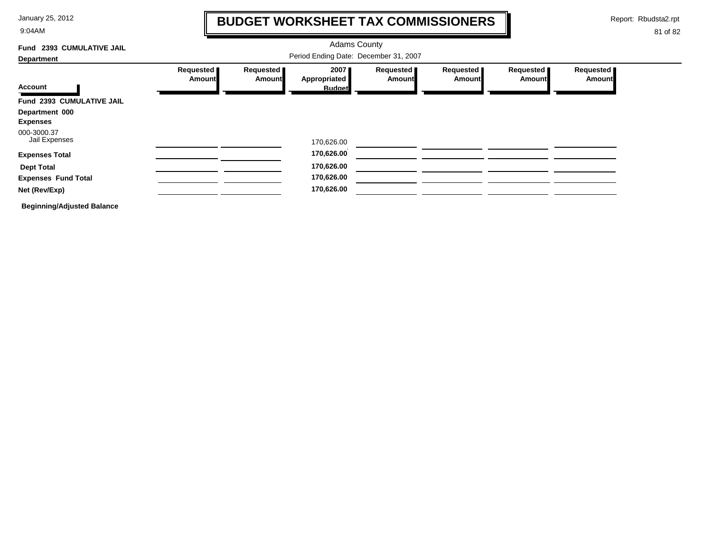9:04AM

### **BUDGET WORKSHEET TAX COMMISSIONERS**

Report: Rbudsta2.rpt

 $\mathbf l$ 

| Fund 2393 CUMULATIVE JAIL         |                              |                                       | <b>Adams County</b>                   |                              |                            |                     |                            |
|-----------------------------------|------------------------------|---------------------------------------|---------------------------------------|------------------------------|----------------------------|---------------------|----------------------------|
| <b>Department</b>                 |                              | Period Ending Date: December 31, 2007 |                                       |                              |                            |                     |                            |
| <b>Account</b>                    | Requested  <br><b>Amount</b> | Requested<br><b>Amount</b>            | 2007<br>Appropriated<br><b>Budget</b> | Requested  <br><b>Amount</b> | Requested<br><b>Amount</b> | Requested<br>Amount | Requested<br><b>Amount</b> |
| Fund 2393 CUMULATIVE JAIL         |                              |                                       |                                       |                              |                            |                     |                            |
| Department 000                    |                              |                                       |                                       |                              |                            |                     |                            |
| <b>Expenses</b>                   |                              |                                       |                                       |                              |                            |                     |                            |
| 000-3000.37<br>Jail Expenses      |                              |                                       | 170,626.00                            |                              |                            |                     |                            |
| <b>Expenses Total</b>             |                              |                                       | 170,626.00                            |                              |                            |                     |                            |
| <b>Dept Total</b>                 |                              |                                       | 170,626.00                            |                              |                            |                     |                            |
| <b>Expenses Fund Total</b>        |                              |                                       | 170,626.00                            |                              |                            |                     |                            |
| Net (Rev/Exp)                     |                              |                                       | 170,626.00                            |                              |                            |                     |                            |
| <b>Beginning/Adjusted Balance</b> |                              |                                       |                                       |                              |                            |                     |                            |